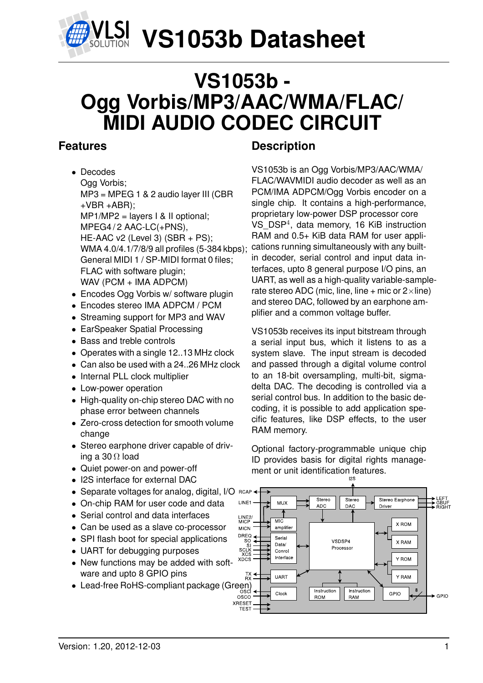

## **VS1053b - Ogg Vorbis/MP3/AAC/WMA/FLAC/ MIDI AUDIO CODEC CIRCUIT**

## <span id="page-0-0"></span>**Features**

- Decodes Ogg Vorbis; MP3 = MPEG 1 & 2 audio layer III (CBR  $+VBR + ABR$ ): MP1/MP2 = layers I & II optional; MPEG4/2 AAC-LC(+PNS). HE-AAC v2 (Level 3) (SBR + PS); WMA 4.0/4.1/7/8/9 all profiles (5-384 kbps); General MIDI 1 / SP-MIDI format 0 files; FLAC with software plugin; WAV (PCM + IMA ADPCM)
- Encodes Ogg Vorbis w/ software plugin
- Encodes stereo IMA ADPCM / PCM
- Streaming support for MP3 and WAV
- EarSpeaker Spatial Processing
- Bass and treble controls
- Operates with a single 12..13 MHz clock
- Can also be used with a 24..26 MHz clock
- Internal PLL clock multiplier
- Low-power operation
- High-quality on-chip stereo DAC with no phase error between channels
- Zero-cross detection for smooth volume change
- Stereo earphone driver capable of driving a 30  $\Omega$  load
- Quiet power-on and power-off
- I2S interface for external DAC
- Separate voltages for analog, digital, I/O RCAI
- On-chip RAM for user code and data
- Serial control and data interfaces
- Can be used as a slave co-processor
- SPI flash boot for special applications
- UART for debugging purposes
- New functions may be added with software and upto 8 GPIO pins
- Lead-free RoHS-compliant package (Green)<br>
<sub>osco</sub><br>
osco

## **Description**

VS1053b is an Ogg Vorbis/MP3/AAC/WMA/ FLAC/WAVMIDI audio decoder as well as an PCM/IMA ADPCM/Ogg Vorbis encoder on a single chip. It contains a high-performance, proprietary low-power DSP processor core VS\_DSP<sup>4</sup> , data memory, 16 KiB instruction RAM and 0.5+ KiB data RAM for user applications running simultaneously with any builtin decoder, serial control and input data interfaces, upto 8 general purpose I/O pins, an UART, as well as a high-quality variable-samplerate stereo ADC (mic, line, line + mic or  $2 \times$ line) and stereo DAC, followed by an earphone amplifier and a common voltage buffer.

VS1053b receives its input bitstream through a serial input bus, which it listens to as a system slave. The input stream is decoded and passed through a digital volume control to an 18-bit oversampling, multi-bit, sigmadelta DAC. The decoding is controlled via a serial control bus. In addition to the basic decoding, it is possible to add application specific features, like DSP effects, to the user RAM memory.

Optional factory-programmable unique chip ID provides basis for digital rights management or unit identification features.

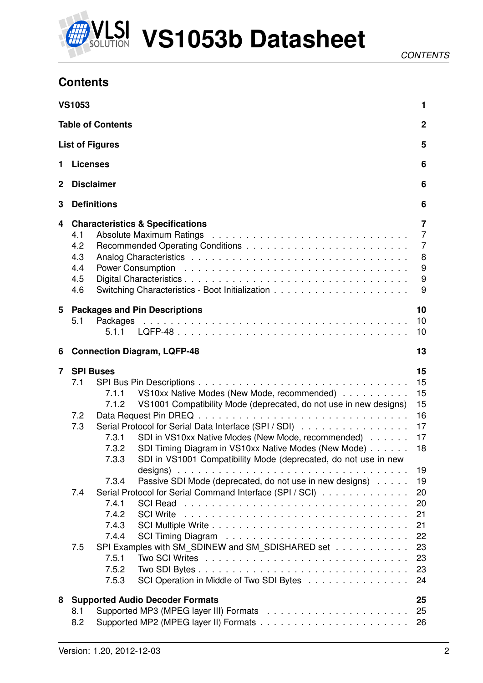

## <span id="page-1-0"></span>**Contents**

|             | <b>VS1053</b>                          |                                                                      |                                                                                                                                                                                                                                                                                                                                                                                                                                                              | 1                                                             |
|-------------|----------------------------------------|----------------------------------------------------------------------|--------------------------------------------------------------------------------------------------------------------------------------------------------------------------------------------------------------------------------------------------------------------------------------------------------------------------------------------------------------------------------------------------------------------------------------------------------------|---------------------------------------------------------------|
|             |                                        | <b>Table of Contents</b>                                             |                                                                                                                                                                                                                                                                                                                                                                                                                                                              | $\mathbf 2$                                                   |
|             |                                        | <b>List of Figures</b>                                               |                                                                                                                                                                                                                                                                                                                                                                                                                                                              | 5                                                             |
| 1           | <b>Licenses</b>                        |                                                                      |                                                                                                                                                                                                                                                                                                                                                                                                                                                              | 6                                                             |
| $\mathbf 2$ |                                        | <b>Disclaimer</b>                                                    |                                                                                                                                                                                                                                                                                                                                                                                                                                                              | 6                                                             |
| 3           |                                        | <b>Definitions</b>                                                   |                                                                                                                                                                                                                                                                                                                                                                                                                                                              | 6                                                             |
| 4           | 4.1<br>4.2<br>4.3<br>4.4<br>4.5<br>4.6 |                                                                      | <b>Characteristics &amp; Specifications</b>                                                                                                                                                                                                                                                                                                                                                                                                                  | 7<br>$\overline{7}$<br>$\overline{7}$<br>8<br>$9\,$<br>9<br>9 |
| 5           | 5.1                                    | 5.1.1                                                                | <b>Packages and Pin Descriptions</b>                                                                                                                                                                                                                                                                                                                                                                                                                         | 10<br>10<br>10                                                |
| 6           |                                        |                                                                      | <b>Connection Diagram, LQFP-48</b>                                                                                                                                                                                                                                                                                                                                                                                                                           | 13                                                            |
| 7           | <b>SPI Buses</b><br>7.1<br>7.2<br>7.3  | 7.1.1<br>7.1.2<br>7.3.1<br>7.3.2<br>7.3.3                            | VS10xx Native Modes (New Mode, recommended)<br>VS1001 Compatibility Mode (deprecated, do not use in new designs)<br>Serial Protocol for Serial Data Interface (SPI / SDI)<br>SDI in VS10xx Native Modes (New Mode, recommended)<br>SDI Timing Diagram in VS10xx Native Modes (New Mode)<br>SDI in VS1001 Compatibility Mode (deprecated, do not use in new<br>designs) $\ldots \ldots \ldots \ldots \ldots \ldots \ldots \ldots \ldots \ldots \ldots \ldots$ | 15<br>15<br>15<br>15<br>16<br>17<br>17<br>18<br>19            |
|             | 7.4<br>7.5                             | 7.3.4<br>7.4.1<br>7.4.2<br>7.4.3<br>7.4.4<br>7.5.1<br>7.5.2<br>7.5.3 | Passive SDI Mode (deprecated, do not use in new designs)<br>Serial Protocol for Serial Command Interface (SPI / SCI)<br><b>SCI Read</b><br><b>SCI Write</b><br>SPI Examples with SM_SDINEW and SM_SDISHARED set<br>SCI Operation in Middle of Two SDI Bytes                                                                                                                                                                                                  | 19<br>20<br>20<br>21<br>21<br>22<br>23<br>23<br>23<br>24      |
| 8           | 8.1<br>8.2                             |                                                                      | <b>Supported Audio Decoder Formats</b>                                                                                                                                                                                                                                                                                                                                                                                                                       | 25<br>25<br>26                                                |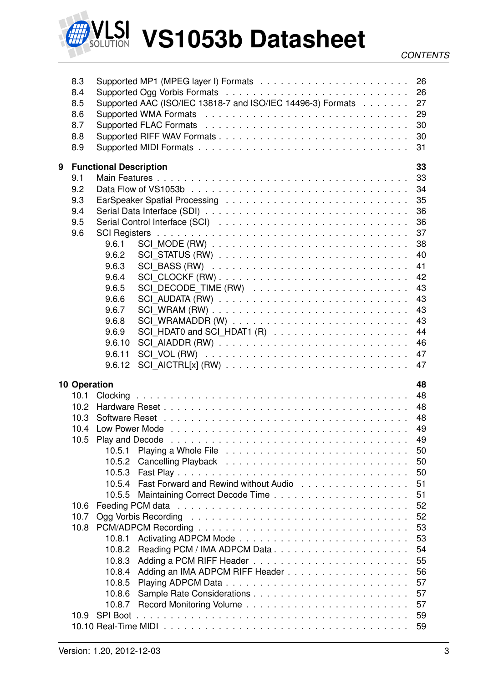

|   | 8.3<br>8.4<br>8.5<br>8.6<br>8.7<br>8.8<br>8.9 |                               | Supported AAC (ISO/IEC 13818-7 and ISO/IEC 14496-3) Formats 27<br>Supported WMA Formats (also contained a series and contained a series and contained a series and the Support of M | 30<br>30<br>31 |
|---|-----------------------------------------------|-------------------------------|-------------------------------------------------------------------------------------------------------------------------------------------------------------------------------------|----------------|
| 9 |                                               | <b>Functional Description</b> |                                                                                                                                                                                     | 33             |
|   | 9.1                                           |                               |                                                                                                                                                                                     | 33             |
|   | 9.2                                           |                               |                                                                                                                                                                                     | 34             |
|   | 9.3                                           |                               |                                                                                                                                                                                     |                |
|   | 9.4                                           |                               |                                                                                                                                                                                     | 36             |
|   | 9.5                                           |                               |                                                                                                                                                                                     | 36             |
|   | 9.6                                           |                               |                                                                                                                                                                                     | 37             |
|   |                                               | 9.6.1                         |                                                                                                                                                                                     | 38             |
|   |                                               | 9.6.2                         |                                                                                                                                                                                     | 40             |
|   |                                               | 9.6.3                         |                                                                                                                                                                                     | 41             |
|   |                                               | 9.6.4                         |                                                                                                                                                                                     | 42             |
|   |                                               | 9.6.5                         |                                                                                                                                                                                     | 43             |
|   |                                               | 9.6.6                         |                                                                                                                                                                                     | 43             |
|   |                                               | 9.6.7                         |                                                                                                                                                                                     | 43             |
|   |                                               | 9.6.8                         |                                                                                                                                                                                     | 43             |
|   |                                               | 9.6.9                         |                                                                                                                                                                                     | 44             |
|   |                                               | 9.6.10                        |                                                                                                                                                                                     | 46             |
|   |                                               | 9.6.11                        |                                                                                                                                                                                     | 47             |
|   |                                               | 9.6.12                        |                                                                                                                                                                                     | 47             |
|   |                                               |                               |                                                                                                                                                                                     |                |
|   | <b>10 Operation</b>                           |                               |                                                                                                                                                                                     | 48             |
|   | 10.1                                          |                               |                                                                                                                                                                                     | 48             |
|   | 10.2 <sub>1</sub>                             |                               |                                                                                                                                                                                     | 48             |
|   | 10.3                                          |                               |                                                                                                                                                                                     | 48             |
|   |                                               |                               |                                                                                                                                                                                     |                |
|   |                                               |                               |                                                                                                                                                                                     |                |
|   |                                               |                               |                                                                                                                                                                                     | 49             |
|   |                                               | 10.5.1                        |                                                                                                                                                                                     | 50             |
|   |                                               | 10.5.2                        |                                                                                                                                                                                     | 50             |
|   |                                               | 10.5.3                        |                                                                                                                                                                                     | 50             |
|   |                                               | 10.5.4                        | Fast Forward and Rewind without Audio                                                                                                                                               | 51             |
|   |                                               | 10.5.5                        |                                                                                                                                                                                     | 51             |
|   | 10.6                                          |                               |                                                                                                                                                                                     | 52             |
|   | 10.7                                          |                               |                                                                                                                                                                                     | 52             |
|   | 10.8                                          |                               |                                                                                                                                                                                     | 53             |
|   |                                               | 10.8.1                        |                                                                                                                                                                                     | 53             |
|   |                                               | 10.8.2                        |                                                                                                                                                                                     | 54             |
|   |                                               | 10.8.3                        |                                                                                                                                                                                     | 55             |
|   |                                               | 10.8.4                        |                                                                                                                                                                                     | 56             |
|   |                                               | 10.8.5                        |                                                                                                                                                                                     | 57             |
|   |                                               | 10.8.6                        |                                                                                                                                                                                     | 57             |
|   |                                               | 10.8.7                        |                                                                                                                                                                                     | 57             |
|   | 10.9                                          | <b>SPI Boot</b>               |                                                                                                                                                                                     | 59<br>59       |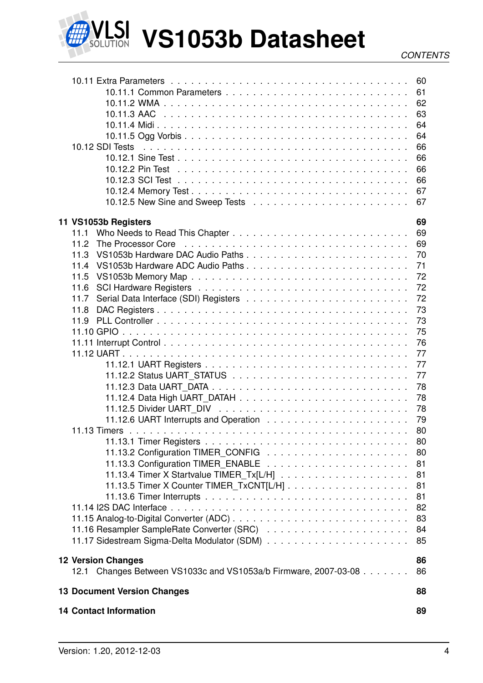

| 10.12 SDI Tests                                                                                                        | 60<br>61<br>62<br>63<br>64<br>64<br>66<br>66<br>66<br>66<br>67<br>67 |
|------------------------------------------------------------------------------------------------------------------------|----------------------------------------------------------------------|
| 11 VS1053b Registers                                                                                                   | 69                                                                   |
| 11.1                                                                                                                   | 69                                                                   |
| The Processor Core edge is a series and series and series are processor Core edge in the series of the Process<br>11.2 | 69                                                                   |
| 11.3                                                                                                                   | 70                                                                   |
| 11.4                                                                                                                   | 71                                                                   |
| 11.5                                                                                                                   | 72                                                                   |
| 11.6                                                                                                                   | 72                                                                   |
| 11.7                                                                                                                   | 72                                                                   |
| 11.8                                                                                                                   | 73                                                                   |
| 11.9                                                                                                                   | 73                                                                   |
|                                                                                                                        | 75                                                                   |
|                                                                                                                        | 76                                                                   |
|                                                                                                                        | 77                                                                   |
|                                                                                                                        | 77                                                                   |
|                                                                                                                        | 77                                                                   |
|                                                                                                                        | 78                                                                   |
|                                                                                                                        | 78                                                                   |
|                                                                                                                        | 78                                                                   |
|                                                                                                                        | 79                                                                   |
|                                                                                                                        | 80                                                                   |
|                                                                                                                        | 80                                                                   |
|                                                                                                                        | 80                                                                   |
|                                                                                                                        | 81                                                                   |
|                                                                                                                        | 81                                                                   |
|                                                                                                                        | 81                                                                   |
|                                                                                                                        | 81                                                                   |
|                                                                                                                        | 82                                                                   |
|                                                                                                                        | 83                                                                   |
|                                                                                                                        | 84                                                                   |
|                                                                                                                        | 85                                                                   |
|                                                                                                                        |                                                                      |
| <b>12 Version Changes</b>                                                                                              | 86                                                                   |
| 12.1 Changes Between VS1033c and VS1053a/b Firmware, 2007-03-08                                                        | 86                                                                   |
| <b>13 Document Version Changes</b>                                                                                     | 88                                                                   |
| <b>14 Contact Information</b>                                                                                          | 89                                                                   |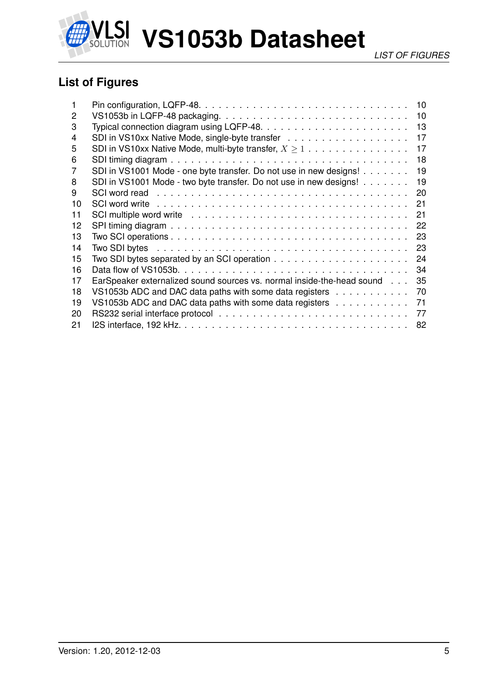

## <span id="page-4-0"></span>**List of Figures**

|    |                                                                                                                | 10 |
|----|----------------------------------------------------------------------------------------------------------------|----|
| 2  |                                                                                                                | 10 |
| 3  |                                                                                                                | 13 |
| 4  |                                                                                                                | 17 |
| 5  | SDI in VS10xx Native Mode, multi-byte transfer, $X \geq 1$                                                     | 17 |
| 6  |                                                                                                                | 18 |
| 7  | SDI in VS1001 Mode - one byte transfer. Do not use in new designs!                                             | 19 |
| 8  | SDI in VS1001 Mode - two byte transfer. Do not use in new designs!                                             | 19 |
| 9  | SCI word read enterprised and serve in the server is a server in the server in the server in the server in the | 20 |
| 10 |                                                                                                                | 21 |
| 11 | SCI multiple word write enterpresent contained and service contained and service containing to multiple word w | 21 |
| 12 |                                                                                                                | 22 |
| 13 |                                                                                                                | 23 |
| 14 |                                                                                                                | 23 |
| 15 |                                                                                                                | 24 |
| 16 |                                                                                                                | 34 |
| 17 | EarSpeaker externalized sound sources vs. normal inside-the-head sound                                         | 35 |
| 18 | VS1053b ADC and DAC data paths with some data registers                                                        | 70 |
| 19 | VS1053b ADC and DAC data paths with some data registers                                                        | 71 |
| 20 |                                                                                                                | 77 |
| 21 |                                                                                                                | 82 |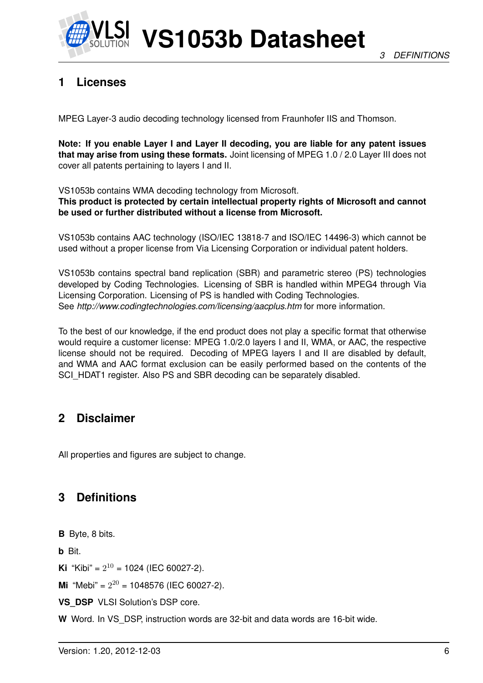

## <span id="page-5-0"></span>**1 Licenses**

MPEG Layer-3 audio decoding technology licensed from Fraunhofer IIS and Thomson.

**Note: If you enable Layer I and Layer II decoding, you are liable for any patent issues that may arise from using these formats.** Joint licensing of MPEG 1.0 / 2.0 Layer III does not cover all patents pertaining to layers I and II.

VS1053b contains WMA decoding technology from Microsoft.

**This product is protected by certain intellectual property rights of Microsoft and cannot be used or further distributed without a license from Microsoft.**

VS1053b contains AAC technology (ISO/IEC 13818-7 and ISO/IEC 14496-3) which cannot be used without a proper license from Via Licensing Corporation or individual patent holders.

VS1053b contains spectral band replication (SBR) and parametric stereo (PS) technologies developed by Coding Technologies. Licensing of SBR is handled within MPEG4 through Via Licensing Corporation. Licensing of PS is handled with Coding Technologies. See *http://www.codingtechnologies.com/licensing/aacplus.htm* for more information.

To the best of our knowledge, if the end product does not play a specific format that otherwise would require a customer license: MPEG 1.0/2.0 layers I and II, WMA, or AAC, the respective license should not be required. Decoding of MPEG layers I and II are disabled by default, and WMA and AAC format exclusion can be easily performed based on the contents of the SCI\_HDAT1 register. Also PS and SBR decoding can be separately disabled.

## <span id="page-5-1"></span>**2 Disclaimer**

All properties and figures are subject to change.

## <span id="page-5-2"></span>**3 Definitions**

**B** Byte, 8 bits.

**b** Bit.

**Ki** "Kibi" =  $2^{10}$  = 1024 (IEC 60027-2).

**Mi** "Mebi" =  $2^{20}$  = 1048576 (IEC 60027-2).

**VS\_DSP** VLSI Solution's DSP core.

**W** Word. In VS\_DSP, instruction words are 32-bit and data words are 16-bit wide.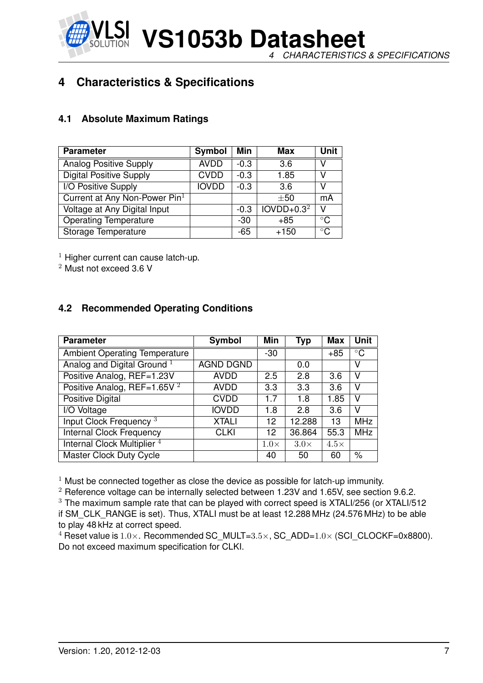**VS1053b Datasheet** *4 CHARACTERISTICS & SPECIFICATIONS*

## <span id="page-6-0"></span>**4 Characteristics & Specifications**

#### <span id="page-6-1"></span>**4.1 Absolute Maximum Ratings**

| <b>Parameter</b>                | Symbol       | Min    | Max          | <b>Unit</b>  |
|---------------------------------|--------------|--------|--------------|--------------|
| <b>Analog Positive Supply</b>   | <b>AVDD</b>  | $-0.3$ | 3.6          | V            |
| <b>Digital Positive Supply</b>  | <b>CVDD</b>  | $-0.3$ | 1.85         | V            |
| I/O Positive Supply             | <b>IOVDD</b> | $-0.3$ | 3.6          | V            |
| Current at Any Non-Power $Pin1$ |              |        | $\pm 50$     | mA           |
| Voltage at Any Digital Input    |              | $-0.3$ | $IOVDD+0.32$ | v            |
| <b>Operating Temperature</b>    |              | -30    | $+85$        | $^{\circ}$ C |
| Storage Temperature             |              | -65    | $+150$       | $^{\circ}$ C |

 $1$  Higher current can cause latch-up.

<sup>2</sup> Must not exceed 3.6 V

#### <span id="page-6-2"></span>**4.2 Recommended Operating Conditions**

| <b>Parameter</b>                        | Symbol           | Min         | Typ         | <b>Max</b>  | <b>Unit</b> |
|-----------------------------------------|------------------|-------------|-------------|-------------|-------------|
| <b>Ambient Operating Temperature</b>    |                  | $-30$       |             | $+85$       | $\circ$ C   |
| Analog and Digital Ground <sup>1</sup>  | <b>AGND DGND</b> |             | 0.0         |             | v           |
| Positive Analog, REF=1.23V              | <b>AVDD</b>      | 2.5         | 2.8         | 3.6         | v           |
| Positive Analog, REF=1.65V <sup>2</sup> | <b>AVDD</b>      | 3.3         | 3.3         | 3.6         | v           |
| Positive Digital                        | <b>CVDD</b>      | 1.7         | 1.8         | 1.85        | v           |
| I/O Voltage                             | <b>IOVDD</b>     | 1.8         | 2.8         | 3.6         | v           |
| Input Clock Frequency <sup>3</sup>      | <b>XTALI</b>     | 12          | 12.288      | 13          | <b>MHz</b>  |
| <b>Internal Clock Frequency</b>         | <b>CLKI</b>      | 12          | 36.864      | 55.3        | <b>MHz</b>  |
| Internal Clock Multiplier <sup>4</sup>  |                  | $1.0\times$ | $3.0\times$ | $4.5\times$ |             |
| <b>Master Clock Duty Cycle</b>          |                  | 40          | 50          | 60          | $\%$        |

 $1$  Must be connected together as close the device as possible for latch-up immunity.

 $2$  Reference voltage can be internally selected between 1.23V and 1.65V, see section [9.6.2.](#page-39-0) <sup>3</sup> The maximum sample rate that can be played with correct speed is XTALI/256 (or XTALI/512 if SM\_CLK\_RANGE is set). Thus, XTALI must be at least 12.288 MHz (24.576 MHz) to be able to play 48 kHz at correct speed.

<sup>4</sup> Reset value is  $1.0\times$ . Recommended SC\_MULT= $3.5\times$ , SC\_ADD= $1.0\times$  (SCI\_CLOCKF=0x8800). Do not exceed maximum specification for CLKI.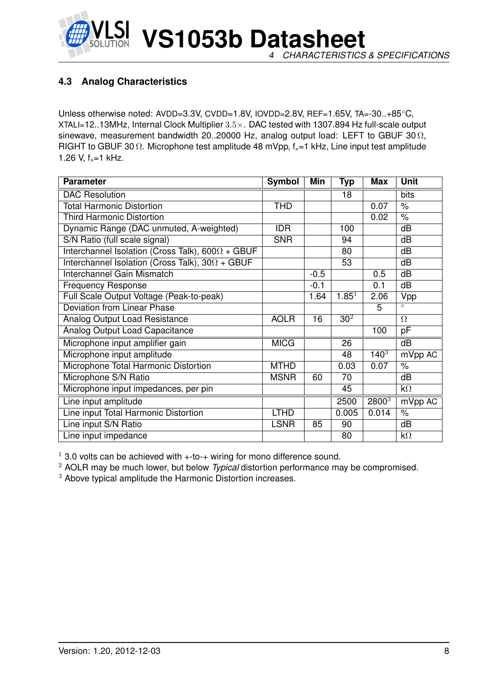

#### <span id="page-7-0"></span>**4.3 Analog Characteristics**

Unless otherwise noted: AVDD=3.3V, CVDD=1.8V, IOVDD=2.8V, REF=1.65V, TA=-30..+85◦C, XTALI=12..13MHz, Internal Clock Multiplier 3.5×. DAC tested with 1307.894 Hz full-scale output sinewave, measurement bandwidth 20..20000 Hz, analog output load: LEFT to GBUF 30  $\Omega$ , RIGHT to GBUF 30  $\Omega$ . Microphone test amplitude 48 mVpp,  $f_s$ =1 kHz, Line input test amplitude 1.26 V,  $f_s = 1$  kHz.

| <b>Parameter</b>                                        | <b>Symbol</b> | Min    | <b>Typ</b>      | <b>Max</b> | <b>Unit</b>          |
|---------------------------------------------------------|---------------|--------|-----------------|------------|----------------------|
| <b>DAC Resolution</b>                                   |               |        | 18              |            | bits                 |
| <b>Total Harmonic Distortion</b>                        | <b>THD</b>    |        |                 | 0.07       | $\frac{1}{\sqrt{2}}$ |
| <b>Third Harmonic Distortion</b>                        |               |        |                 | 0.02       | $\frac{1}{6}$        |
| Dynamic Range (DAC unmuted, A-weighted)                 | <b>IDR</b>    |        | 100             |            | dB                   |
| S/N Ratio (full scale signal)                           | <b>SNR</b>    |        | 94              |            | dB                   |
| Interchannel Isolation (Cross Talk), $600\Omega + GBUF$ |               |        | 80              |            | dB                   |
| Interchannel Isolation (Cross Talk), $30\Omega + GBUF$  |               |        | 53              |            | dB                   |
| Interchannel Gain Mismatch                              |               | $-0.5$ |                 | 0.5        | dB                   |
| <b>Frequency Response</b>                               |               | $-0.1$ |                 | 0.1        | dB                   |
| Full Scale Output Voltage (Peak-to-peak)                |               | 1.64   | $1.85^{1}$      | 2.06       | Vpp                  |
| <b>Deviation from Linear Phase</b>                      |               |        |                 | 5          | $\circ$              |
| Analog Output Load Resistance                           | <b>AOLR</b>   | 16     | 30 <sup>2</sup> |            | $\Omega$             |
| Analog Output Load Capacitance                          |               |        |                 | 100        | pF                   |
| Microphone input amplifier gain                         | <b>MICG</b>   |        | 26              |            | dB                   |
| Microphone input amplitude                              |               |        | 48              | $140^{3}$  | mVpp AC              |
| Microphone Total Harmonic Distortion                    | <b>MTHD</b>   |        | 0.03            | 0.07       | $\%$                 |
| Microphone S/N Ratio                                    | <b>MSNR</b>   | 60     | 70              |            | dB                   |
| Microphone input impedances, per pin                    |               |        | 45              |            | $k\Omega$            |
| Line input amplitude                                    |               |        | 2500            | $2800^{3}$ | mVpp AC              |
| Line input Total Harmonic Distortion                    | <b>LTHD</b>   |        | 0.005           | 0.014      | $\%$                 |
| Line input S/N Ratio                                    | <b>LSNR</b>   | 85     | 90              |            | dB                   |
| Line input impedance                                    |               |        | 80              |            | $k\Omega$            |

 $1$  3.0 volts can be achieved with  $+$ -to- $+$  wiring for mono difference sound.

<sup>2</sup> AOLR may be much lower, but below *Typical* distortion performance may be compromised.

<sup>3</sup> Above typical amplitude the Harmonic Distortion increases.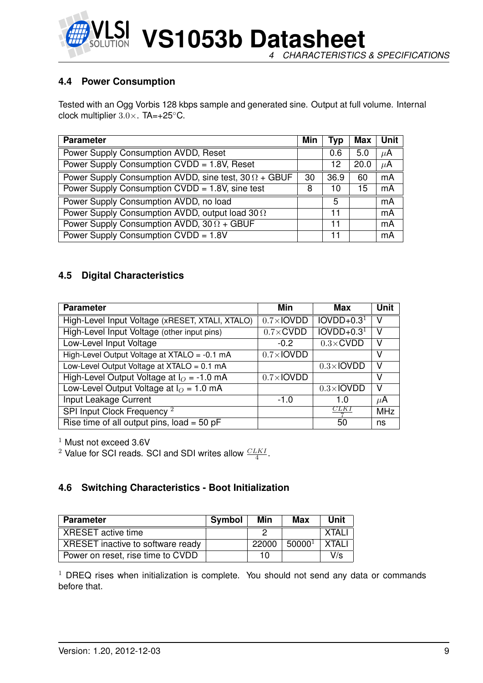

**VS1053b Datasheet** *4 CHARACTERISTICS & SPECIFICATIONS*

#### <span id="page-8-0"></span>**4.4 Power Consumption**

Tested with an Ogg Vorbis 128 kbps sample and generated sine. Output at full volume. Internal clock multiplier 3.0×. TA=+25◦C.

| <b>Parameter</b>                                             | Min | Typ  | <b>Max</b> | Unit    |
|--------------------------------------------------------------|-----|------|------------|---------|
| Power Supply Consumption AVDD, Reset                         |     | 0.6  | 5.0        | $\mu$ A |
| Power Supply Consumption CVDD = 1.8V, Reset                  |     | 12   | 20.0       | $\mu$ A |
| Power Supply Consumption AVDD, sine test, $30 \Omega + GBUF$ | 30  | 36.9 | 60         | mA      |
| Power Supply Consumption CVDD = 1.8V, sine test              | 8   | 10   | 15         | mA      |
| Power Supply Consumption AVDD, no load                       |     | 5    |            | mA      |
| Power Supply Consumption AVDD, output load 30 02             |     | 11   |            | mA      |
| Power Supply Consumption AVDD, $30 \Omega + GBUF$            |     | 11   |            | mA      |
| Power Supply Consumption CVDD = 1.8V                         |     | 11   |            | mA      |

#### <span id="page-8-1"></span>**4.5 Digital Characteristics**

| <b>Parameter</b>                                | Min               | Max               | Unit    |
|-------------------------------------------------|-------------------|-------------------|---------|
| High-Level Input Voltage (xRESET, XTALI, XTALO) | $0.7\times$ IOVDD | $IOVDD+0.31$      | V       |
| High-Level Input Voltage (other input pins)     | $0.7 \times$ CVDD | $IOVDD+0.31$      | v       |
| Low-Level Input Voltage                         | $-0.2$            | $0.3 \times$ CVDD | v       |
| High-Level Output Voltage at XTALO = -0.1 mA    | $0.7\times$ IOVDD |                   | V       |
| Low-Level Output Voltage at XTALO = 0.1 mA      |                   | $0.3\times$ IOVDD | v       |
| High-Level Output Voltage at $IO = -1.0$ mA     | $0.7\times$ IOVDD |                   | v       |
| Low-Level Output Voltage at $IO = 1.0$ mA       |                   | $0.3\times$ IOVDD | V       |
| Input Leakage Current                           | $-1.0$            | 1.O               | $\mu$ A |
| SPI Input Clock Frequency <sup>2</sup>          |                   | CLK I             | MHz     |
| Rise time of all output pins, $load = 50 pF$    |                   | 50                | ns      |

 $1$  Must not exceed 3.6V

<sup>2</sup> Value for SCI reads. SCI and SDI writes allow  $\frac{CLKI}{4}$ .

#### <span id="page-8-2"></span>**4.6 Switching Characteristics - Boot Initialization**

| <b>Parameter</b>                  | <b>Symbol</b> | Min   | Max                | Unit   |
|-----------------------------------|---------------|-------|--------------------|--------|
| XRESET active time                |               |       |                    | XTAL.  |
| XRESET inactive to software ready |               | 22000 | 50000 <sup>1</sup> | XTAI I |
| Power on reset, rise time to CVDD |               | 10    |                    | V/s    |

 $1$  DREQ rises when initialization is complete. You should not send any data or commands before that.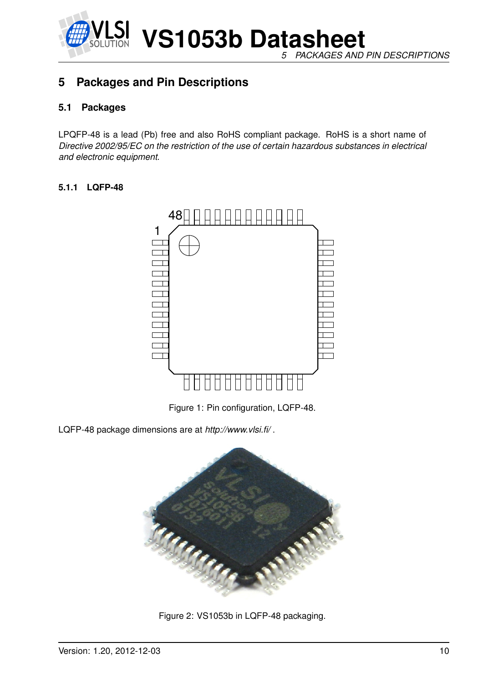

*5 PACKAGES AND PIN DESCRIPTIONS*

## <span id="page-9-1"></span><span id="page-9-0"></span>**5 Packages and Pin Descriptions**

#### **5.1 Packages**

LPQFP-48 is a lead (Pb) free and also RoHS compliant package. RoHS is a short name of *Directive 2002/95/EC on the restriction of the use of certain hazardous substances in electrical and electronic equipment*.

#### <span id="page-9-2"></span>**5.1.1 LQFP-48**



<span id="page-9-3"></span>Figure 1: Pin configuration, LQFP-48.

LQFP-48 package dimensions are at *http://www.vlsi.fi/* .



<span id="page-9-4"></span>Figure 2: VS1053b in LQFP-48 packaging.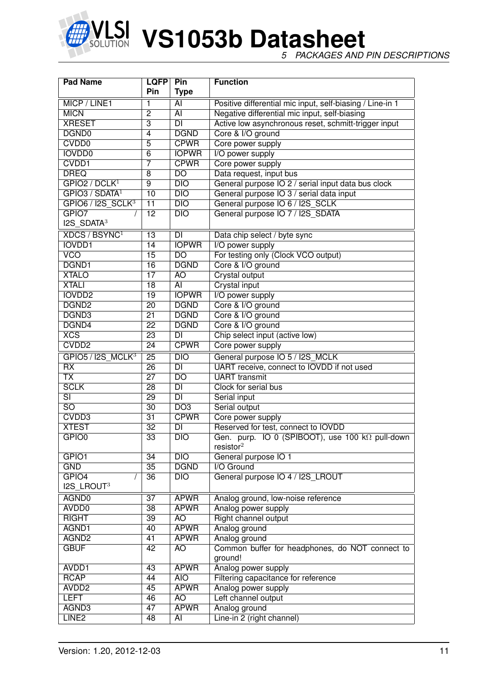

*5 PACKAGES AND PIN DESCRIPTIONS*

| <b>Pad Name</b><br><b>LQFP</b> |                 | Pin                      | <b>Function</b>                                            |
|--------------------------------|-----------------|--------------------------|------------------------------------------------------------|
|                                | Pin             | <b>Type</b>              |                                                            |
| MICP / LINE1                   | 1               | AI                       | Positive differential mic input, self-biasing / Line-in 1  |
| <b>MICN</b>                    | $\overline{2}$  | $\overline{AI}$          | Negative differential mic input, self-biasing              |
| <b>XRESET</b>                  | $\overline{3}$  | DI                       | Active low asynchronous reset, schmitt-trigger input       |
| DGND <sub>0</sub>              | $\overline{4}$  | <b>DGND</b>              | Core & I/O ground                                          |
| CVDD <sub>0</sub>              | $\overline{5}$  | <b>CPWR</b>              | Core power supply                                          |
| <b>IOVDD0</b>                  | $\overline{6}$  | <b>IOPWR</b>             | I/O power supply                                           |
| CVDD1                          | 7               | <b>CPWR</b>              | Core power supply                                          |
| <b>DREQ</b>                    | 8               | $\overline{D}$           | Data request, input bus                                    |
| GPIO2 / DCLK <sup>1</sup>      | $\overline{9}$  | DIO                      | General purpose IO 2 / serial input data bus clock         |
| GPIO3 / SDATA <sup>1</sup>     | 10              | $\overline{DIO}$         | General purpose IO 3 / serial data input                   |
| $GPIO6 / I2S_SCLK3$            | $\overline{11}$ | $\overline{DIO}$         | General purpose IO 6 / I2S_SCLK                            |
| GPIO7                          | $\overline{12}$ | $\overline{DIO}$         | General purpose IO 7 / I2S SDATA                           |
| $I2S$ SDATA <sup>3</sup>       |                 |                          |                                                            |
| XDCS / BSYNC <sup>1</sup>      | $\overline{13}$ | <b>DI</b>                | Data chip select / byte sync                               |
| <b>IOVDD1</b>                  | 14              | <b>IOPWR</b>             | I/O power supply                                           |
| <b>VCO</b>                     | $\overline{15}$ | $\overline{DO}$          | For testing only (Clock VCO output)                        |
| DGND1                          | $\overline{16}$ | <b>DGND</b>              | Core & I/O ground                                          |
| <b>XTALO</b>                   | $\overline{17}$ | $\overline{AO}$          | <b>Crystal output</b>                                      |
| <b>XTALI</b>                   | $\overline{18}$ | $\overline{AI}$          | <b>Crystal input</b>                                       |
| <b>IOVDD2</b>                  | $\overline{19}$ | <b>IOPWR</b>             | I/O power supply                                           |
| DGND <sub>2</sub>              | $\overline{20}$ | <b>DGND</b>              | Core & I/O ground                                          |
| DGND3                          | $\overline{21}$ | <b>DGND</b>              | Core & I/O ground                                          |
| DGND4                          | $\overline{22}$ | <b>DGND</b>              | Core & I/O ground                                          |
| XCS                            | $\overline{23}$ | $\overline{DI}$          | Chip select input (active low)                             |
| CVDD <sub>2</sub>              | $\overline{24}$ | <b>CPWR</b>              | Core power supply                                          |
| GPIO5 / I2S MCLK <sup>3</sup>  | $\overline{25}$ | $\overline{DIO}$         | General purpose IO 5 / I2S_MCLK                            |
| $\overline{RX}$                | $\overline{26}$ | $\overline{\mathsf{DI}}$ | UART receive, connect to IOVDD if not used                 |
| $\overline{\mathsf{TX}}$       | $\overline{27}$ | $\overline{DO}$          | <b>UART</b> transmit                                       |
| <b>SCLK</b>                    | $\overline{28}$ | $\overline{\mathsf{DI}}$ | Clock for serial bus                                       |
| $\overline{\text{SI}}$         | $\overline{29}$ | $\overline{\mathsf{DI}}$ | Serial input                                               |
| $\overline{SO}$                | $\overline{30}$ | DO3                      | Serial output                                              |
| CVDD3                          | $\overline{31}$ | <b>CPWR</b>              | Core power supply                                          |
| <b>XTEST</b>                   | $\overline{32}$ | $\overline{\mathsf{DI}}$ | Reserved for test, connect to IOVDD                        |
| GPIO <sub>0</sub>              | $\overline{33}$ | DIO                      | Gen. purp. IO 0 (SPIBOOT), use 100 kΩ pull-down            |
|                                |                 |                          | resistor <sup>2</sup>                                      |
| GPIO1                          | 34              | DIO                      | General purpose IO 1                                       |
| <b>GND</b>                     | $\overline{35}$ | <b>DGND</b>              | I/O Ground                                                 |
| GPIO4                          | 36              | $\overline{DIO}$         | General purpose IO 4 / I2S_LROUT                           |
| I2S_LROUT3                     |                 |                          |                                                            |
| AGND <sub>0</sub>              | $\overline{37}$ | <b>APWR</b>              | Analog ground, low-noise reference                         |
| AVDD <sub>0</sub>              | $\overline{38}$ | <b>APWR</b>              | Analog power supply                                        |
| <b>RIGHT</b>                   | $\overline{39}$ | AO                       | Right channel output                                       |
| AGND1                          | 40              | <b>APWR</b>              | Analog ground                                              |
| AGND <sub>2</sub>              | 41              | <b>APWR</b>              | Analog ground                                              |
| <b>GBUF</b>                    | 42              | <b>AO</b>                | Common buffer for headphones, do NOT connect to<br>ground! |
| AVDD1                          | 43              | <b>APWR</b>              | Analog power supply                                        |
| <b>RCAP</b>                    | 44              | <b>AIO</b>               | Filtering capacitance for reference                        |
| AVDD <sub>2</sub>              | 45              | <b>APWR</b>              | Analog power supply                                        |
| <b>LEFT</b>                    | 46              | AO                       | Left channel output                                        |
| AGND3                          | $\overline{47}$ | <b>APWR</b>              | Analog ground                                              |
| LINE <sub>2</sub>              | 48              | $\overline{AI}$          | Line-in 2 (right channel)                                  |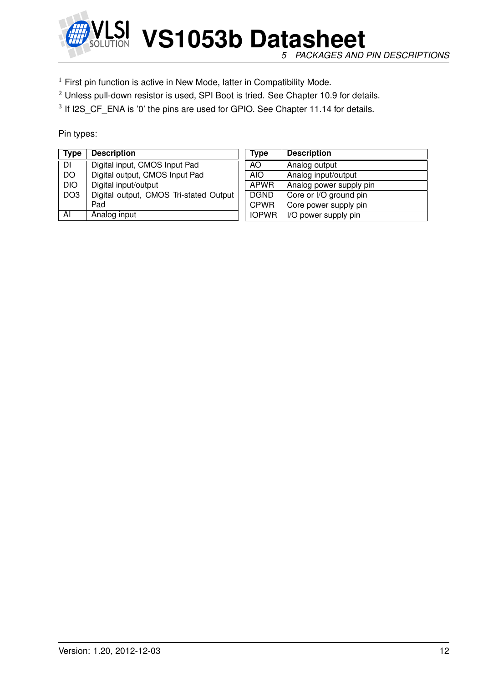

*5 PACKAGES AND PIN DESCRIPTIONS*

 $1$  First pin function is active in New Mode, latter in Compatibility Mode.

<sup>2</sup> Unless pull-down resistor is used, SPI Boot is tried. See Chapter [10.9](#page-58-0) for details.

 $3$  If I2S\_CF\_ENA is  $'0'$  the pins are used for GPIO. See Chapter [11.14](#page-81-0) for details.

Pin types:

| <b>Type</b>     | <b>Description</b>                     | Type         | <b>Description</b>      |
|-----------------|----------------------------------------|--------------|-------------------------|
| DI              | Digital input, CMOS Input Pad          | AO.          | Analog output           |
| <b>DO</b>       | Digital output, CMOS Input Pad         | AIO.         | Analog input/output     |
| <b>DIO</b>      | Digital input/output                   | <b>APWR</b>  | Analog power supply pin |
| DO <sub>3</sub> | Digital output, CMOS Tri-stated Output | <b>DGND</b>  | Core or I/O ground pin  |
|                 | Pad                                    | <b>CPWR</b>  | Core power supply pin   |
| AI              | Analog input                           | <b>IOPWR</b> | I/O power supply pin    |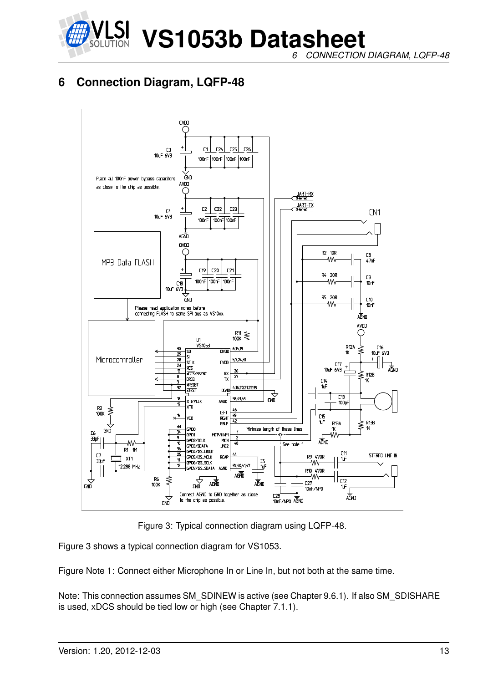

*6 CONNECTION DIAGRAM, LQFP-48*

## <span id="page-12-0"></span>**6 Connection Diagram, LQFP-48**



<span id="page-12-1"></span>Figure 3: Typical connection diagram using LQFP-48.

Figure [3](#page-12-1) shows a typical connection diagram for VS1053.

Figure Note 1: Connect either Microphone In or Line In, but not both at the same time.

Note: This connection assumes SM\_SDINEW is active (see Chapter [9.6.1\)](#page-37-0). If also SM\_SDISHARE is used, xDCS should be tied low or high (see Chapter [7.1.1\)](#page-14-2).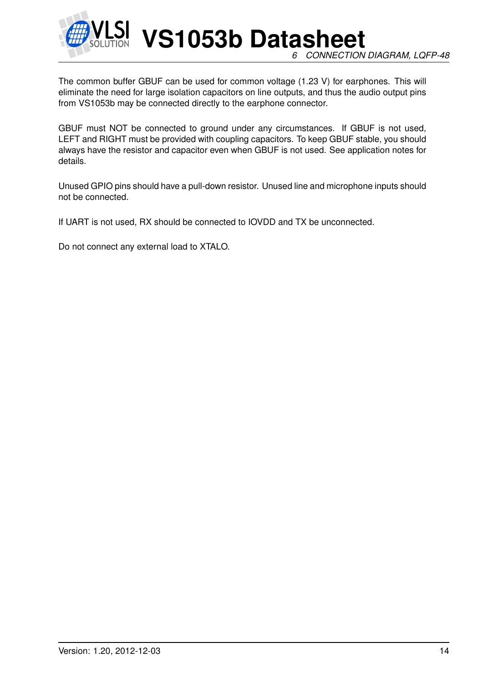

**VS1053b Datasheet** *6 CONNECTION DIAGRAM, LQFP-48*

The common buffer GBUF can be used for common voltage (1.23 V) for earphones. This will eliminate the need for large isolation capacitors on line outputs, and thus the audio output pins from VS1053b may be connected directly to the earphone connector.

GBUF must NOT be connected to ground under any circumstances. If GBUF is not used, LEFT and RIGHT must be provided with coupling capacitors. To keep GBUF stable, you should always have the resistor and capacitor even when GBUF is not used. See application notes for details.

Unused GPIO pins should have a pull-down resistor. Unused line and microphone inputs should not be connected.

If UART is not used, RX should be connected to IOVDD and TX be unconnected.

Do not connect any external load to XTALO.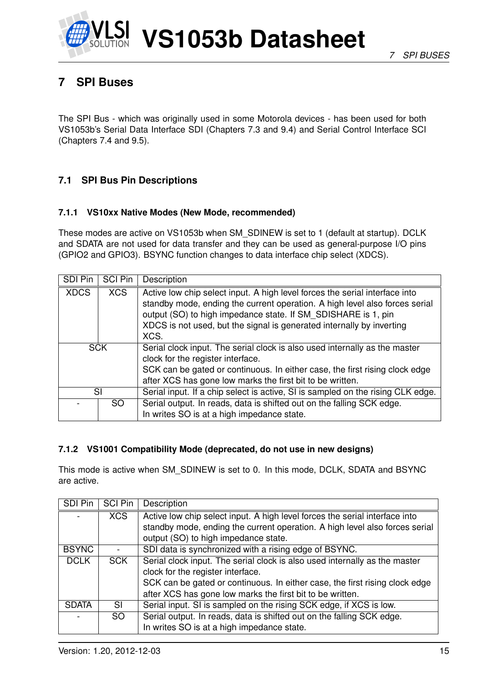

## <span id="page-14-0"></span>**7 SPI Buses**

The SPI Bus - which was originally used in some Motorola devices - has been used for both VS1053b's Serial Data Interface SDI (Chapters [7.3](#page-16-0) and [9.4\)](#page-35-0) and Serial Control Interface SCI (Chapters [7.4](#page-19-0) and [9.5\)](#page-35-1).

#### <span id="page-14-1"></span>**7.1 SPI Bus Pin Descriptions**

#### <span id="page-14-2"></span>**7.1.1 VS10xx Native Modes (New Mode, recommended)**

These modes are active on VS1053b when SM\_SDINEW is set to 1 (default at startup). DCLK and SDATA are not used for data transfer and they can be used as general-purpose I/O pins (GPIO2 and GPIO3). BSYNC function changes to data interface chip select (XDCS).

| SDI Pin     | <b>SCI Pin</b> | Description                                                                                                                                                                                                                                                                                                  |
|-------------|----------------|--------------------------------------------------------------------------------------------------------------------------------------------------------------------------------------------------------------------------------------------------------------------------------------------------------------|
| <b>XDCS</b> | <b>XCS</b>     | Active low chip select input. A high level forces the serial interface into<br>standby mode, ending the current operation. A high level also forces serial<br>output (SO) to high impedance state. If SM_SDISHARE is 1, pin<br>XDCS is not used, but the signal is generated internally by inverting<br>XCS. |
| <b>SCK</b>  |                | Serial clock input. The serial clock is also used internally as the master<br>clock for the register interface.<br>SCK can be gated or continuous. In either case, the first rising clock edge<br>after XCS has gone low marks the first bit to be written.                                                  |
|             | SI             | Serial input. If a chip select is active, SI is sampled on the rising CLK edge.                                                                                                                                                                                                                              |
|             | SO.            | Serial output. In reads, data is shifted out on the falling SCK edge.<br>In writes SO is at a high impedance state.                                                                                                                                                                                          |

#### <span id="page-14-3"></span>**7.1.2 VS1001 Compatibility Mode (deprecated, do not use in new designs)**

This mode is active when SM\_SDINEW is set to 0. In this mode, DCLK, SDATA and BSYNC are active.

| SDI Pin      | <b>SCI Pin</b> | Description                                                                 |
|--------------|----------------|-----------------------------------------------------------------------------|
|              | <b>XCS</b>     | Active low chip select input. A high level forces the serial interface into |
|              |                | standby mode, ending the current operation. A high level also forces serial |
|              |                | output (SO) to high impedance state.                                        |
| <b>BSYNC</b> |                | SDI data is synchronized with a rising edge of BSYNC.                       |
| <b>DCLK</b>  | <b>SCK</b>     | Serial clock input. The serial clock is also used internally as the master  |
|              |                | clock for the register interface.                                           |
|              |                | SCK can be gated or continuous. In either case, the first rising clock edge |
|              |                | after XCS has gone low marks the first bit to be written.                   |
| <b>SDATA</b> | SL             | Serial input. SI is sampled on the rising SCK edge, if XCS is low.          |
|              | SO.            | Serial output. In reads, data is shifted out on the falling SCK edge.       |
|              |                | In writes SO is at a high impedance state.                                  |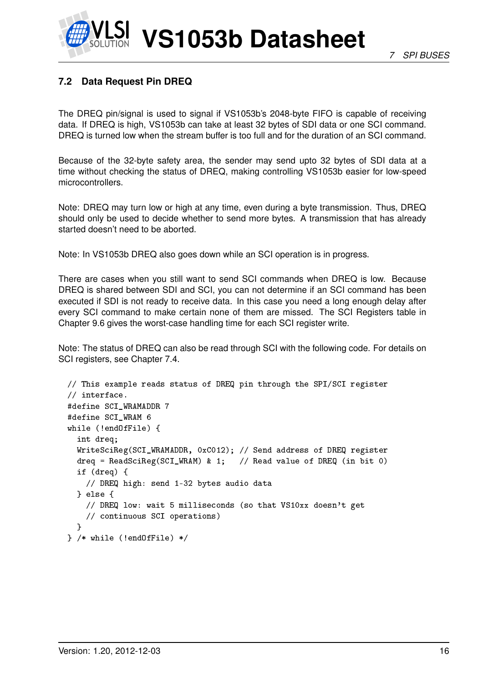## <span id="page-15-0"></span>**7.2 Data Request Pin DREQ**

The DREQ pin/signal is used to signal if VS1053b's 2048-byte FIFO is capable of receiving data. If DREQ is high, VS1053b can take at least 32 bytes of SDI data or one SCI command. DREQ is turned low when the stream buffer is too full and for the duration of an SCI command.

Because of the 32-byte safety area, the sender may send upto 32 bytes of SDI data at a time without checking the status of DREQ, making controlling VS1053b easier for low-speed microcontrollers.

Note: DREQ may turn low or high at any time, even during a byte transmission. Thus, DREQ should only be used to decide whether to send more bytes. A transmission that has already started doesn't need to be aborted.

Note: In VS1053b DREQ also goes down while an SCI operation is in progress.

There are cases when you still want to send SCI commands when DREQ is low. Because DREQ is shared between SDI and SCI, you can not determine if an SCI command has been executed if SDI is not ready to receive data. In this case you need a long enough delay after every SCI command to make certain none of them are missed. The SCI Registers table in Chapter [9.6](#page-36-0) gives the worst-case handling time for each SCI register write.

Note: The status of DREQ can also be read through SCI with the following code. For details on SCI registers, see Chapter [7.4.](#page-19-0)

```
// This example reads status of DREQ pin through the SPI/SCI register
// interface.
#define SCI_WRAMADDR 7
#define SCI_WRAM 6
while (!endOfFile) {
  int dreq;
  WriteSciReg(SCI_WRAMADDR, 0xC012); // Send address of DREQ register
  dreq = ReadSciReg(SCI_WRAM) & 1; // Read value of DREQ (in bit 0)
  if (dreq) {
   // DREQ high: send 1-32 bytes audio data
  } else {
    // DREQ low: wait 5 milliseconds (so that VS10xx doesn't get
    // continuous SCI operations)
  }
} /* while (!endOfFile) */
```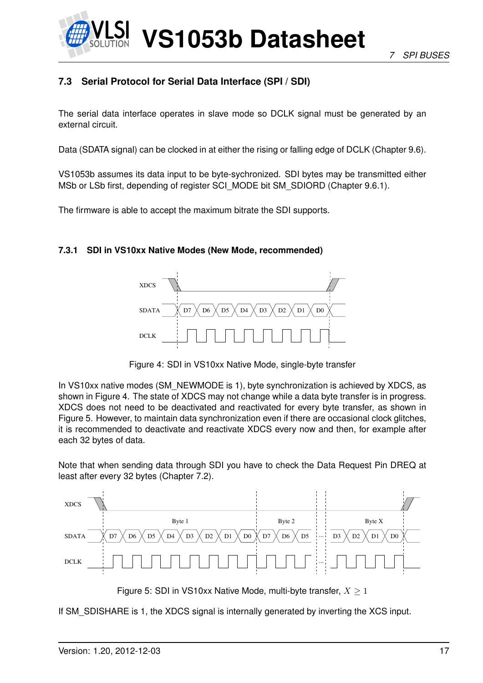

### <span id="page-16-0"></span>**7.3 Serial Protocol for Serial Data Interface (SPI / SDI)**

The serial data interface operates in slave mode so DCLK signal must be generated by an external circuit.

Data (SDATA signal) can be clocked in at either the rising or falling edge of DCLK (Chapter [9.6\)](#page-36-0).

VS1053b assumes its data input to be byte-sychronized. SDI bytes may be transmitted either MSb or LSb first, depending of register SCI\_MODE bit SM\_SDIORD (Chapter [9.6.1\)](#page-37-0).

The firmware is able to accept the maximum bitrate the SDI supports.

#### <span id="page-16-1"></span>**7.3.1 SDI in VS10xx Native Modes (New Mode, recommended)**



<span id="page-16-2"></span>Figure 4: SDI in VS10xx Native Mode, single-byte transfer

In VS10xx native modes (SM\_NEWMODE is 1), byte synchronization is achieved by XDCS, as shown in Figure [4.](#page-16-2) The state of XDCS may not change while a data byte transfer is in progress. XDCS does not need to be deactivated and reactivated for every byte transfer, as shown in Figure [5.](#page-16-3) However, to maintain data synchronization even if there are occasional clock glitches, it is recommended to deactivate and reactivate XDCS every now and then, for example after each 32 bytes of data.

Note that when sending data through SDI you have to check the Data Request Pin DREQ at least after every 32 bytes (Chapter [7.2\)](#page-15-0).



<span id="page-16-3"></span>Figure 5: SDI in VS10xx Native Mode, multi-byte transfer,  $X \geq 1$ 

If SM\_SDISHARE is 1, the XDCS signal is internally generated by inverting the XCS input.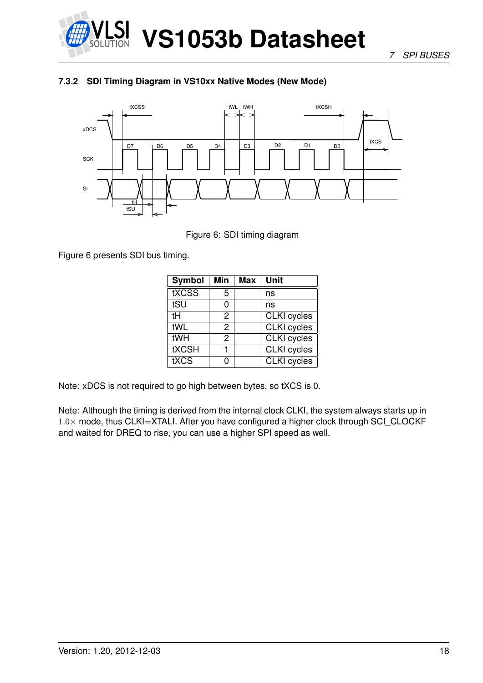

*7 SPI BUSES*

#### <span id="page-17-0"></span>**7.3.2 SDI Timing Diagram in VS10xx Native Modes (New Mode)**



<span id="page-17-1"></span>Figure 6: SDI timing diagram

Figure [6](#page-17-1) presents SDI bus timing.

| <b>Symbol</b> | Min | Max | Unit               |
|---------------|-----|-----|--------------------|
| tXCSS         | 5   |     | ns                 |
| tSU           | 0   |     | ns                 |
| tН            | 2   |     | <b>CLKI</b> cycles |
| tWL           | 2   |     | <b>CLKI</b> cycles |
| tWH           | 2   |     | <b>CLKI</b> cycles |
| <b>tXCSH</b>  |     |     | <b>CLKI</b> cycles |
| tXCS          | n   |     | <b>CLKI</b> cycles |

Note: xDCS is not required to go high between bytes, so tXCS is 0.

Note: Although the timing is derived from the internal clock CLKI, the system always starts up in  $1.0\times$  mode, thus CLKI=XTALI. After you have configured a higher clock through SCI CLOCKF and waited for DREQ to rise, you can use a higher SPI speed as well.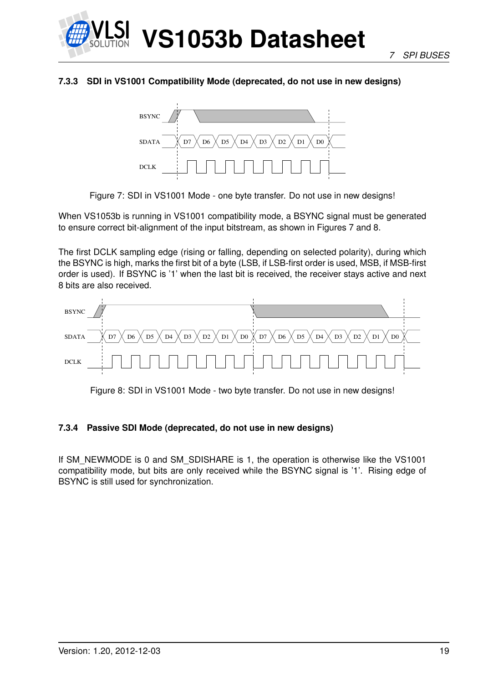

#### <span id="page-18-0"></span>**7.3.3 SDI in VS1001 Compatibility Mode (deprecated, do not use in new designs)**



<span id="page-18-2"></span>Figure 7: SDI in VS1001 Mode - one byte transfer. Do not use in new designs!

When VS1053b is running in VS1001 compatibility mode, a BSYNC signal must be generated to ensure correct bit-alignment of the input bitstream, as shown in Figures [7](#page-18-2) and [8.](#page-18-3)

The first DCLK sampling edge (rising or falling, depending on selected polarity), during which the BSYNC is high, marks the first bit of a byte (LSB, if LSB-first order is used, MSB, if MSB-first order is used). If BSYNC is '1' when the last bit is received, the receiver stays active and next 8 bits are also received.



<span id="page-18-3"></span>Figure 8: SDI in VS1001 Mode - two byte transfer. Do not use in new designs!

#### <span id="page-18-1"></span>**7.3.4 Passive SDI Mode (deprecated, do not use in new designs)**

If SM\_NEWMODE is 0 and SM\_SDISHARE is 1, the operation is otherwise like the VS1001 compatibility mode, but bits are only received while the BSYNC signal is '1'. Rising edge of BSYNC is still used for synchronization.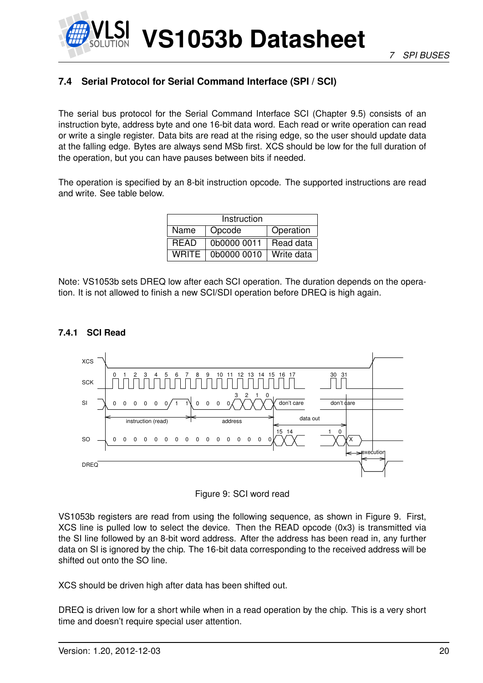

## <span id="page-19-0"></span>**7.4 Serial Protocol for Serial Command Interface (SPI / SCI)**

The serial bus protocol for the Serial Command Interface SCI (Chapter [9.5\)](#page-35-1) consists of an instruction byte, address byte and one 16-bit data word. Each read or write operation can read or write a single register. Data bits are read at the rising edge, so the user should update data at the falling edge. Bytes are always send MSb first. XCS should be low for the full duration of the operation, but you can have pauses between bits if needed.

The operation is specified by an 8-bit instruction opcode. The supported instructions are read and write. See table below.

| Instruction  |             |            |  |  |  |  |  |  |  |  |  |
|--------------|-------------|------------|--|--|--|--|--|--|--|--|--|
| Name         | Opcode      | Operation  |  |  |  |  |  |  |  |  |  |
| <b>READ</b>  | 0b0000 0011 | Read data  |  |  |  |  |  |  |  |  |  |
| <b>WRITE</b> | 0b0000 0010 | Write data |  |  |  |  |  |  |  |  |  |

Note: VS1053b sets DREQ low after each SCI operation. The duration depends on the operation. It is not allowed to finish a new SCI/SDI operation before DREQ is high again.

#### <span id="page-19-1"></span>**7.4.1 SCI Read**



<span id="page-19-2"></span>

VS1053b registers are read from using the following sequence, as shown in Figure [9.](#page-19-2) First, XCS line is pulled low to select the device. Then the READ opcode (0x3) is transmitted via the SI line followed by an 8-bit word address. After the address has been read in, any further data on SI is ignored by the chip. The 16-bit data corresponding to the received address will be shifted out onto the SO line.

XCS should be driven high after data has been shifted out.

DREQ is driven low for a short while when in a read operation by the chip. This is a very short time and doesn't require special user attention.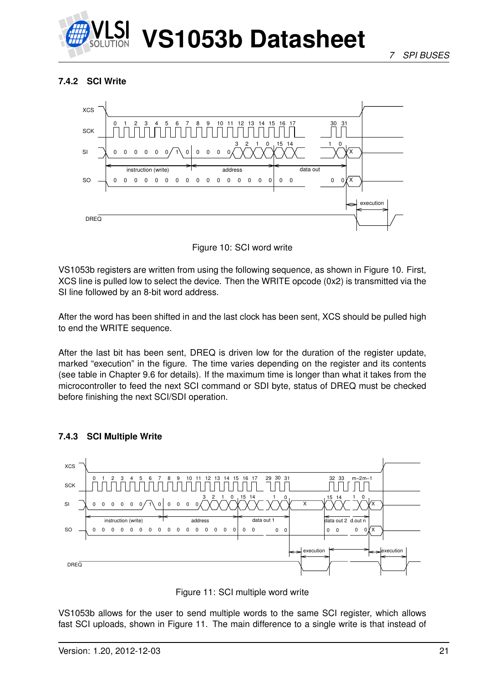

#### <span id="page-20-0"></span>**7.4.2 SCI Write**



<span id="page-20-2"></span>Figure 10: SCI word write

VS1053b registers are written from using the following sequence, as shown in Figure [10.](#page-20-2) First, XCS line is pulled low to select the device. Then the WRITE opcode (0x2) is transmitted via the SI line followed by an 8-bit word address.

After the word has been shifted in and the last clock has been sent, XCS should be pulled high to end the WRITE sequence.

After the last bit has been sent, DREQ is driven low for the duration of the register update, marked "execution" in the figure. The time varies depending on the register and its contents (see table in Chapter [9.6](#page-36-0) for details). If the maximum time is longer than what it takes from the microcontroller to feed the next SCI command or SDI byte, status of DREQ must be checked before finishing the next SCI/SDI operation.



#### <span id="page-20-1"></span>**7.4.3 SCI Multiple Write**

<span id="page-20-3"></span>

VS1053b allows for the user to send multiple words to the same SCI register, which allows fast SCI uploads, shown in Figure [11.](#page-20-3) The main difference to a single write is that instead of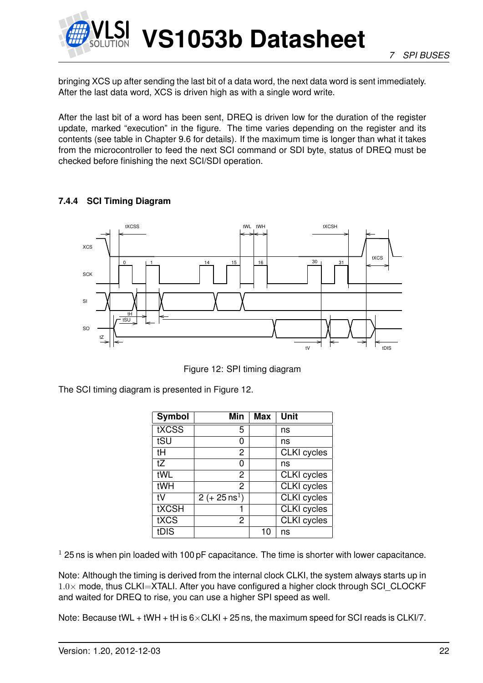

bringing XCS up after sending the last bit of a data word, the next data word is sent immediately. After the last data word, XCS is driven high as with a single word write.

After the last bit of a word has been sent, DREQ is driven low for the duration of the register update, marked "execution" in the figure. The time varies depending on the register and its contents (see table in Chapter [9.6](#page-36-0) for details). If the maximum time is longer than what it takes from the microcontroller to feed the next SCI command or SDI byte, status of DREQ must be checked before finishing the next SCI/SDI operation.

#### <span id="page-21-0"></span>**7.4.4 SCI Timing Diagram**



<span id="page-21-1"></span>Figure 12: SPI timing diagram

The SCI timing diagram is presented in Figure [12.](#page-21-1)

| Symbol       | Min                     | <b>Max</b> | <b>Unit</b>        |
|--------------|-------------------------|------------|--------------------|
| tXCSS        | 5                       |            | ns                 |
| tSU          | 0                       |            | ns                 |
| tH           | 2                       |            | <b>CLKI</b> cycles |
| tZ           | O                       |            | ns                 |
| tWL          | 2                       |            | <b>CLKI</b> cycles |
| tWH          | $\overline{2}$          |            | <b>CLKI</b> cycles |
| tV           | $2 (+ 25 \text{ ns}^1)$ |            | <b>CLKI</b> cycles |
| <b>tXCSH</b> |                         |            | <b>CLKI</b> cycles |
| tXCS         | 2                       |            | <b>CLKI</b> cycles |
| tDIS         |                         | 10         | ns                 |

 $1$  25 ns is when pin loaded with 100 pF capacitance. The time is shorter with lower capacitance.

Note: Although the timing is derived from the internal clock CLKI, the system always starts up in  $1.0\times$  mode, thus CLKI=XTALI. After you have configured a higher clock through SCI\_CLOCKF and waited for DREQ to rise, you can use a higher SPI speed as well.

Note: Because tWL + tWH + tH is  $6 \times$ CLKI + 25 ns, the maximum speed for SCI reads is CLKI/7.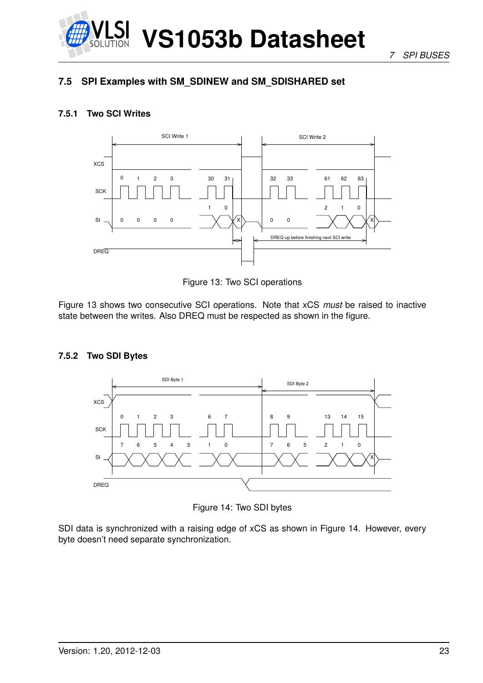

*7 SPI BUSES*

### <span id="page-22-0"></span>**7.5 SPI Examples with SM\_SDINEW and SM\_SDISHARED set**

#### <span id="page-22-1"></span>**7.5.1 Two SCI Writes**



<span id="page-22-3"></span>Figure 13: Two SCI operations

Figure [13](#page-22-3) shows two consecutive SCI operations. Note that xCS *must* be raised to inactive state between the writes. Also DREQ must be respected as shown in the figure.

#### <span id="page-22-2"></span>**7.5.2 Two SDI Bytes**



<span id="page-22-4"></span>Figure 14: Two SDI bytes

SDI data is synchronized with a raising edge of xCS as shown in Figure [14.](#page-22-4) However, every byte doesn't need separate synchronization.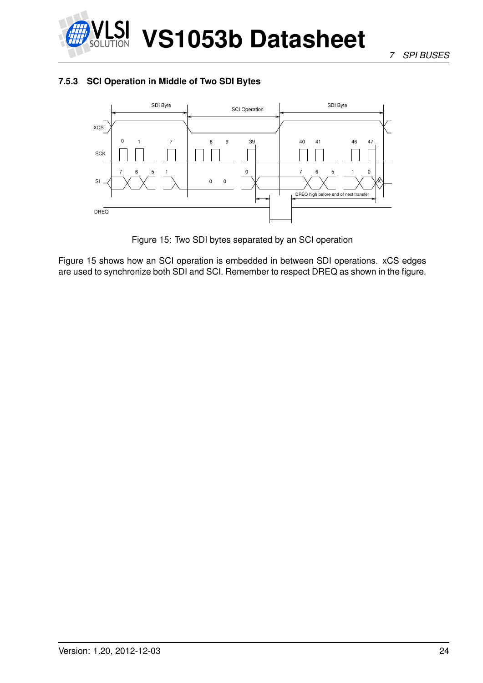

#### <span id="page-23-0"></span>**7.5.3 SCI Operation in Middle of Two SDI Bytes**



<span id="page-23-1"></span>Figure 15: Two SDI bytes separated by an SCI operation

Figure [15](#page-23-1) shows how an SCI operation is embedded in between SDI operations. xCS edges are used to synchronize both SDI and SCI. Remember to respect DREQ as shown in the figure.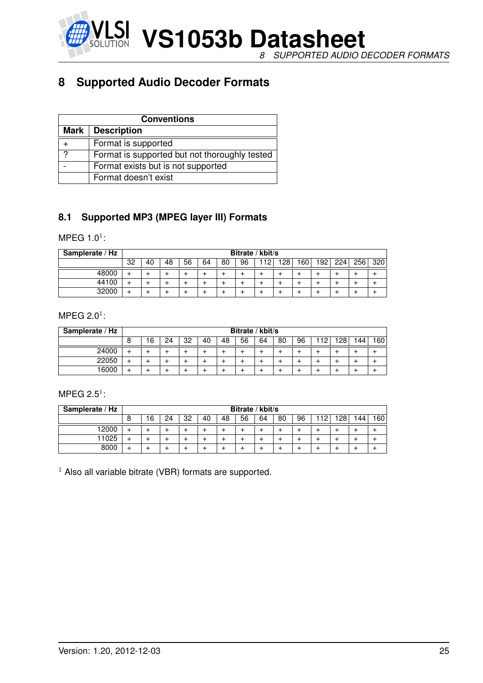

## <span id="page-24-0"></span>**8 Supported Audio Decoder Formats**

|   | <b>Conventions</b>                            |  |  |  |  |  |  |  |  |  |  |
|---|-----------------------------------------------|--|--|--|--|--|--|--|--|--|--|
|   | Mark   Description                            |  |  |  |  |  |  |  |  |  |  |
|   | Format is supported                           |  |  |  |  |  |  |  |  |  |  |
| 2 | Format is supported but not thoroughly tested |  |  |  |  |  |  |  |  |  |  |
|   | Format exists but is not supported            |  |  |  |  |  |  |  |  |  |  |
|   | Format doesn't exist                          |  |  |  |  |  |  |  |  |  |  |

#### <span id="page-24-1"></span>**8.1 Supported MP3 (MPEG layer III) Formats**

#### MPEG 1.0 $^1$ :

| Samplerate / Hz |    | Bitrate / kbit/s |    |    |    |    |    |    |     |     |     |     |     |     |
|-----------------|----|------------------|----|----|----|----|----|----|-----|-----|-----|-----|-----|-----|
|                 | 32 | 40               | 48 | 56 | 64 | 80 | 96 | 12 | 128 | 160 | 192 | 224 | 256 | 320 |
| 48000           |    |                  |    |    |    |    |    |    |     |     |     |     |     |     |
| 44100           |    |                  |    |    |    |    |    |    |     |     |     |     |     |     |
| 32000           |    |                  |    |    |    |    |    |    |     |     |     |     |     |     |

#### MPEG 2.0 $^1$ :

| Samplerate / Hz |   | Bitrate / kbit/s |    |    |    |    |    |    |    |    |    |             |    |     |
|-----------------|---|------------------|----|----|----|----|----|----|----|----|----|-------------|----|-----|
|                 | 8 | 16               | 24 | 32 | 40 | 48 | 56 | 64 | 80 | 96 | 12 | 1 2 R<br>20 | 44 | 160 |
| 24000           |   |                  |    |    |    |    |    |    |    |    |    |             |    |     |
| 22050           |   |                  |    |    |    |    |    |    |    |    |    |             |    |     |
| 16000           |   |                  |    |    |    |    |    |    |    |    |    |             |    |     |

#### MPEG 2.5 $1$ :

| Samplerate / Hz |   | Bitrate / kbit/s |    |    |    |    |    |    |    |    |     |                  |      |     |
|-----------------|---|------------------|----|----|----|----|----|----|----|----|-----|------------------|------|-----|
|                 | 8 | 16               | 24 | 32 | 40 | 48 | 56 | 64 | 80 | 96 | 112 | 128 <sub>1</sub> | 144. | 160 |
| 2000            |   |                  |    |    |    |    |    |    |    |    |     |                  |      |     |
| 11025           |   |                  |    |    |    |    |    |    |    |    |     |                  |      |     |
| 8000            |   |                  |    |    |    |    |    |    |    |    |     |                  |      |     |

 $1$  Also all variable bitrate (VBR) formats are supported.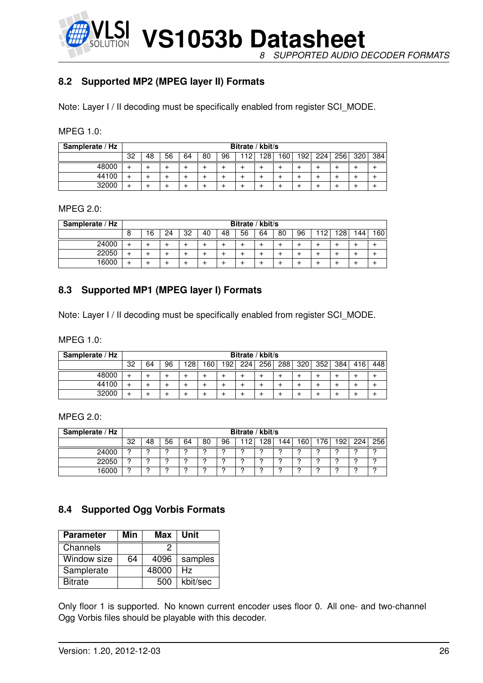**VS1053b Datasheet** *8 SUPPORTED AUDIO DECODER FORMATS*

#### <span id="page-25-0"></span>**8.2 Supported MP2 (MPEG layer II) Formats**

Note: Layer I / II decoding must be specifically enabled from register SCI\_MODE.

| <b>MPEG 1.0:</b> |  |  |
|------------------|--|--|
|                  |  |  |

| Samplerate / Hz |    | Bitrate / kbit/s |    |    |    |    |    |     |     |     |     |                  |     |     |
|-----------------|----|------------------|----|----|----|----|----|-----|-----|-----|-----|------------------|-----|-----|
|                 | 32 | 48               | 56 | 64 | 80 | 96 | 19 | 12R | 160 | 192 | 224 | 256 <sub>1</sub> | 320 | 384 |
| 48000           |    |                  |    |    |    |    |    |     |     |     |     |                  |     |     |
| 44100           |    |                  |    |    |    |    |    |     |     |     |     |                  |     |     |
| 32000           |    |                  | -  |    |    |    |    |     |     |     |     |                  |     |     |

#### MPEG 2.0:

| Samplerate / Hz |   | Bitrate / kbit/s |    |    |    |    |    |    |    |    |     |                  |     |      |
|-----------------|---|------------------|----|----|----|----|----|----|----|----|-----|------------------|-----|------|
|                 | 8 | 16               | 24 | 32 | 40 | 48 | 56 | 64 | 80 | 96 | 12. | 128 <sub>1</sub> | 144 | 160, |
| 24000           |   |                  |    |    |    |    |    |    |    |    |     |                  |     |      |
| 22050           |   |                  |    |    |    |    |    |    |    |    |     |                  |     |      |
| 16000           |   |                  |    |    |    |    |    |    |    |    |     |                  |     |      |

#### <span id="page-25-1"></span>**8.3 Supported MP1 (MPEG layer I) Formats**

Note: Layer I / II decoding must be specifically enabled from register SCI\_MODE.

MPEG 1.0:

| Samplerate / Hz |    | Bitrate / kbit/s |    |     |    |     |     |      |     |     |     |     |     |     |
|-----------------|----|------------------|----|-----|----|-----|-----|------|-----|-----|-----|-----|-----|-----|
|                 | 32 | 64               | 96 | 128 | 60 | 192 | 224 | 2561 | 288 | 320 | 352 | 384 | 416 | 448 |
| 48000           |    |                  |    |     |    |     |     |      |     |     |     |     |     |     |
| 44100           |    |                  |    |     |    |     |     |      |     |     |     |     |     |     |
| 32000           |    |                  |    |     |    |     |     |      |     |     |     |     |     |     |

MPEG 2.0:

| Samplerate / Hz |    | Bitrate / kbit/s |    |    |    |    |     |            |     |     |    |                  |     |     |
|-----------------|----|------------------|----|----|----|----|-----|------------|-----|-----|----|------------------|-----|-----|
|                 | 32 | 48               | 56 | 64 | 80 | 96 | -19 | 1 O.R<br>∼ | '44 | 60. | 76 | 192 <sub>1</sub> | 224 | 256 |
| 24000           |    |                  |    |    |    |    |     |            |     |     |    |                  |     |     |
| 22050           | C  | C                | c  | ◠  |    | o  |     | ◠          | C   | c   |    |                  | c   | C   |
| 16000           |    | C                | c  |    |    |    |     | C          | C   | c   |    |                  |     |     |

#### <span id="page-25-2"></span>**8.4 Supported Ogg Vorbis Formats**

| <b>Parameter</b> | Min | Max   | Unit     |
|------------------|-----|-------|----------|
| Channels         |     | ッ     |          |
| Window size      | 64  | 4096  | samples  |
| Samplerate       |     | 48000 | Hz.      |
| <b>Bitrate</b>   |     | 500   | kbit/sec |

Only floor 1 is supported. No known current encoder uses floor 0. All one- and two-channel Ogg Vorbis files should be playable with this decoder.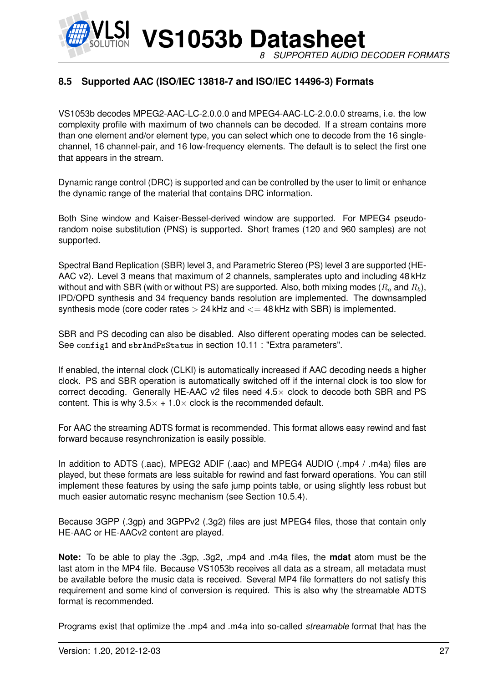**VS1053b Datasheet** *8 SUPPORTED AUDIO DECODER FORMATS*

#### <span id="page-26-0"></span>**8.5 Supported AAC (ISO/IEC 13818-7 and ISO/IEC 14496-3) Formats**

VS1053b decodes MPEG2-AAC-LC-2.0.0.0 and MPEG4-AAC-LC-2.0.0.0 streams, i.e. the low complexity profile with maximum of two channels can be decoded. If a stream contains more than one element and/or element type, you can select which one to decode from the 16 singlechannel, 16 channel-pair, and 16 low-frequency elements. The default is to select the first one that appears in the stream.

Dynamic range control (DRC) is supported and can be controlled by the user to limit or enhance the dynamic range of the material that contains DRC information.

Both Sine window and Kaiser-Bessel-derived window are supported. For MPEG4 pseudorandom noise substitution (PNS) is supported. Short frames (120 and 960 samples) are not supported.

Spectral Band Replication (SBR) level 3, and Parametric Stereo (PS) level 3 are supported (HE-AAC v2). Level 3 means that maximum of 2 channels, samplerates upto and including 48 kHz without and with SBR (with or without PS) are supported. Also, both mixing modes  $(R_a \text{ and } R_b)$ , IPD/OPD synthesis and 34 frequency bands resolution are implemented. The downsampled synthesis mode (core coder rates  $> 24$  kHz and  $<= 48$  kHz with SBR) is implemented.

SBR and PS decoding can also be disabled. Also different operating modes can be selected. See config1 and sbrAndPsStatus in section [10.11](#page-59-0) : "Extra parameters".

If enabled, the internal clock (CLKI) is automatically increased if AAC decoding needs a higher clock. PS and SBR operation is automatically switched off if the internal clock is too slow for correct decoding. Generally HE-AAC v2 files need  $4.5\times$  clock to decode both SBR and PS content. This is why  $3.5 \times +1.0 \times$  clock is the recommended default.

For AAC the streaming ADTS format is recommended. This format allows easy rewind and fast forward because resynchronization is easily possible.

In addition to ADTS (.aac), MPEG2 ADIF (.aac) and MPEG4 AUDIO (.mp4 / .m4a) files are played, but these formats are less suitable for rewind and fast forward operations. You can still implement these features by using the safe jump points table, or using slightly less robust but much easier automatic resync mechanism (see Section [10.5.4\)](#page-50-0).

Because 3GPP (.3gp) and 3GPPv2 (.3g2) files are just MPEG4 files, those that contain only HE-AAC or HE-AACv2 content are played.

**Note:** To be able to play the .3gp, .3g2, .mp4 and .m4a files, the **mdat** atom must be the last atom in the MP4 file. Because VS1053b receives all data as a stream, all metadata must be available before the music data is received. Several MP4 file formatters do not satisfy this requirement and some kind of conversion is required. This is also why the streamable ADTS format is recommended.

Programs exist that optimize the .mp4 and .m4a into so-called *streamable* format that has the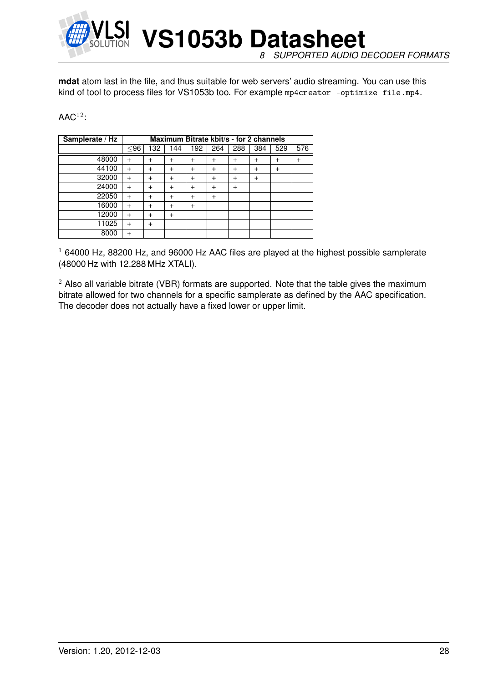

**mdat** atom last in the file, and thus suitable for web servers' audio streaming. You can use this kind of tool to process files for VS1053b too. For example mp4creator -optimize file.mp4.

#### $\mathsf{AAC}^{12}$ :

| Samplerate / Hz |           | Maximum Bitrate kbit/s - for 2 channels |           |           |           |           |           |              |     |  |  |  |  |
|-----------------|-----------|-----------------------------------------|-----------|-----------|-----------|-----------|-----------|--------------|-----|--|--|--|--|
|                 | $96$      | 132                                     | 144       | 192       | 264       | 288       | 384       | 529          | 576 |  |  |  |  |
| 48000           | $\div$    | $\ddot{}$                               | $\ddot{}$ | $\div$    | $\ddot{}$ | +         | $\ddot{}$ | $\mathrm{+}$ |     |  |  |  |  |
| 44100           |           | $\ddot{}$                               | $\ddot{}$ | $\div$    | $\ddot{}$ | $\ddot{}$ | $\ddot{}$ | $\ddot{}$    |     |  |  |  |  |
| 32000           | $\div$    | $\ddot{}$                               | $\ddot{}$ | $\ddot{}$ | $\ddot{}$ | $\ddot{}$ | $\ddot{}$ |              |     |  |  |  |  |
| 24000           | $\ddot{}$ | $\ddot{}$                               | $\ddot{}$ | +         | $\ddot{}$ | +         |           |              |     |  |  |  |  |
| 22050           | $\ddot{}$ | $\ddot{}$                               | $\ddot{}$ | $\div$    | $\ddot{}$ |           |           |              |     |  |  |  |  |
| 16000           | $\div$    | $\ddot{}$                               | $\ddot{}$ | $\ddot{}$ |           |           |           |              |     |  |  |  |  |
| 12000           | $\ddot{}$ | $\ddot{}$                               | $\ddot{}$ |           |           |           |           |              |     |  |  |  |  |
| 11025           |           | $\ddot{}$                               |           |           |           |           |           |              |     |  |  |  |  |
| 8000            |           |                                         |           |           |           |           |           |              |     |  |  |  |  |

 $1$  64000 Hz, 88200 Hz, and 96000 Hz AAC files are played at the highest possible samplerate (48000 Hz with 12.288 MHz XTALI).

 $2$  Also all variable bitrate (VBR) formats are supported. Note that the table gives the maximum bitrate allowed for two channels for a specific samplerate as defined by the AAC specification. The decoder does not actually have a fixed lower or upper limit.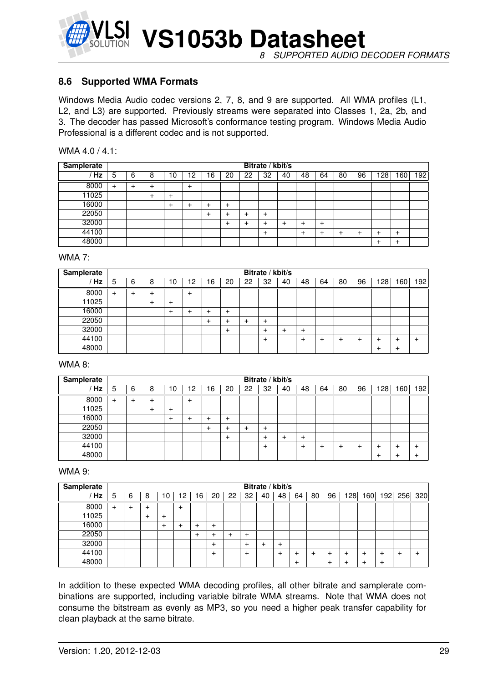

**VS1053b Datasheet** *8 SUPPORTED AUDIO DECODER FORMATS*

#### <span id="page-28-0"></span>**8.6 Supported WMA Formats**

Windows Media Audio codec versions 2, 7, 8, and 9 are supported. All WMA profiles (L1, L2, and L3) are supported. Previously streams were separated into Classes 1, 2a, 2b, and 3. The decoder has passed Microsoft's conformance testing program. Windows Media Audio Professional is a different codec and is not supported.

| WMA 4.0 / 4.1: |  |  |
|----------------|--|--|
|----------------|--|--|

| <b>Samplerate</b> | Bitrate / kbit/s |   |   |        |       |    |        |    |       |    |    |           |    |    |       |           |     |
|-------------------|------------------|---|---|--------|-------|----|--------|----|-------|----|----|-----------|----|----|-------|-----------|-----|
| Hz                | 5                | 6 | 8 | ۱0     | 2     | ۱6 | 20     | 22 | 32    | 40 | 48 | 64        | 80 | 96 | 128   | 160       | 192 |
| 8000              | $\ddot{}$        |   | ٠ |        | $\pm$ |    |        |    |       |    |    |           |    |    |       |           |     |
| 11025             |                  |   | + | $\div$ |       |    |        |    |       |    |    |           |    |    |       |           |     |
| 16000             |                  |   |   | $\div$ | +     | +  | $^{+}$ |    |       |    |    |           |    |    |       |           |     |
| 22050             |                  |   |   |        |       | +  | +      | ٠  | $\pm$ |    |    |           |    |    |       |           |     |
| 32000             |                  |   |   |        |       |    | $\pm$  | +  | +     | +  |    | $\ddot{}$ |    |    |       |           |     |
| 44100             |                  |   |   |        |       |    |        |    | $\pm$ |    |    |           |    |    | ٠     | $^{+}$    |     |
| 48000             |                  |   |   |        |       |    |        |    |       |    |    |           |    |    | $\pm$ | $\ddot{}$ |     |

#### WMA 7:

| <b>Samplerate</b> | Bitrate / kbit/s |   |   |       |       |    |              |    |       |    |        |    |    |    |     |        |           |
|-------------------|------------------|---|---|-------|-------|----|--------------|----|-------|----|--------|----|----|----|-----|--------|-----------|
| Hz                | 5                | 6 | 8 | ١0    | .2    | 16 | 20           | 22 | 32    | 40 | 48     | 64 | 80 | 96 | 128 | 60     | 192       |
| 8000              | $\ddot{}$        |   |   |       | $\pm$ |    |              |    |       |    |        |    |    |    |     |        |           |
| 11025             |                  |   |   | +     |       |    |              |    |       |    |        |    |    |    |     |        |           |
| 16000             |                  |   |   | $\pm$ | ÷     | +  | $\mathrm{+}$ |    |       |    |        |    |    |    |     |        |           |
| 22050             |                  |   |   |       |       | +  | ÷            | +  | $\pm$ |    |        |    |    |    |     |        |           |
| 32000             |                  |   |   |       |       |    | ٠            |    | ÷     | +  | $\div$ |    |    |    |     |        |           |
| 44100             |                  |   |   |       |       |    |              |    | $\pm$ |    | $\div$ |    |    |    | ٠   | $\,^+$ | $\ddot{}$ |
| 48000             |                  |   |   |       |       |    |              |    |       |    |        |    |    |    | ٠   | $\,^+$ |           |

#### WMA 8:

| Samplerate |           |   |   |    |       |              |              |    | Bitrate / kbit/s |    |        |    |    |    |     |     |     |
|------------|-----------|---|---|----|-------|--------------|--------------|----|------------------|----|--------|----|----|----|-----|-----|-----|
| Hz         | 5         | 6 | 8 | 10 | 12    | 16           | 20           | 22 | 32               | 40 | 48     | 64 | 80 | 96 | 128 | 160 | 192 |
| 8000       | $\ddot{}$ |   | ٠ |    | $\pm$ |              |              |    |                  |    |        |    |    |    |     |     |     |
| 11025      |           |   | + | ┶  |       |              |              |    |                  |    |        |    |    |    |     |     |     |
| 16000      |           |   |   | ÷  | +     | $\mathrm{+}$ | $\ddot{}$    |    |                  |    |        |    |    |    |     |     |     |
| 22050      |           |   |   |    |       | +            | ٠            |    | $\pm$            |    |        |    |    |    |     |     |     |
| 32000      |           |   |   |    |       |              | $\mathrm{+}$ |    | ┷                | +  | $\div$ |    |    |    |     |     |     |
| 44100      |           |   |   |    |       |              |              |    | $\pm$            |    |        |    |    |    | ÷   |     |     |
| 48000      |           |   |   |    |       |              |              |    |                  |    |        |    |    |    | ÷   |     |     |

#### WMA 9:

| <b>Samplerate</b> |           |   |   |    |        |    |        |    |           |    | Bitrate / kbit/s |        |    |    |           |    |     |     |     |
|-------------------|-----------|---|---|----|--------|----|--------|----|-----------|----|------------------|--------|----|----|-----------|----|-----|-----|-----|
| Hz                | 5         | 6 | 8 | 10 | 2      | 16 | 20     | 22 | 32        | 40 | 48               | 64     | 80 | 96 | <b>28</b> | 60 | ا92 | 256 | 320 |
| 8000              | $\ddot{}$ |   |   |    | $\div$ |    |        |    |           |    |                  |        |    |    |           |    |     |     |     |
| 11025             |           |   |   | +  |        |    |        |    |           |    |                  |        |    |    |           |    |     |     |     |
| 16000             |           |   |   |    |        |    | $\div$ |    |           |    |                  |        |    |    |           |    |     |     |     |
| 22050             |           |   |   |    |        | ٠  |        |    | $\,^+$    |    |                  |        |    |    |           |    |     |     |     |
| 32000             |           |   |   |    |        |    | +      |    | +         |    |                  |        |    |    |           |    |     |     |     |
| 44100             |           |   |   |    |        |    | $\div$ |    | $\ddot{}$ |    | $+$              | +      |    |    |           |    |     |     |     |
| 48000             |           |   |   |    |        |    |        |    |           |    |                  | $\,^+$ |    |    |           |    |     |     |     |

In addition to these expected WMA decoding profiles, all other bitrate and samplerate combinations are supported, including variable bitrate WMA streams. Note that WMA does not consume the bitstream as evenly as MP3, so you need a higher peak transfer capability for clean playback at the same bitrate.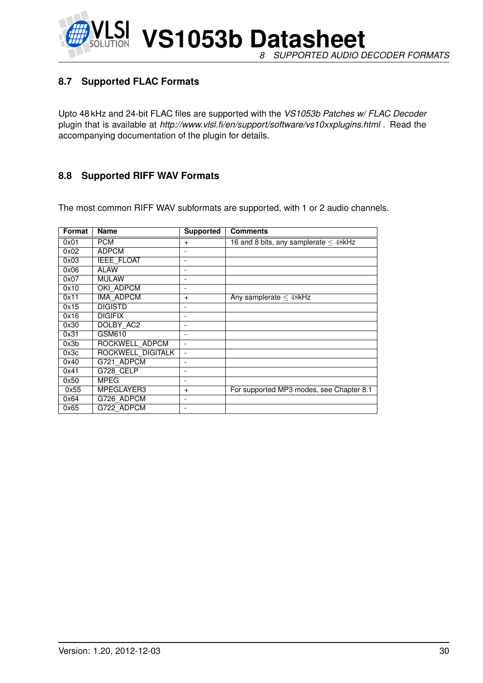**VS1053b Datasheet** *8 SUPPORTED AUDIO DECODER FORMATS*

#### <span id="page-29-0"></span>**8.7 Supported FLAC Formats**

Upto 48 kHz and 24-bit FLAC files are supported with the *VS1053b Patches w/ FLAC Decoder* plugin that is available at *http://www.vlsi.fi/en/support/software/vs10xxplugins.html* . Read the accompanying documentation of the plugin for details.

#### <span id="page-29-1"></span>**8.8 Supported RIFF WAV Formats**

The most common RIFF WAV subformats are supported, with 1 or 2 audio channels.

| Format | <b>Name</b>       | <b>Supported</b>         | <b>Comments</b>                            |
|--------|-------------------|--------------------------|--------------------------------------------|
| 0x01   | <b>PCM</b>        | $+$                      | 16 and 8 bits, any samplerate $\leq$ 48kHz |
| 0x02   | <b>ADPCM</b>      |                          |                                            |
| 0x03   | <b>IEEE FLOAT</b> | $\overline{\phantom{0}}$ |                                            |
| 0x06   | <b>ALAW</b>       | $\overline{\phantom{0}}$ |                                            |
| 0x07   | <b>MULAW</b>      |                          |                                            |
| 0x10   | OKI ADPCM         |                          |                                            |
| 0x11   | <b>IMA ADPCM</b>  | $\ddot{}$                | Any samplerate $\leq$ 48kHz                |
| 0x15   | <b>DIGISTD</b>    |                          |                                            |
| 0x16   | <b>DIGIFIX</b>    | $\overline{\phantom{0}}$ |                                            |
| 0x30   | DOLBY AC2         |                          |                                            |
| 0x31   | GSM610            |                          |                                            |
| 0x3b   | ROCKWELL ADPCM    |                          |                                            |
| 0x3c   | ROCKWELL DIGITALK | $\blacksquare$           |                                            |
| 0x40   | G721 ADPCM        |                          |                                            |
| 0x41   | G728 CELP         |                          |                                            |
| 0x50   | <b>MPEG</b>       | $\overline{\phantom{0}}$ |                                            |
| 0x55   | MPEGLAYER3        | $+$                      | For supported MP3 modes, see Chapter 8.1   |
| 0x64   | G726 ADPCM        |                          |                                            |
| 0x65   | G722 ADPCM        |                          |                                            |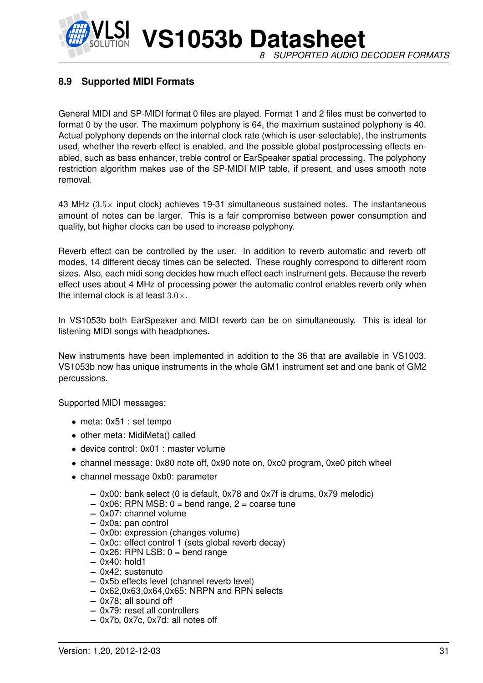

#### <span id="page-30-0"></span>**8.9 Supported MIDI Formats**

General MIDI and SP-MIDI format 0 files are played. Format 1 and 2 files must be converted to format 0 by the user. The maximum polyphony is 64, the maximum sustained polyphony is 40. Actual polyphony depends on the internal clock rate (which is user-selectable), the instruments used, whether the reverb effect is enabled, and the possible global postprocessing effects enabled, such as bass enhancer, treble control or EarSpeaker spatial processing. The polyphony restriction algorithm makes use of the SP-MIDI MIP table, if present, and uses smooth note removal.

43 MHz  $(3.5\times$  input clock) achieves 19-31 simultaneous sustained notes. The instantaneous amount of notes can be larger. This is a fair compromise between power consumption and quality, but higher clocks can be used to increase polyphony.

Reverb effect can be controlled by the user. In addition to reverb automatic and reverb off modes, 14 different decay times can be selected. These roughly correspond to different room sizes. Also, each midi song decides how much effect each instrument gets. Because the reverb effect uses about 4 MHz of processing power the automatic control enables reverb only when the internal clock is at least  $3.0 \times$ .

In VS1053b both EarSpeaker and MIDI reverb can be on simultaneously. This is ideal for listening MIDI songs with headphones.

New instruments have been implemented in addition to the 36 that are available in VS1003. VS1053b now has unique instruments in the whole GM1 instrument set and one bank of GM2 percussions.

Supported MIDI messages:

- meta: 0x51 : set tempo
- other meta: MidiMeta() called
- device control: 0x01 : master volume
- channel message: 0x80 note off, 0x90 note on, 0xc0 program, 0xe0 pitch wheel
- channel message 0xb0: parameter
	- **–** 0x00: bank select (0 is default, 0x78 and 0x7f is drums, 0x79 melodic)
	- **–** 0x06: RPN MSB: 0 = bend range, 2 = coarse tune
	- **–** 0x07: channel volume
	- **–** 0x0a: pan control
	- **–** 0x0b: expression (changes volume)
	- **–** 0x0c: effect control 1 (sets global reverb decay)
	- **–** 0x26: RPN LSB: 0 = bend range
	- **–** 0x40: hold1
	- **–** 0x42: sustenuto
	- **–** 0x5b effects level (channel reverb level)
	- **–** 0x62,0x63,0x64,0x65: NRPN and RPN selects
	- **–** 0x78: all sound off
	- **–** 0x79: reset all controllers
	- **–** 0x7b, 0x7c, 0x7d: all notes off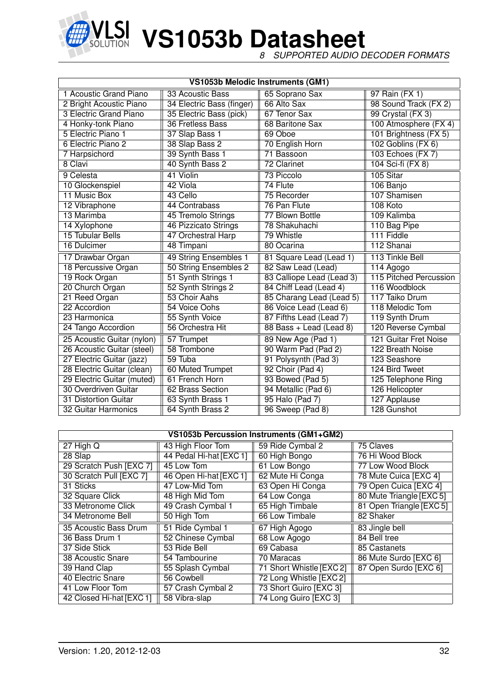

*8 SUPPORTED AUDIO DECODER FORMATS*

|                            |                           | VS1053b Melodic Instruments (GM1) |                        |
|----------------------------|---------------------------|-----------------------------------|------------------------|
| 1 Acoustic Grand Piano     | 33 Acoustic Bass          | 65 Soprano Sax                    | 97 Rain (FX 1)         |
| 2 Bright Acoustic Piano    | 34 Electric Bass (finger) | 66 Alto Sax                       | 98 Sound Track (FX 2)  |
| 3 Electric Grand Piano     | 35 Electric Bass (pick)   | 67 Tenor Sax                      | 99 Crystal (FX 3)      |
| 4 Honky-tonk Piano         | 36 Fretless Bass          | 68 Baritone Sax                   | 100 Atmosphere (FX 4)  |
| 5 Electric Piano 1         | 37 Slap Bass 1            | 69 Oboe                           | 101 Brightness (FX 5)  |
| 6 Electric Piano 2         | 38 Slap Bass 2            | 70 English Horn                   | 102 Goblins (FX 6)     |
| 7 Harpsichord              | 39 Synth Bass 1           | 71 Bassoon                        | 103 Echoes (FX 7)      |
| 8 Clavi                    | 40 Synth Bass 2           | 72 Clarinet                       | 104 Sci-fi (FX 8)      |
| 9 Celesta                  | 41 Violin                 | 73 Piccolo                        | 105 Sitar              |
| 10 Glockenspiel            | 42 Viola                  | 74 Flute                          | 106 Banjo              |
| 11 Music Box               | 43 Cello                  | 75 Recorder                       | 107 Shamisen           |
| 12 Vibraphone              | 44 Contrabass             | 76 Pan Flute                      | 108 Koto               |
| 13 Marimba                 | 45 Tremolo Strings        | 77 Blown Bottle                   | 109 Kalimba            |
| 14 Xylophone               | 46 Pizzicato Strings      | 78 Shakuhachi                     | 110 Bag Pipe           |
| <b>15 Tubular Bells</b>    | 47 Orchestral Harp        | 79 Whistle                        | 111 Fiddle             |
| 16 Dulcimer                | 48 Timpani                | 80 Ocarina                        | 112 Shanai             |
| 17 Drawbar Organ           | 49 String Ensembles 1     | 81 Square Lead (Lead 1)           | 113 Tinkle Bell        |
| 18 Percussive Organ        | 50 String Ensembles 2     | 82 Saw Lead (Lead)                | 114 Agogo              |
| 19 Rock Organ              | 51 Synth Strings 1        | 83 Calliope Lead (Lead 3)         | 115 Pitched Percussion |
| 20 Church Organ            | 52 Synth Strings 2        | 84 Chiff Lead (Lead 4)            | 116 Woodblock          |
| 21 Reed Organ              | 53 Choir Aahs             | 85 Charang Lead (Lead 5)          | 117 Taiko Drum         |
| 22 Accordion               | 54 Voice Oohs             | 86 Voice Lead (Lead 6)            | 118 Melodic Tom        |
| 23 Harmonica               | 55 Synth Voice            | 87 Fifths Lead (Lead 7)           | 119 Synth Drum         |
| 24 Tango Accordion         | 56 Orchestra Hit          | 88 Bass + Lead (Lead 8)           | 120 Reverse Cymbal     |
| 25 Acoustic Guitar (nylon) | 57 Trumpet                | 89 New Age (Pad 1)                | 121 Guitar Fret Noise  |
| 26 Acoustic Guitar (steel) | 58 Trombone               | 90 Warm Pad (Pad 2)               | 122 Breath Noise       |
| 27 Electric Guitar (jazz)  | 59 Tuba                   | 91 Polysynth (Pad 3)              | 123 Seashore           |
| 28 Electric Guitar (clean) | 60 Muted Trumpet          | 92 Choir (Pad 4)                  | 124 Bird Tweet         |
| 29 Electric Guitar (muted) | 61 French Horn            | 93 Bowed (Pad 5)                  | 125 Telephone Ring     |
| 30 Overdriven Guitar       | 62 Brass Section          | 94 Metallic (Pad 6)               | 126 Helicopter         |
| 31 Distortion Guitar       | 63 Synth Brass 1          | 95 Halo (Pad 7)                   | 127 Applause           |
| 32 Guitar Harmonics        | 64 Synth Brass 2          | 96 Sweep (Pad 8)                  | 128 Gunshot            |

| VS1053b Percussion Instruments (GM1+GM2) |                         |                         |                          |  |  |  |  |  |  |  |  |  |
|------------------------------------------|-------------------------|-------------------------|--------------------------|--|--|--|--|--|--|--|--|--|
| $27$ High Q                              | 43 High Floor Tom       | 59 Ride Cymbal 2        | 75 Claves                |  |  |  |  |  |  |  |  |  |
| 28 Slap                                  | 44 Pedal Hi-hat [EXC 1] | 60 High Bongo           | 76 Hi Wood Block         |  |  |  |  |  |  |  |  |  |
| 29 Scratch Push [EXC 7]                  | 45 Low Tom              | 61 Low Bongo            | 77 Low Wood Block        |  |  |  |  |  |  |  |  |  |
| 30 Scratch Pull [EXC 7]                  | 46 Open Hi-hat [EXC 1]  | 62 Mute Hi Conga        | 78 Mute Cuica [EXC 4]    |  |  |  |  |  |  |  |  |  |
| 31 Sticks                                | 47 Low-Mid Tom          | 63 Open Hi Conga        | 79 Open Cuica [EXC 4]    |  |  |  |  |  |  |  |  |  |
| 32 Square Click                          | 48 High Mid Tom         | 64 Low Conga            | 80 Mute Triangle [EXC 5] |  |  |  |  |  |  |  |  |  |
| 33 Metronome Click                       | 49 Crash Cymbal 1       | 65 High Timbale         | 81 Open Triangle [EXC 5] |  |  |  |  |  |  |  |  |  |
| 34 Metronome Bell                        | 50 High Tom             | 66 Low Timbale          | 82 Shaker                |  |  |  |  |  |  |  |  |  |
| 35 Acoustic Bass Drum                    | 51 Ride Cymbal 1        | 67 High Agogo           | 83 Jingle bell           |  |  |  |  |  |  |  |  |  |
| 36 Bass Drum 1                           | 52 Chinese Cymbal       | 68 Low Agogo            | 84 Bell tree             |  |  |  |  |  |  |  |  |  |
| 37 Side Stick                            | 53 Ride Bell            | 69 Cabasa               | 85 Castanets             |  |  |  |  |  |  |  |  |  |
| 38 Acoustic Snare                        | 54 Tambourine           | 70 Maracas              | 86 Mute Surdo [EXC 6]    |  |  |  |  |  |  |  |  |  |
| 39 Hand Clap                             | 55 Splash Cymbal        | 71 Short Whistle [EXC2] | 87 Open Surdo [EXC 6]    |  |  |  |  |  |  |  |  |  |
| 40 Electric Snare                        | 56 Cowbell              | 72 Long Whistle [EXC 2] |                          |  |  |  |  |  |  |  |  |  |
| 41 Low Floor Tom                         | 57 Crash Cymbal 2       | 73 Short Guiro [EXC 3]  |                          |  |  |  |  |  |  |  |  |  |
| 42 Closed Hi-hat [EXC 1]                 | 58 Vibra-slap           | 74 Long Guiro [EXC 3]   |                          |  |  |  |  |  |  |  |  |  |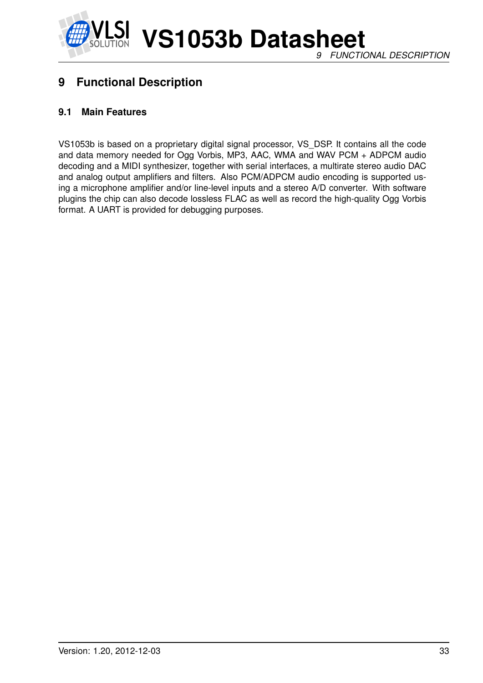

## <span id="page-32-0"></span>**9 Functional Description**

#### <span id="page-32-1"></span>**9.1 Main Features**

VS1053b is based on a proprietary digital signal processor, VS\_DSP. It contains all the code and data memory needed for Ogg Vorbis, MP3, AAC, WMA and WAV PCM + ADPCM audio decoding and a MIDI synthesizer, together with serial interfaces, a multirate stereo audio DAC and analog output amplifiers and filters. Also PCM/ADPCM audio encoding is supported using a microphone amplifier and/or line-level inputs and a stereo A/D converter. With software plugins the chip can also decode lossless FLAC as well as record the high-quality Ogg Vorbis format. A UART is provided for debugging purposes.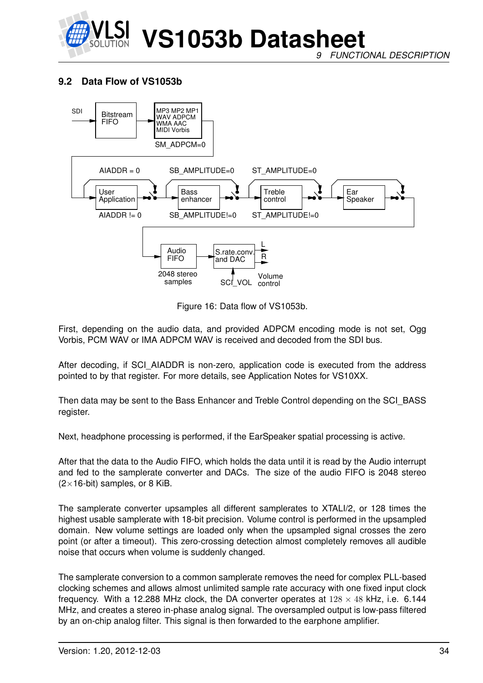

*9 FUNCTIONAL DESCRIPTION*

#### <span id="page-33-0"></span>**9.2 Data Flow of VS1053b**



<span id="page-33-1"></span>Figure 16: Data flow of VS1053b.

First, depending on the audio data, and provided ADPCM encoding mode is not set, Ogg Vorbis, PCM WAV or IMA ADPCM WAV is received and decoded from the SDI bus.

After decoding, if SCI\_AIADDR is non-zero, application code is executed from the address pointed to by that register. For more details, see Application Notes for VS10XX.

Then data may be sent to the Bass Enhancer and Treble Control depending on the SCI\_BASS register.

Next, headphone processing is performed, if the EarSpeaker spatial processing is active.

After that the data to the Audio FIFO, which holds the data until it is read by the Audio interrupt and fed to the samplerate converter and DACs. The size of the audio FIFO is 2048 stereo  $(2\times16$ -bit) samples, or 8 KiB.

The samplerate converter upsamples all different samplerates to XTALI/2, or 128 times the highest usable samplerate with 18-bit precision. Volume control is performed in the upsampled domain. New volume settings are loaded only when the upsampled signal crosses the zero point (or after a timeout). This zero-crossing detection almost completely removes all audible noise that occurs when volume is suddenly changed.

The samplerate conversion to a common samplerate removes the need for complex PLL-based clocking schemes and allows almost unlimited sample rate accuracy with one fixed input clock frequency. With a 12.288 MHz clock, the DA converter operates at  $128 \times 48$  kHz, i.e. 6.144 MHz, and creates a stereo in-phase analog signal. The oversampled output is low-pass filtered by an on-chip analog filter. This signal is then forwarded to the earphone amplifier.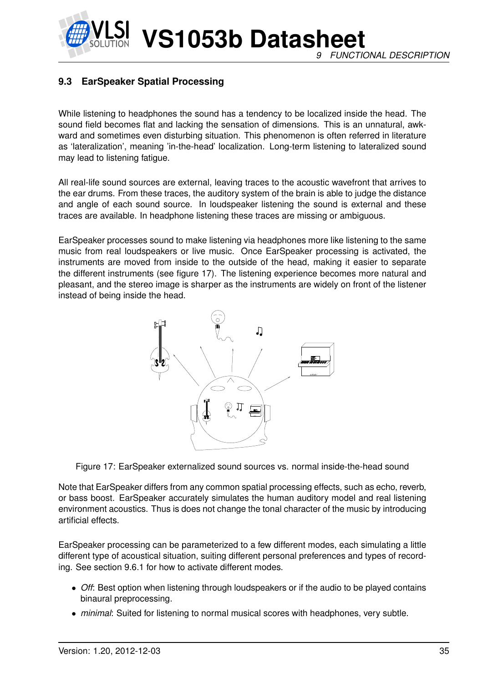**VS1053b Datasheet** *9 FUNCTIONAL DESCRIPTION*

#### <span id="page-34-0"></span>**9.3 EarSpeaker Spatial Processing**

While listening to headphones the sound has a tendency to be localized inside the head. The sound field becomes flat and lacking the sensation of dimensions. This is an unnatural, awkward and sometimes even disturbing situation. This phenomenon is often referred in literature as 'lateralization', meaning 'in-the-head' localization. Long-term listening to lateralized sound may lead to listening fatigue.

All real-life sound sources are external, leaving traces to the acoustic wavefront that arrives to the ear drums. From these traces, the auditory system of the brain is able to judge the distance and angle of each sound source. In loudspeaker listening the sound is external and these traces are available. In headphone listening these traces are missing or ambiguous.

EarSpeaker processes sound to make listening via headphones more like listening to the same music from real loudspeakers or live music. Once EarSpeaker processing is activated, the instruments are moved from inside to the outside of the head, making it easier to separate the different instruments (see figure [17\)](#page-34-1). The listening experience becomes more natural and pleasant, and the stereo image is sharper as the instruments are widely on front of the listener instead of being inside the head.



<span id="page-34-1"></span>Figure 17: EarSpeaker externalized sound sources vs. normal inside-the-head sound

Note that EarSpeaker differs from any common spatial processing effects, such as echo, reverb, or bass boost. EarSpeaker accurately simulates the human auditory model and real listening environment acoustics. Thus is does not change the tonal character of the music by introducing artificial effects.

EarSpeaker processing can be parameterized to a few different modes, each simulating a little different type of acoustical situation, suiting different personal preferences and types of recording. See section [9.6.1](#page-37-0) for how to activate different modes.

- *Off*: Best option when listening through loudspeakers or if the audio to be played contains binaural preprocessing.
- *minimal*: Suited for listening to normal musical scores with headphones, very subtle.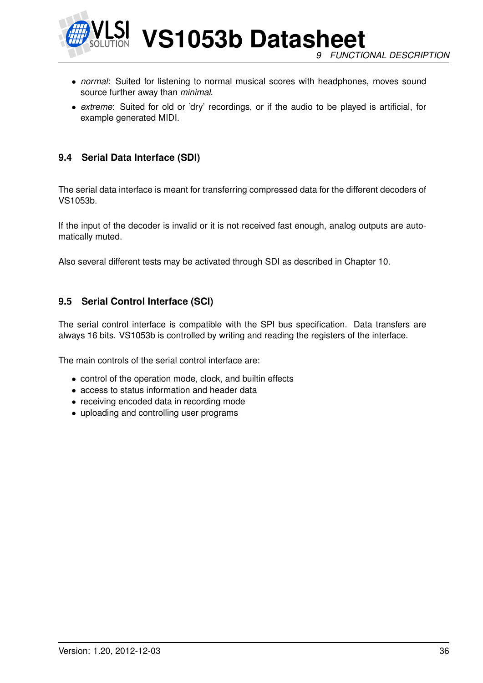

**VS1053b Datasheet** *9 FUNCTIONAL DESCRIPTION*

- *normal*: Suited for listening to normal musical scores with headphones, moves sound source further away than *minimal*.
- *extreme*: Suited for old or 'dry' recordings, or if the audio to be played is artificial, for example generated MIDI.

#### <span id="page-35-0"></span>**9.4 Serial Data Interface (SDI)**

The serial data interface is meant for transferring compressed data for the different decoders of VS1053b.

If the input of the decoder is invalid or it is not received fast enough, analog outputs are automatically muted.

Also several different tests may be activated through SDI as described in Chapter [10.](#page-47-0)

#### <span id="page-35-1"></span>**9.5 Serial Control Interface (SCI)**

The serial control interface is compatible with the SPI bus specification. Data transfers are always 16 bits. VS1053b is controlled by writing and reading the registers of the interface.

The main controls of the serial control interface are:

- control of the operation mode, clock, and builtin effects
- access to status information and header data
- receiving encoded data in recording mode
- uploading and controlling user programs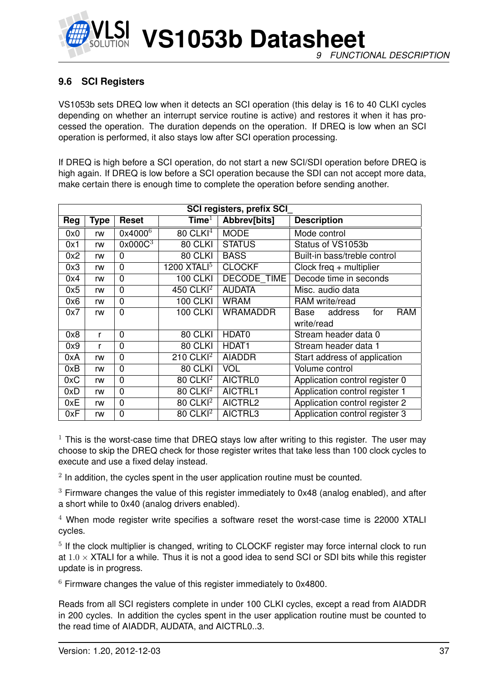

# <span id="page-36-0"></span>**9.6 SCI Registers**

VS1053b sets DREQ low when it detects an SCI operation (this delay is 16 to 40 CLKI cycles depending on whether an interrupt service routine is active) and restores it when it has processed the operation. The duration depends on the operation. If DREQ is low when an SCI operation is performed, it also stays low after SCI operation processing.

If DREQ is high before a SCI operation, do not start a new SCI/SDI operation before DREQ is high again. If DREQ is low before a SCI operation because the SDI can not accept more data, make certain there is enough time to complete the operation before sending another.

|     | <b>SCI registers, prefix SCI</b> |                     |                         |                    |                                      |  |  |  |
|-----|----------------------------------|---------------------|-------------------------|--------------------|--------------------------------------|--|--|--|
| Reg | <b>Type</b>                      | Reset               | Time <sup>1</sup>       | Abbrev[bits]       | <b>Description</b>                   |  |  |  |
| 0x0 | rw                               | 0x4000 <sup>6</sup> | $80$ CLKI <sup>4</sup>  | <b>MODE</b>        | Mode control                         |  |  |  |
| 0x1 | rw                               | 0x000C <sup>3</sup> | 80 CLKI                 | <b>STATUS</b>      | Status of VS1053b                    |  |  |  |
| 0x2 | rw                               | 0                   | 80 CLKI                 | <b>BASS</b>        | Built-in bass/treble control         |  |  |  |
| 0x3 | rw                               | $\overline{0}$      | 1200 XTALI $5$          | <b>CLOCKF</b>      | $Clock$ freq $+$ multiplier          |  |  |  |
| 0x4 | rw                               | 0                   | <b>100 CLKI</b>         | <b>DECODE TIME</b> | Decode time in seconds               |  |  |  |
| 0x5 | rw                               | 0                   | 450 CLKI <sup>2</sup>   | <b>AUDATA</b>      | Misc. audio data                     |  |  |  |
| 0x6 | rw                               | 0                   | <b>100 CLKI</b>         | <b>WRAM</b>        | RAM write/read                       |  |  |  |
| 0x7 | rw                               | $\overline{0}$      | <b>100 CLKI</b>         | <b>WRAMADDR</b>    | address<br><b>RAM</b><br>Base<br>for |  |  |  |
|     |                                  |                     |                         |                    | write/read                           |  |  |  |
| 0x8 | r                                | 0                   | 80 CLKI                 | HDAT0              | Stream header data 0                 |  |  |  |
| 0x9 | r                                | 0                   | 80 CLKI                 | HDAT <sub>1</sub>  | Stream header data 1                 |  |  |  |
| 0xA | rw                               | 0                   | $210$ CLKI <sup>2</sup> | <b>AIADDR</b>      | Start address of application         |  |  |  |
| 0xB | rw                               | 0                   | 80 CLKI                 | <b>VOL</b>         | Volume control                       |  |  |  |
| 0xC | rw                               | 0                   | $80$ CLKI <sup>2</sup>  | <b>AICTRL0</b>     | Application control register 0       |  |  |  |
| 0xD | rw                               | 0                   | $80$ CLKI <sup>2</sup>  | AICTRL1            | Application control register 1       |  |  |  |
| 0xE | rw                               | 0                   | 80 CLKI <sup>2</sup>    | AICTRL2            | Application control register 2       |  |  |  |
| 0xF | rw                               | 0                   | $80$ CLKI <sup>2</sup>  | AICTRL3            | Application control register 3       |  |  |  |

 $1$  This is the worst-case time that DREQ stays low after writing to this register. The user may choose to skip the DREQ check for those register writes that take less than 100 clock cycles to execute and use a fixed delay instead.

 $2$  In addition, the cycles spent in the user application routine must be counted.

 $3$  Firmware changes the value of this register immediately to 0x48 (analog enabled), and after a short while to 0x40 (analog drivers enabled).

<sup>4</sup> When mode register write specifies a software reset the worst-case time is 22000 XTALI cycles.

<sup>5</sup> If the clock multiplier is changed, writing to CLOCKF register may force internal clock to run at  $1.0 \times$  XTALI for a while. Thus it is not a good idea to send SCI or SDI bits while this register update is in progress.

 $6$  Firmware changes the value of this register immediately to 0x4800.

Reads from all SCI registers complete in under 100 CLKI cycles, except a read from AIADDR in 200 cycles. In addition the cycles spent in the user application routine must be counted to the read time of AIADDR, AUDATA, and AICTRL0..3.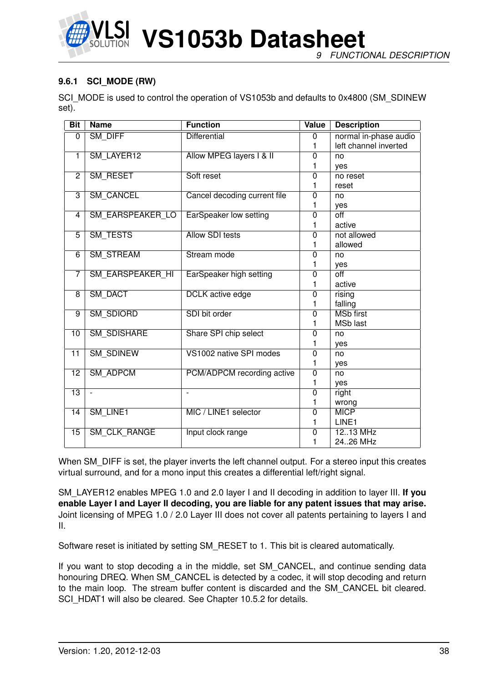

**VS1053b Datasheet** *9 FUNCTIONAL DESCRIPTION*

### <span id="page-37-0"></span>**9.6.1 SCI\_MODE (RW)**

SCI\_MODE is used to control the operation of VS1053b and defaults to 0x4800 (SM\_SDINEW set).

| <b>Bit</b>      | <b>Name</b>              | <b>Function</b>               | Value          | <b>Description</b>    |
|-----------------|--------------------------|-------------------------------|----------------|-----------------------|
| 0               | <b>SM DIFF</b>           | <b>Differential</b>           | $\overline{0}$ | normal in-phase audio |
|                 |                          |                               | 1              | left channel inverted |
| $\overline{1}$  | SM_LAYER12               | Allow MPEG layers I & II      | $\overline{0}$ | no                    |
|                 |                          |                               | 1              | ves                   |
| $\overline{2}$  | SM_RESET                 | Soft reset                    | $\overline{0}$ | no reset              |
|                 |                          |                               | 1              | reset                 |
| $\overline{3}$  | <b>SM CANCEL</b>         | Cancel decoding current file  | 0              | no                    |
|                 |                          |                               | 1              | yes                   |
| 4               | SM_EARSPEAKER_LO         | <b>EarSpeaker low setting</b> | $\overline{0}$ | $\overline{off}$      |
|                 |                          |                               | 1              | active                |
| $\overline{5}$  | SM_TESTS                 | <b>Allow SDI tests</b>        | $\overline{0}$ | not allowed           |
|                 |                          |                               | 1              | allowed               |
| $\overline{6}$  | SM_STREAM                | Stream mode                   | $\overline{0}$ | no                    |
|                 |                          |                               | 1              | yes                   |
| 7               | <b>SM EARSPEAKER HI</b>  | EarSpeaker high setting       | $\overline{0}$ | $\overline{off}$      |
|                 |                          |                               | 1              | active                |
| $\overline{8}$  | <b>SM DACT</b>           | <b>DCLK</b> active edge       | $\overline{0}$ | rising                |
|                 |                          |                               | 1              | falling               |
| 9               | <b>SM SDIORD</b>         | SDI bit order                 | 0              | <b>MSb first</b>      |
|                 |                          |                               | 1              | <b>MSb</b> last       |
| $\overline{10}$ | <b>SM_SDISHARE</b>       | Share SPI chip select         | $\overline{0}$ | no                    |
|                 |                          |                               | 1              | yes                   |
| $\overline{11}$ | <b>SM_SDINEW</b>         | VS1002 native SPI modes       | $\overline{0}$ | no                    |
|                 |                          |                               | 1              | yes                   |
| $\overline{12}$ | <b>SM ADPCM</b>          | PCM/ADPCM recording active    | $\overline{0}$ | no                    |
|                 |                          |                               | 1              | yes                   |
| $\overline{13}$ | $\overline{\phantom{a}}$ | $\overline{\phantom{a}}$      | $\overline{0}$ | right                 |
|                 |                          |                               | 1              | wrong                 |
| 14              | SM_LINE1                 | MIC / LINE1 selector          | $\mathbf 0$    | <b>MICP</b>           |
|                 |                          |                               | 1              | LINE1                 |
| $\overline{15}$ | <b>SM CLK RANGE</b>      | Input clock range             | 0              | 1213 MHz              |
|                 |                          |                               | 1              | 2426 MHz              |

When SM DIFF is set, the player inverts the left channel output. For a stereo input this creates virtual surround, and for a mono input this creates a differential left/right signal.

SM\_LAYER12 enables MPEG 1.0 and 2.0 layer I and II decoding in addition to layer III. **If you enable Layer I and Layer II decoding, you are liable for any patent issues that may arise.** Joint licensing of MPEG 1.0 / 2.0 Layer III does not cover all patents pertaining to layers I and II.

Software reset is initiated by setting SM\_RESET to 1. This bit is cleared automatically.

If you want to stop decoding a in the middle, set SM\_CANCEL, and continue sending data honouring DREQ. When SM\_CANCEL is detected by a codec, it will stop decoding and return to the main loop. The stream buffer content is discarded and the SM\_CANCEL bit cleared. SCI\_HDAT1 will also be cleared. See Chapter [10.5.2](#page-49-0) for details.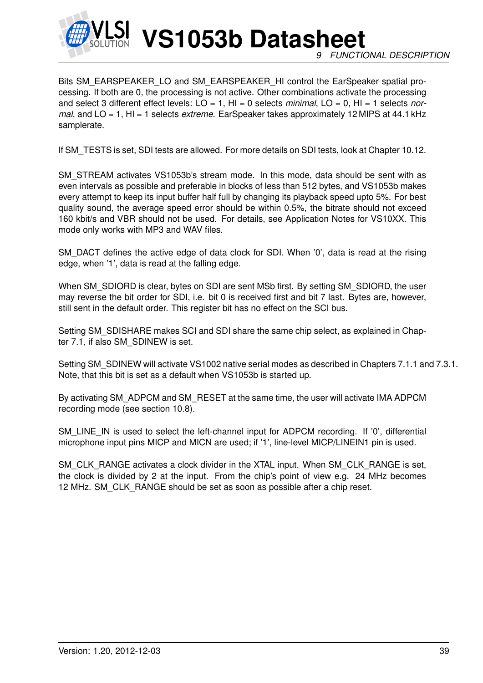

Bits SM\_EARSPEAKER\_LO and SM\_EARSPEAKER\_HI control the EarSpeaker spatial processing. If both are 0, the processing is not active. Other combinations activate the processing and select 3 different effect levels: LO = 1, HI = 0 selects *minimal*, LO = 0, HI = 1 selects *normal*, and LO = 1, HI = 1 selects *extreme*. EarSpeaker takes approximately 12 MIPS at 44.1 kHz samplerate.

If SM\_TESTS is set, SDI tests are allowed. For more details on SDI tests, look at Chapter [10.12.](#page-65-0)

SM\_STREAM activates VS1053b's stream mode. In this mode, data should be sent with as even intervals as possible and preferable in blocks of less than 512 bytes, and VS1053b makes every attempt to keep its input buffer half full by changing its playback speed upto 5%. For best quality sound, the average speed error should be within 0.5%, the bitrate should not exceed 160 kbit/s and VBR should not be used. For details, see Application Notes for VS10XX. This mode only works with MP3 and WAV files.

SM\_DACT defines the active edge of data clock for SDI. When '0', data is read at the rising edge, when '1', data is read at the falling edge.

When SM\_SDIORD is clear, bytes on SDI are sent MSb first. By setting SM\_SDIORD, the user may reverse the bit order for SDI, i.e. bit 0 is received first and bit 7 last. Bytes are, however, still sent in the default order. This register bit has no effect on the SCI bus.

Setting SM\_SDISHARE makes SCI and SDI share the same chip select, as explained in Chapter [7.1,](#page-14-0) if also SM\_SDINEW is set.

Setting SM\_SDINEW will activate VS1002 native serial modes as described in Chapters [7.1.1](#page-14-1) and [7.3.1.](#page-16-0) Note, that this bit is set as a default when VS1053b is started up.

By activating SM\_ADPCM and SM\_RESET at the same time, the user will activate IMA ADPCM recording mode (see section [10.8\)](#page-52-0).

SM\_LINE\_IN is used to select the left-channel input for ADPCM recording. If '0', differential microphone input pins MICP and MICN are used; if '1', line-level MICP/LINEIN1 pin is used.

SM\_CLK\_RANGE activates a clock divider in the XTAL input. When SM\_CLK\_RANGE is set, the clock is divided by 2 at the input. From the chip's point of view e.g. 24 MHz becomes 12 MHz. SM\_CLK\_RANGE should be set as soon as possible after a chip reset.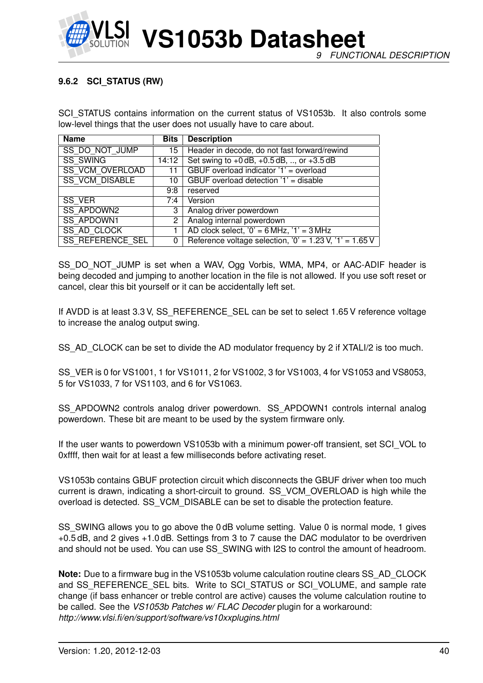

### **9.6.2 SCI\_STATUS (RW)**

SCI\_STATUS contains information on the current status of VS1053b. It also controls some low-level things that the user does not usually have to care about.

| <b>Name</b>             | <b>Bits</b> | <b>Description</b>                                        |
|-------------------------|-------------|-----------------------------------------------------------|
| SS DO NOT JUMP          | 15          | Header in decode, do not fast forward/rewind              |
| <b>SS SWING</b>         | 14:12       | Set swing to $+0$ dB, $+0.5$ dB, , or $+3.5$ dB           |
| <b>SS VCM OVERLOAD</b>  | 11          | GBUF overload indicator '1' = overload                    |
| <b>SS VCM DISABLE</b>   | 10          | GBUF overload detection '1' = disable                     |
|                         | 9:8         | reserved                                                  |
| SS VER                  | 7:4         | Version                                                   |
| <b>SS APDOWN2</b>       | 3           | Analog driver powerdown                                   |
| <b>SS APDOWN1</b>       | 2           | Analog internal powerdown                                 |
| <b>SS AD CLOCK</b>      |             | AD clock select, $'0' = 6 MHz$ , $'1' = 3 MHz$            |
| <b>SS REFERENCE SEL</b> | 0           | Reference voltage selection, $0' = 1.23$ V, $1' = 1.65$ V |

SS\_DO\_NOT\_JUMP is set when a WAV, Ogg Vorbis, WMA, MP4, or AAC-ADIF header is being decoded and jumping to another location in the file is not allowed. If you use soft reset or cancel, clear this bit yourself or it can be accidentally left set.

If AVDD is at least 3.3 V, SS\_REFERENCE\_SEL can be set to select 1.65 V reference voltage to increase the analog output swing.

SS\_AD\_CLOCK can be set to divide the AD modulator frequency by 2 if XTALI/2 is too much.

SS\_VER is 0 for VS1001, 1 for VS1011, 2 for VS1002, 3 for VS1003, 4 for VS1053 and VS8053, 5 for VS1033, 7 for VS1103, and 6 for VS1063.

SS\_APDOWN2 controls analog driver powerdown. SS\_APDOWN1 controls internal analog powerdown. These bit are meant to be used by the system firmware only.

If the user wants to powerdown VS1053b with a minimum power-off transient, set SCI\_VOL to 0xffff, then wait for at least a few milliseconds before activating reset.

VS1053b contains GBUF protection circuit which disconnects the GBUF driver when too much current is drawn, indicating a short-circuit to ground. SS\_VCM\_OVERLOAD is high while the overload is detected. SS\_VCM\_DISABLE can be set to disable the protection feature.

SS\_SWING allows you to go above the 0 dB volume setting. Value 0 is normal mode, 1 gives +0.5 dB, and 2 gives +1.0 dB. Settings from 3 to 7 cause the DAC modulator to be overdriven and should not be used. You can use SS\_SWING with I2S to control the amount of headroom.

**Note:** Due to a firmware bug in the VS1053b volume calculation routine clears SS\_AD\_CLOCK and SS\_REFERENCE\_SEL bits. Write to SCI\_STATUS or SCI\_VOLUME, and sample rate change (if bass enhancer or treble control are active) causes the volume calculation routine to be called. See the *VS1053b Patches w/ FLAC Decoder* plugin for a workaround: *http://www.vlsi.fi/en/support/software/vs10xxplugins.html*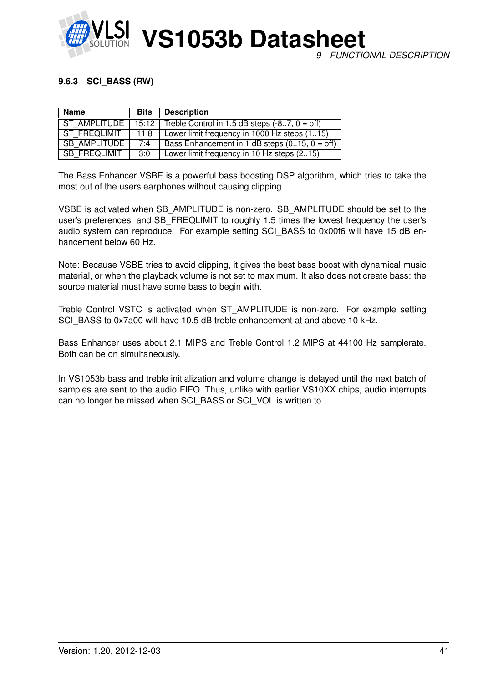

### **9.6.3 SCI\_BASS (RW)**

| <b>Name</b>         | <b>Bits</b> | <b>Description</b>                                    |
|---------------------|-------------|-------------------------------------------------------|
| ST AMPLITUDE        |             | $15:12$ Treble Control in 1.5 dB steps (-87, 0 = off) |
| ST FREQLIMIT        | 11:8        | Lower limit frequency in 1000 Hz steps (115)          |
| <b>SB AMPLITUDE</b> | 7:4         | Bass Enhancement in 1 dB steps $(015, 0 = off)$       |
| SB FREQLIMIT        | 3:0         | Lower limit frequency in 10 Hz steps (215)            |

The Bass Enhancer VSBE is a powerful bass boosting DSP algorithm, which tries to take the most out of the users earphones without causing clipping.

VSBE is activated when SB\_AMPLITUDE is non-zero. SB\_AMPLITUDE should be set to the user's preferences, and SB\_FREQLIMIT to roughly 1.5 times the lowest frequency the user's audio system can reproduce. For example setting SCI BASS to 0x00f6 will have 15 dB enhancement below 60 Hz.

Note: Because VSBE tries to avoid clipping, it gives the best bass boost with dynamical music material, or when the playback volume is not set to maximum. It also does not create bass: the source material must have some bass to begin with.

Treble Control VSTC is activated when ST\_AMPLITUDE is non-zero. For example setting SCI\_BASS to 0x7a00 will have 10.5 dB treble enhancement at and above 10 kHz.

Bass Enhancer uses about 2.1 MIPS and Treble Control 1.2 MIPS at 44100 Hz samplerate. Both can be on simultaneously.

In VS1053b bass and treble initialization and volume change is delayed until the next batch of samples are sent to the audio FIFO. Thus, unlike with earlier VS10XX chips, audio interrupts can no longer be missed when SCI\_BASS or SCI\_VOL is written to.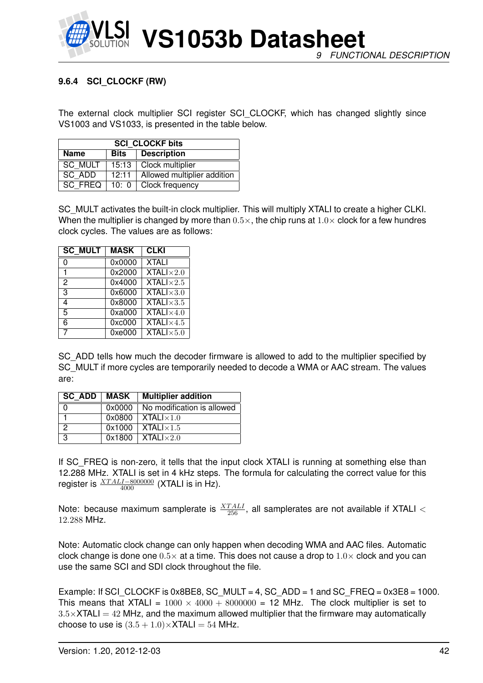

### <span id="page-41-0"></span>**9.6.4 SCI\_CLOCKF (RW)**

The external clock multiplier SCI register SCI\_CLOCKF, which has changed slightly since VS1003 and VS1033, is presented in the table below.

| <b>SCI CLOCKF bits</b>                    |  |                             |  |  |  |  |
|-------------------------------------------|--|-----------------------------|--|--|--|--|
| <b>Description</b><br><b>Name</b><br>Bits |  |                             |  |  |  |  |
| <b>SC MULT</b><br>15:13                   |  | Clock multiplier            |  |  |  |  |
| SC ADD<br>12:11                           |  | Allowed multiplier addition |  |  |  |  |
| <b>SC FREQ</b><br>10:0                    |  | Clock frequency             |  |  |  |  |

SC MULT activates the built-in clock multiplier. This will multiply XTALI to create a higher CLKI. When the multiplier is changed by more than  $0.5\times$ , the chip runs at  $1.0\times$  clock for a few hundres clock cycles. The values are as follows:

| <b>SC MULT</b> | <b>MASK</b> | <b>CLKI</b>                             |
|----------------|-------------|-----------------------------------------|
| 0              | 0x0000      | <b>XTALI</b>                            |
| 1              | 0x2000      | <b>XTALI</b> $\times$ 2.0               |
| 2              | 0x4000      | <b>XTALI</b> $\times$ 2.5               |
| 3              | 0x6000      | $XTALI \times 3.0$                      |
| 4              | 0x8000      | <b>XTALI</b> $\times$ 3.5               |
| 5              | 0xa000      | $\overline{\text{XTAL}}$ $\times 4.0$   |
| 6              | 0xc000      | $\overline{\text{XTAL}}$ $1 \times 4.5$ |
|                | 0xe000      | $\overline{\text{XTALI}\times}5.0$      |

SC\_ADD tells how much the decoder firmware is allowed to add to the multiplier specified by SC MULT if more cycles are temporarily needed to decode a WMA or AAC stream. The values are:

|   |        | SC ADD   MASK   Multiplier addition |
|---|--------|-------------------------------------|
|   | 0x0000 | No modification is allowed          |
|   |        | $0x0800$   XTAL $1\times1.0$        |
|   |        | $0x1000$   XTALI $\times$ 1.5       |
| 3 |        | $0x1800$   XTALI $\times 2.0$       |

If SC\_FREQ is non-zero, it tells that the input clock XTALI is running at something else than 12.288 MHz. XTALI is set in 4 kHz steps. The formula for calculating the correct value for this register is  $\frac{XTALI-8000000}{4000}$  (XTALI is in Hz).

Note: because maximum samplerate is  $\frac{XTALI}{256}$ , all samplerates are not available if XTALI  $<$ 12.288 MHz.

Note: Automatic clock change can only happen when decoding WMA and AAC files. Automatic clock change is done one  $0.5\times$  at a time. This does not cause a drop to  $1.0\times$  clock and you can use the same SCI and SDI clock throughout the file.

Example: If SCI CLOCKF is 0x8BE8, SC MULT = 4, SC ADD = 1 and SC FREQ =  $0x3E8 = 1000$ . This means that XTALI =  $1000 \times 4000 + 8000000 = 12$  MHz. The clock multiplier is set to  $3.5\times$ XTALI = 42 MHz, and the maximum allowed multiplier that the firmware may automatically choose to use is  $(3.5 + 1.0) \times$ XTALI = 54 MHz.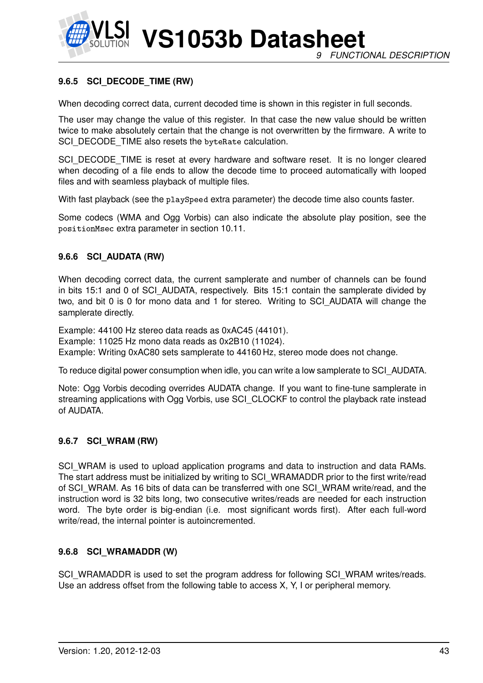

### **9.6.5 SCI\_DECODE\_TIME (RW)**

When decoding correct data, current decoded time is shown in this register in full seconds.

The user may change the value of this register. In that case the new value should be written twice to make absolutely certain that the change is not overwritten by the firmware. A write to SCI\_DECODE\_TIME also resets the byteRate calculation.

SCI\_DECODE\_TIME is reset at every hardware and software reset. It is no longer cleared when decoding of a file ends to allow the decode time to proceed automatically with looped files and with seamless playback of multiple files.

With fast playback (see the playSpeed extra parameter) the decode time also counts faster.

Some codecs (WMA and Ogg Vorbis) can also indicate the absolute play position, see the positionMsec extra parameter in section [10.11.](#page-59-0)

### **9.6.6 SCI\_AUDATA (RW)**

When decoding correct data, the current samplerate and number of channels can be found in bits 15:1 and 0 of SCI\_AUDATA, respectively. Bits 15:1 contain the samplerate divided by two, and bit 0 is 0 for mono data and 1 for stereo. Writing to SCI\_AUDATA will change the samplerate directly.

Example: 44100 Hz stereo data reads as 0xAC45 (44101).

Example: 11025 Hz mono data reads as 0x2B10 (11024).

Example: Writing 0xAC80 sets samplerate to 44160 Hz, stereo mode does not change.

To reduce digital power consumption when idle, you can write a low samplerate to SCI\_AUDATA.

Note: Ogg Vorbis decoding overrides AUDATA change. If you want to fine-tune samplerate in streaming applications with Ogg Vorbis, use SCI\_CLOCKF to control the playback rate instead of AUDATA.

#### **9.6.7 SCI\_WRAM (RW)**

SCI\_WRAM is used to upload application programs and data to instruction and data RAMs. The start address must be initialized by writing to SCI\_WRAMADDR prior to the first write/read of SCI\_WRAM. As 16 bits of data can be transferred with one SCI\_WRAM write/read, and the instruction word is 32 bits long, two consecutive writes/reads are needed for each instruction word. The byte order is big-endian (i.e. most significant words first). After each full-word write/read, the internal pointer is autoincremented.

#### **9.6.8 SCI\_WRAMADDR (W)**

SCI\_WRAMADDR is used to set the program address for following SCI\_WRAM writes/reads. Use an address offset from the following table to access X, Y, I or peripheral memory.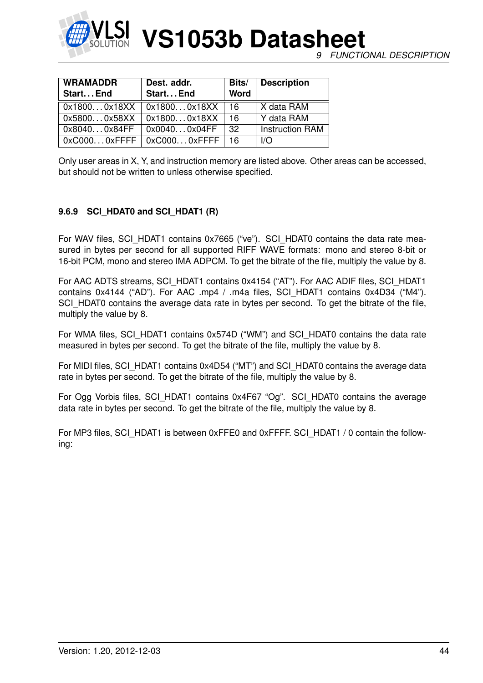

| <b>WRAMADDR</b><br>Start End | Dest. addr.<br>Start End               | Bits/<br><b>Word</b> | <b>Description</b>     |
|------------------------------|----------------------------------------|----------------------|------------------------|
|                              |                                        |                      |                        |
|                              | $0x18000x18XX \mid 0x18000x18XX \mid$  | ∣ 16.                | X data RAM             |
| 0x58000x58XX                 | 0x18000x18XX                           | ∣ 16.                | Y data RAM             |
| 0x80400x84FF                 | $\vert$ 0x00400x04FF                   | -32                  | <b>Instruction RAM</b> |
|                              | $0xC0000x$ FFFF   $0xC0000x$ FFFF   16 |                      | I/O                    |

Only user areas in X, Y, and instruction memory are listed above. Other areas can be accessed, but should not be written to unless otherwise specified.

### **9.6.9 SCI\_HDAT0 and SCI\_HDAT1 (R)**

For WAV files, SCI\_HDAT1 contains 0x7665 ("ve"). SCI\_HDAT0 contains the data rate measured in bytes per second for all supported RIFF WAVE formats: mono and stereo 8-bit or 16-bit PCM, mono and stereo IMA ADPCM. To get the bitrate of the file, multiply the value by 8.

For AAC ADTS streams, SCI\_HDAT1 contains 0x4154 ("AT"). For AAC ADIF files, SCI\_HDAT1 contains 0x4144 ("AD"). For AAC .mp4 / .m4a files, SCI\_HDAT1 contains 0x4D34 ("M4"). SCI\_HDAT0 contains the average data rate in bytes per second. To get the bitrate of the file, multiply the value by 8.

For WMA files, SCI\_HDAT1 contains 0x574D ("WM") and SCI\_HDAT0 contains the data rate measured in bytes per second. To get the bitrate of the file, multiply the value by 8.

For MIDI files, SCI\_HDAT1 contains 0x4D54 ("MT") and SCI\_HDAT0 contains the average data rate in bytes per second. To get the bitrate of the file, multiply the value by 8.

For Ogg Vorbis files, SCI\_HDAT1 contains 0x4F67 "Og". SCI\_HDAT0 contains the average data rate in bytes per second. To get the bitrate of the file, multiply the value by 8.

For MP3 files, SCI\_HDAT1 is between 0xFFE0 and 0xFFFF. SCI\_HDAT1 / 0 contain the following: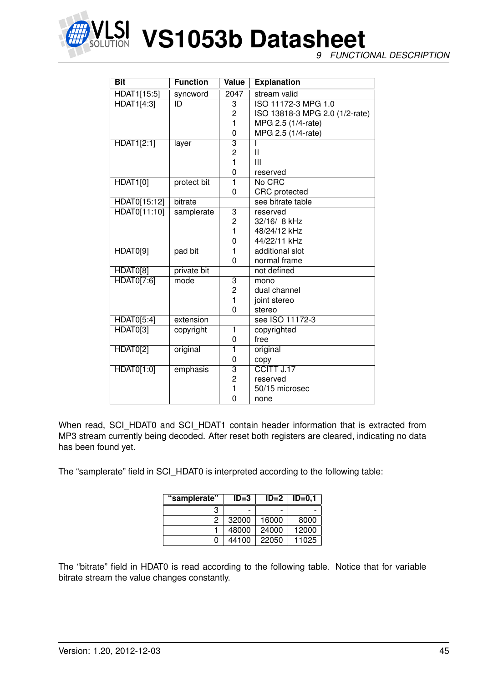

**NET VS1053b Datasheet** 

*9 FUNCTIONAL DESCRIPTION*

| <b>Bit</b>        | <b>Function</b> | <b>Value</b>            | <b>Explanation</b>             |
|-------------------|-----------------|-------------------------|--------------------------------|
| HDAT1[15:5]       | syncword        | 2047                    | stream valid                   |
| <b>HDAT1[4:3]</b> | ID              | $\overline{3}$          | ISO 11172-3 MPG 1.0            |
|                   |                 | $\overline{c}$          | ISO 13818-3 MPG 2.0 (1/2-rate) |
|                   |                 | 1                       | MPG 2.5 (1/4-rate)             |
|                   |                 | 0                       | MPG 2.5 (1/4-rate)             |
| <b>HDAT1[2:1]</b> | layer           | 3                       |                                |
|                   |                 | $\overline{2}$          | $\mathbf{I}$                   |
|                   |                 | $\mathbf{1}$            | Ш                              |
|                   |                 | 0                       | reserved                       |
| <b>HDAT1[0]</b>   | protect bit     | $\overline{\mathbf{1}}$ | No CRC                         |
|                   |                 | 0                       | <b>CRC</b> protected           |
| HDAT0[15:12]      | bitrate         |                         | see bitrate table              |
| HDAT0[11:10]      | samplerate      | $\overline{3}$          | reserved                       |
|                   |                 | 2                       | 32/16/ 8 kHz                   |
|                   |                 | 1                       | 48/24/12 kHz                   |
|                   |                 | 0                       | 44/22/11 kHz                   |
| HDAT0[9]          | pad bit         | 1                       | additional slot                |
|                   |                 | 0                       | normal frame                   |
| HDAT0[8]          | private bit     |                         | not defined                    |
| HDAT0[7:6]        | mode            | 3                       | mono                           |
|                   |                 | $\overline{c}$          | dual channel                   |
|                   |                 | $\mathbf{1}$            | joint stereo                   |
|                   |                 | 0                       | stereo                         |
| HDAT0[5:4]        | extension       |                         | see ISO 11172-3                |
| HDAT0[3]          | copyright       | 1                       | copyrighted                    |
|                   |                 | 0                       | free                           |
| HDAT0[2]          | original        | $\overline{1}$          | original                       |
|                   |                 | 0                       | copy                           |
| HDAT0[1:0]        | emphasis        | $\overline{3}$          | CCITT J.17                     |
|                   |                 | $\overline{2}$          | reserved                       |
|                   |                 | 1                       | 50/15 microsec                 |
|                   |                 | 0                       | none                           |

When read, SCI\_HDAT0 and SCI\_HDAT1 contain header information that is extracted from MP3 stream currently being decoded. After reset both registers are cleared, indicating no data has been found yet.

The "samplerate" field in SCI\_HDAT0 is interpreted according to the following table:

| "samplerate" | $ID=3$ | $ID=2$                   | $ID=0.1$ |
|--------------|--------|--------------------------|----------|
| з            |        | $\overline{\phantom{0}}$ |          |
| 2            | 32000  | 16000                    | 8000     |
|              | 48000  | 24000                    | 12000    |
| o            | 44100  | 22050                    | 11025    |

The "bitrate" field in HDAT0 is read according to the following table. Notice that for variable bitrate stream the value changes constantly.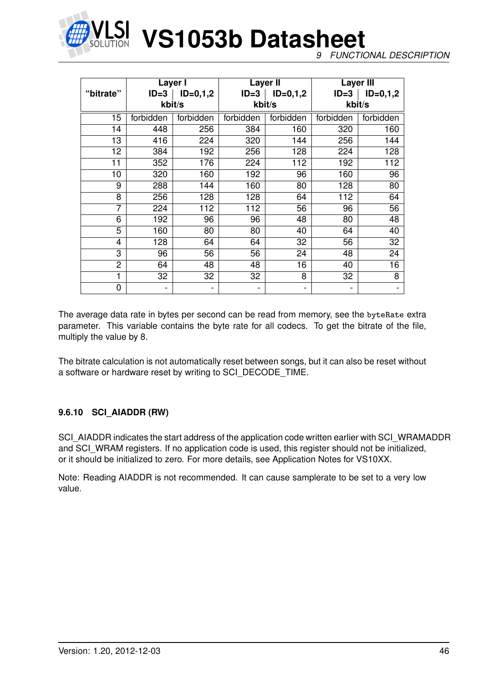

*9 FUNCTIONAL DESCRIPTION*

|                | Layer I   |                          |           | Layer II   | <b>Layer III</b> |                  |
|----------------|-----------|--------------------------|-----------|------------|------------------|------------------|
| "bitrate"      | $ID = 3$  | $ID=0,1,2$               | $ID=3$    | $ID=0,1,2$ | $ID = 3$         | $ID=0,1,2$       |
|                |           | kbit/s                   |           | kbit/s     | kbit/s           |                  |
| 15             | forbidden | forbidden                | forbidden | forbidden  | forbidden        | forbidden        |
| 14             | 448       | 256                      | 384       | 160        | 320              | 160              |
| 13             | 416       | 224                      | 320       | 144        | 256              | 144              |
| 12             | 384       | 192                      | 256       | 128        | 224              | 128              |
| 11             | 352       | 176                      | 224       | 112        | 192              | $\overline{112}$ |
| 10             | 320       | 160                      | 192       | 96         | 160              | 96               |
| 9              | 288       | 144                      | 160       | 80         | 128              | 80               |
| 8              | 256       | 128                      | 128       | 64         | 112              | 64               |
| $\overline{7}$ | 224       | 112                      | 112       | 56         | 96               | 56               |
| 6              | 192       | 96                       | 96        | 48         | 80               | 48               |
| 5              | 160       | 80                       | 80        | 40         | 64               | 40               |
| 4              | 128       | 64                       | 64        | 32         | 56               | 32               |
| 3              | 96        | 56                       | 56        | 24         | 48               | 24               |
| $\overline{2}$ | 64        | 48                       | 48        | 16         | 40               | 16               |
| 1              | 32        | 32                       | 32        | 8          | 32               | 8                |
| 0              |           | $\overline{\phantom{0}}$ |           | -          |                  |                  |

The average data rate in bytes per second can be read from memory, see the byteRate extra parameter. This variable contains the byte rate for all codecs. To get the bitrate of the file, multiply the value by 8.

The bitrate calculation is not automatically reset between songs, but it can also be reset without a software or hardware reset by writing to SCI\_DECODE\_TIME.

#### **9.6.10 SCI\_AIADDR (RW)**

SCI\_AIADDR indicates the start address of the application code written earlier with SCI\_WRAMADDR and SCI WRAM registers. If no application code is used, this register should not be initialized, or it should be initialized to zero. For more details, see Application Notes for VS10XX.

Note: Reading AIADDR is not recommended. It can cause samplerate to be set to a very low value.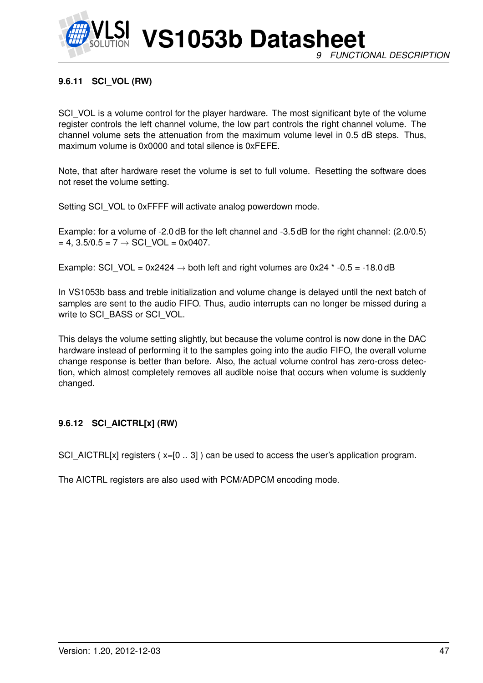

**VS1053b Datasheet** *9 FUNCTIONAL DESCRIPTION*

### **9.6.11 SCI\_VOL (RW)**

SCI VOL is a volume control for the player hardware. The most significant byte of the volume register controls the left channel volume, the low part controls the right channel volume. The channel volume sets the attenuation from the maximum volume level in 0.5 dB steps. Thus, maximum volume is 0x0000 and total silence is 0xFEFE.

Note, that after hardware reset the volume is set to full volume. Resetting the software does not reset the volume setting.

Setting SCI\_VOL to 0xFFFF will activate analog powerdown mode.

Example: for a volume of -2.0 dB for the left channel and -3.5 dB for the right channel: (2.0/0.5)  $= 4$ , 3.5/0.5 = 7  $\rightarrow$  SCI VOL = 0x0407.

Example: SCI\_VOL =  $0x2424 \rightarrow$  both left and right volumes are  $0x24$  \* -0.5 = -18.0 dB

In VS1053b bass and treble initialization and volume change is delayed until the next batch of samples are sent to the audio FIFO. Thus, audio interrupts can no longer be missed during a write to SCI\_BASS or SCI\_VOL.

This delays the volume setting slightly, but because the volume control is now done in the DAC hardware instead of performing it to the samples going into the audio FIFO, the overall volume change response is better than before. Also, the actual volume control has zero-cross detection, which almost completely removes all audible noise that occurs when volume is suddenly changed.

### **9.6.12 SCI\_AICTRL[x] (RW)**

SCI\_AICTRL[x] registers (x=[0 .. 3]) can be used to access the user's application program.

The AICTRL registers are also used with PCM/ADPCM encoding mode.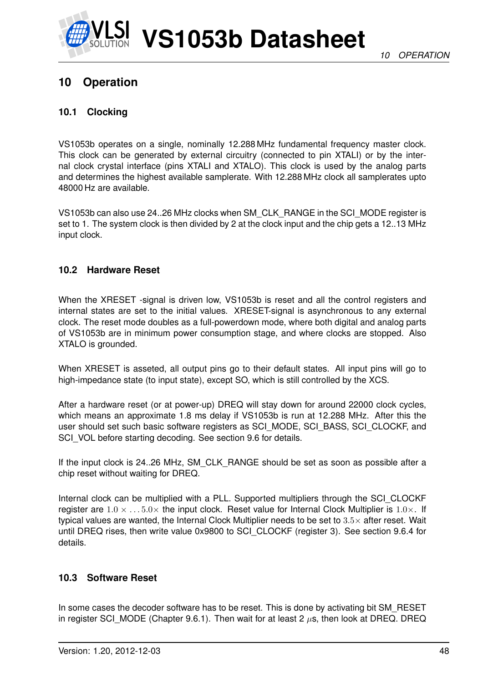

# **10 Operation**

### **10.1 Clocking**

VS1053b operates on a single, nominally 12.288 MHz fundamental frequency master clock. This clock can be generated by external circuitry (connected to pin XTALI) or by the internal clock crystal interface (pins XTALI and XTALO). This clock is used by the analog parts and determines the highest available samplerate. With 12.288 MHz clock all samplerates upto 48000 Hz are available.

VS1053b can also use 24..26 MHz clocks when SM\_CLK\_RANGE in the SCI\_MODE register is set to 1. The system clock is then divided by 2 at the clock input and the chip gets a 12..13 MHz input clock.

### **10.2 Hardware Reset**

When the XRESET -signal is driven low. VS1053b is reset and all the control registers and internal states are set to the initial values. XRESET-signal is asynchronous to any external clock. The reset mode doubles as a full-powerdown mode, where both digital and analog parts of VS1053b are in minimum power consumption stage, and where clocks are stopped. Also XTALO is grounded.

When XRESET is asseted, all output pins go to their default states. All input pins will go to high-impedance state (to input state), except SO, which is still controlled by the XCS.

After a hardware reset (or at power-up) DREQ will stay down for around 22000 clock cycles, which means an approximate 1.8 ms delay if VS1053b is run at 12.288 MHz. After this the user should set such basic software registers as SCI\_MODE, SCI\_BASS, SCI\_CLOCKF, and SCI\_VOL before starting decoding. See section [9.6](#page-36-0) for details.

If the input clock is 24..26 MHz, SM\_CLK\_RANGE should be set as soon as possible after a chip reset without waiting for DREQ.

Internal clock can be multiplied with a PLL. Supported multipliers through the SCI\_CLOCKF register are  $1.0 \times \ldots 5.0 \times$  the input clock. Reset value for Internal Clock Multiplier is  $1.0 \times$ . If typical values are wanted, the Internal Clock Multiplier needs to be set to  $3.5\times$  after reset. Wait until DREQ rises, then write value 0x9800 to SCI\_CLOCKF (register 3). See section [9.6.4](#page-41-0) for details.

### **10.3 Software Reset**

In some cases the decoder software has to be reset. This is done by activating bit SM\_RESET in register SCI\_MODE (Chapter [9.6.1\)](#page-37-0). Then wait for at least 2  $\mu$ s, then look at DREQ. DREQ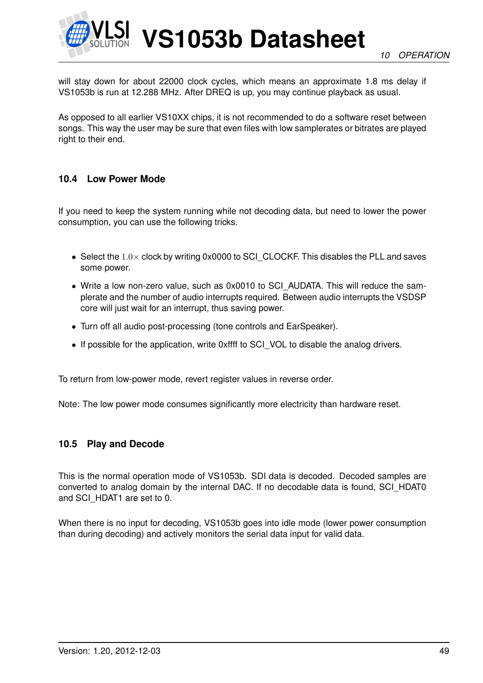

will stay down for about 22000 clock cycles, which means an approximate 1.8 ms delay if VS1053b is run at 12.288 MHz. After DREQ is up, you may continue playback as usual.

As opposed to all earlier VS10XX chips, it is not recommended to do a software reset between songs. This way the user may be sure that even files with low samplerates or bitrates are played right to their end.

### **10.4 Low Power Mode**

If you need to keep the system running while not decoding data, but need to lower the power consumption, you can use the following tricks.

- Select the  $1.0\times$  clock by writing 0x0000 to SCI CLOCKF. This disables the PLL and saves some power.
- Write a low non-zero value, such as 0x0010 to SCI\_AUDATA. This will reduce the samplerate and the number of audio interrupts required. Between audio interrupts the VSDSP core will just wait for an interrupt, thus saving power.
- Turn off all audio post-processing (tone controls and EarSpeaker).
- If possible for the application, write 0xffff to SCI\_VOL to disable the analog drivers.

To return from low-power mode, revert register values in reverse order.

Note: The low power mode consumes significantly more electricity than hardware reset.

#### **10.5 Play and Decode**

This is the normal operation mode of VS1053b. SDI data is decoded. Decoded samples are converted to analog domain by the internal DAC. If no decodable data is found, SCI\_HDAT0 and SCI\_HDAT1 are set to 0.

When there is no input for decoding, VS1053b goes into idle mode (lower power consumption than during decoding) and actively monitors the serial data input for valid data.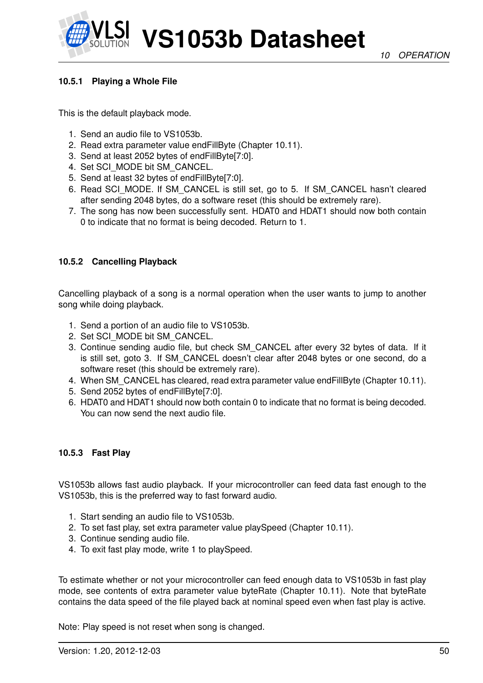### <span id="page-49-1"></span>**10.5.1 Playing a Whole File**

This is the default playback mode.

- 1. Send an audio file to VS1053b.
- 2. Read extra parameter value endFillByte (Chapter [10.11\)](#page-59-0).
- 3. Send at least 2052 bytes of endFillByte[7:0].
- 4. Set SCI\_MODE bit SM\_CANCEL.
- 5. Send at least 32 bytes of endFillByte[7:0].
- 6. Read SCI\_MODE. If SM\_CANCEL is still set, go to 5. If SM\_CANCEL hasn't cleared after sending 2048 bytes, do a software reset (this should be extremely rare).
- 7. The song has now been successfully sent. HDAT0 and HDAT1 should now both contain 0 to indicate that no format is being decoded. Return to 1.

### <span id="page-49-0"></span>**10.5.2 Cancelling Playback**

Cancelling playback of a song is a normal operation when the user wants to jump to another song while doing playback.

- 1. Send a portion of an audio file to VS1053b.
- 2. Set SCI\_MODE bit SM\_CANCEL.
- 3. Continue sending audio file, but check SM\_CANCEL after every 32 bytes of data. If it is still set, goto 3. If SM\_CANCEL doesn't clear after 2048 bytes or one second, do a software reset (this should be extremely rare).
- 4. When SM\_CANCEL has cleared, read extra parameter value endFillByte (Chapter [10.11\)](#page-59-0).
- 5. Send 2052 bytes of endFillByte[7:0].
- 6. HDAT0 and HDAT1 should now both contain 0 to indicate that no format is being decoded. You can now send the next audio file.

#### **10.5.3 Fast Play**

VS1053b allows fast audio playback. If your microcontroller can feed data fast enough to the VS1053b, this is the preferred way to fast forward audio.

- 1. Start sending an audio file to VS1053b.
- 2. To set fast play, set extra parameter value playSpeed (Chapter [10.11\)](#page-59-0).
- 3. Continue sending audio file.
- 4. To exit fast play mode, write 1 to playSpeed.

To estimate whether or not your microcontroller can feed enough data to VS1053b in fast play mode, see contents of extra parameter value byteRate (Chapter [10.11\)](#page-59-0). Note that byteRate contains the data speed of the file played back at nominal speed even when fast play is active.

Note: Play speed is not reset when song is changed.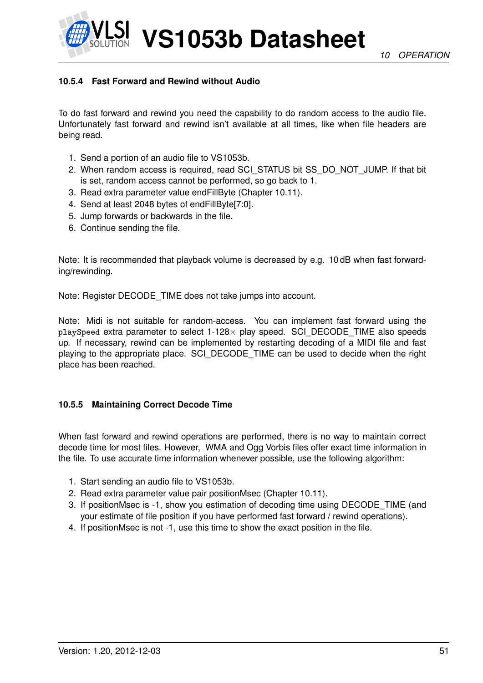*10 OPERATION*



**VS1053b Datasheet**

# **10.5.4 Fast Forward and Rewind without Audio**

To do fast forward and rewind you need the capability to do random access to the audio file. Unfortunately fast forward and rewind isn't available at all times, like when file headers are being read.

- 1. Send a portion of an audio file to VS1053b.
- 2. When random access is required, read SCI\_STATUS bit SS\_DO\_NOT\_JUMP. If that bit is set, random access cannot be performed, so go back to 1.
- 3. Read extra parameter value endFillByte (Chapter [10.11\)](#page-59-0).
- 4. Send at least 2048 bytes of endFillByte[7:0].
- 5. Jump forwards or backwards in the file.
- 6. Continue sending the file.

Note: It is recommended that playback volume is decreased by e.g. 10 dB when fast forwarding/rewinding.

Note: Register DECODE\_TIME does not take jumps into account.

Note: Midi is not suitable for random-access. You can implement fast forward using the playSpeed extra parameter to select 1-128× play speed. SCI\_DECODE\_TIME also speeds up. If necessary, rewind can be implemented by restarting decoding of a MIDI file and fast playing to the appropriate place. SCI\_DECODE\_TIME can be used to decide when the right place has been reached.

### **10.5.5 Maintaining Correct Decode Time**

When fast forward and rewind operations are performed, there is no way to maintain correct decode time for most files. However, WMA and Ogg Vorbis files offer exact time information in the file. To use accurate time information whenever possible, use the following algorithm:

- 1. Start sending an audio file to VS1053b.
- 2. Read extra parameter value pair positionMsec (Chapter [10.11\)](#page-59-0).
- 3. If positionMsec is -1, show you estimation of decoding time using DECODE\_TIME (and your estimate of file position if you have performed fast forward / rewind operations).
- 4. If positionMsec is not -1, use this time to show the exact position in the file.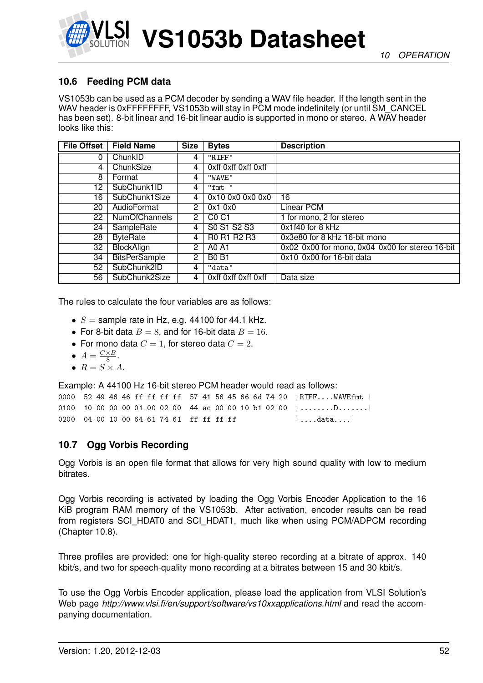

# **10.6 Feeding PCM data**

VS1053b can be used as a PCM decoder by sending a WAV file header. If the length sent in the WAV header is 0xFFFFFFFF, VS1053b will stay in PCM mode indefinitely (or until SM\_CANCEL has been set). 8-bit linear and 16-bit linear audio is supported in mono or stereo. A WAV header looks like this:

| <b>File Offset</b> | <b>Field Name</b>    | <b>Size</b>    | <b>Bytes</b>                  | <b>Description</b>                              |
|--------------------|----------------------|----------------|-------------------------------|-------------------------------------------------|
| 0                  | ChunkID              | 4              | "RIFF"                        |                                                 |
| 4                  | ChunkSize            | 4              | Oxff Oxff Oxff Oxff           |                                                 |
| 8                  | Format               | 4              | "WAVE"                        |                                                 |
| 12                 | SubChunk1ID          | 4              | "fmt "                        |                                                 |
| 16                 | SubChunk1Size        | 4              | 0x10 0x0 0x0 0x0              | 16                                              |
| 20                 | AudioFormat          | 2              | 0x10x0                        | Linear PCM                                      |
| 22                 | <b>NumOfChannels</b> | $\overline{2}$ | C <sub>0</sub> C <sub>1</sub> | 1 for mono, 2 for stereo                        |
| 24                 | SampleRate           | 4              | S0 S1 S2 S3                   | 0x1f40 for 8 kHz                                |
| 28                 | <b>ByteRate</b>      | 4              | R0 R1 R2 R3                   | 0x3e80 for 8 kHz 16-bit mono                    |
| 32                 | BlockAlign           | $\overline{2}$ | A0 A1                         | 0x02 0x00 for mono, 0x04 0x00 for stereo 16-bit |
| 34                 | <b>BitsPerSample</b> | 2              | <b>B0 B1</b>                  | 0x10 0x00 for 16-bit data                       |
| 52                 | SubChunk2ID          | 4              | "data"                        |                                                 |
| 56                 | SubChunk2Size        | 4              | Oxff Oxff Oxff Oxff           | Data size                                       |

The rules to calculate the four variables are as follows:

- $S =$  sample rate in Hz, e.g. 44100 for 44.1 kHz.
- For 8-bit data  $B = 8$ , and for 16-bit data  $B = 16$ .
- For mono data  $C = 1$ , for stereo data  $C = 2$ .
- $A = \frac{C \times B}{8}$  $\frac{\times B}{8}$ .
- $R = S \times A$ .

Example: A 44100 Hz 16-bit stereo PCM header would read as follows:

|                                          |  |  |  |  |  |  |  |  | 0000 52 49 46 46 ff ff ff ff 57 41 56 45 66 6d 74 20  RIFFWAVEfmt                  |
|------------------------------------------|--|--|--|--|--|--|--|--|------------------------------------------------------------------------------------|
|                                          |  |  |  |  |  |  |  |  | 0100 10 00 00 00 01 00 02 00 44 ac 00 00 10 b1 02 00 $  \dots \dots \dots \dots  $ |
| 0200 04 00 10 00 64 61 74 61 ff ff ff ff |  |  |  |  |  |  |  |  | $\vert \ldots.$ data $\ldots \vert$                                                |

### **10.7 Ogg Vorbis Recording**

Ogg Vorbis is an open file format that allows for very high sound quality with low to medium bitrates.

Ogg Vorbis recording is activated by loading the Ogg Vorbis Encoder Application to the 16 KiB program RAM memory of the VS1053b. After activation, encoder results can be read from registers SCI\_HDAT0 and SCI\_HDAT1, much like when using PCM/ADPCM recording (Chapter [10.8\)](#page-52-0).

Three profiles are provided: one for high-quality stereo recording at a bitrate of approx. 140 kbit/s, and two for speech-quality mono recording at a bitrates between 15 and 30 kbit/s.

To use the Ogg Vorbis Encoder application, please load the application from VLSI Solution's Web page *http://www.vlsi.fi/en/support/software/vs10xxapplications.html* and read the accompanying documentation.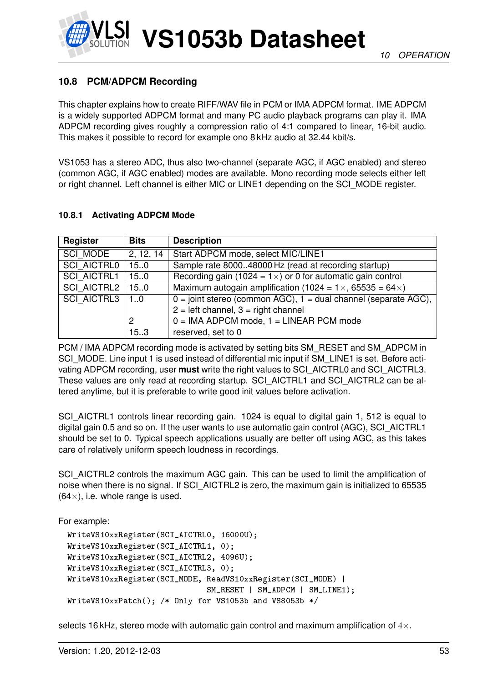

# <span id="page-52-0"></span>**10.8 PCM/ADPCM Recording**

This chapter explains how to create RIFF/WAV file in PCM or IMA ADPCM format. IME ADPCM is a widely supported ADPCM format and many PC audio playback programs can play it. IMA ADPCM recording gives roughly a compression ratio of 4:1 compared to linear, 16-bit audio. This makes it possible to record for example ono 8 kHz audio at 32.44 kbit/s.

VS1053 has a stereo ADC, thus also two-channel (separate AGC, if AGC enabled) and stereo (common AGC, if AGC enabled) modes are available. Mono recording mode selects either left or right channel. Left channel is either MIC or LINE1 depending on the SCI\_MODE register.

### <span id="page-52-1"></span>**10.8.1 Activating ADPCM Mode**

| Register           | <b>Bits</b> | <b>Description</b>                                                        |
|--------------------|-------------|---------------------------------------------------------------------------|
| SCI MODE           | 2, 12, 14   | Start ADPCM mode, select MIC/LINE1                                        |
| <b>SCI AICTRL0</b> | 15.0        | Sample rate 800048000 Hz (read at recording startup)                      |
| <b>SCI AICTRL1</b> | 15.0        | Recording gain (1024 = $1 \times$ ) or 0 for automatic gain control       |
| SCI AICTRL2        | 15.0        | Maximum autogain amplification (1024 = $1 \times$ , 65535 = 64 $\times$ ) |
| SCI AICTRL3        | 10          | $0 =$ joint stereo (common AGC), $1 =$ dual channel (separate AGC),       |
|                    |             | $2 = left channel$ , $3 = right channel$                                  |
|                    | 2           | $0 = IMA ADPCM$ mode, $1 = LINEAR$ PCM mode                               |
|                    | 15.3        | reserved, set to 0                                                        |

PCM / IMA ADPCM recording mode is activated by setting bits SM\_RESET and SM\_ADPCM in SCI\_MODE. Line input 1 is used instead of differential mic input if SM\_LINE1 is set. Before activating ADPCM recording, user **must** write the right values to SCI\_AICTRL0 and SCI\_AICTRL3. These values are only read at recording startup. SCI\_AICTRL1 and SCI\_AICTRL2 can be altered anytime, but it is preferable to write good init values before activation.

SCI\_AICTRL1 controls linear recording gain. 1024 is equal to digital gain 1, 512 is equal to digital gain 0.5 and so on. If the user wants to use automatic gain control (AGC), SCI\_AICTRL1 should be set to 0. Typical speech applications usually are better off using AGC, as this takes care of relatively uniform speech loudness in recordings.

SCI\_AICTRL2 controls the maximum AGC gain. This can be used to limit the amplification of noise when there is no signal. If SCI\_AICTRL2 is zero, the maximum gain is initialized to 65535  $(64\times)$ , i.e. whole range is used.

For example:

```
WriteVS10xxRegister(SCI_AICTRL0, 16000U);
WriteVS10xxRegister(SCI_AICTRL1, 0);
WriteVS10xxRegister(SCI_AICTRL2, 4096U);
WriteVS10xxRegister(SCI_AICTRL3, 0);
WriteVS10xxRegister(SCI_MODE, ReadVS10xxRegister(SCI_MODE) |
                              SM_RESET | SM_ADPCM | SM_LINE1);
WriteVS10xxPatch(); /* Only for VS1053b and VS8053b */
```
selects 16 kHz, stereo mode with automatic gain control and maximum amplification of  $4\times$ .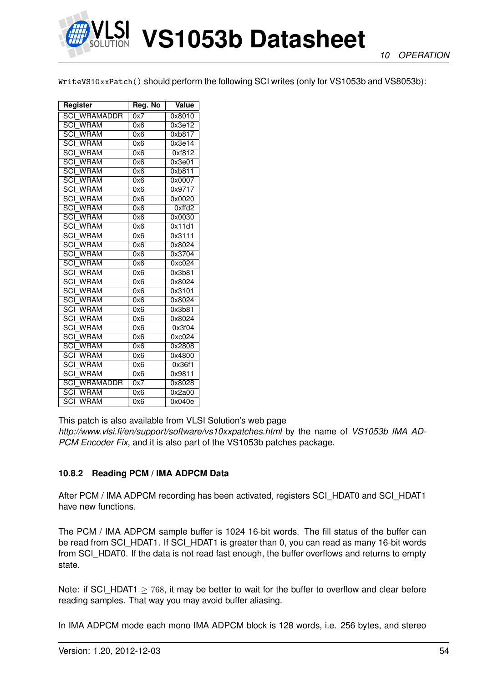

WriteVS10xxPatch() should perform the following SCI writes (only for VS1053b and VS8053b):

| Register                                  | Reg. No          | Value  |
|-------------------------------------------|------------------|--------|
| <b>SCI WRAMADDR</b>                       | 0x7              | 0x8010 |
| <b>SCI WRAM</b>                           | 0x6              | 0x3e12 |
| <b>SCI WRAM</b>                           | 0x6              | 0xb817 |
| <b>SCI WRAM</b>                           | 0x6              | 0x3e14 |
| <b>SCI WRAM</b>                           | 0x6              | 0xf812 |
| <b>SCI WRAM</b>                           | 0x6              | 0x3e01 |
| <b>SCI WRAM</b>                           | 0x6              | 0xb811 |
| <b>SCI WRAM</b>                           | 0x6              | 0x0007 |
| <b>SCI WRAM</b>                           | 0x6              | 0x9717 |
| <b>SCI WRAM</b>                           | 0x6              | 0x0020 |
| <b>SCI WRAM</b>                           | 0x6              | 0xffd2 |
| <b>SCI WRAM</b>                           | 0x6              | 0x0030 |
| <b>SCI WRAM</b>                           | 0x6              | 0x11d1 |
| <b>SCI WRAM</b>                           | 0x6              | 0x3111 |
| <b>SCI WRAM</b>                           | 0x6              | 0x8024 |
| <b>SCI WRAM</b>                           | 0x6              | 0x3704 |
| <b>SCI WRAM</b>                           | 0x6              | 0xc024 |
| SCI<br><b>WRAM</b>                        | 0x6              | 0x3b81 |
| $\overline{SCI}$<br><b>WRAM</b>           | 0x6              | 0x8024 |
| <b>SCI WRAM</b>                           | 0x6              | 0x3101 |
| <b>SCI WRAM</b>                           | 0x6              | 0x8024 |
| <b>WRAM</b><br>SCI                        | 0x6              | 0x3b81 |
| <b>SCI WRAM</b>                           | 0x6              | 0x8024 |
| <b>SCI WRAM</b>                           | 0x6              | 0x3f04 |
| SCI<br><b>WRAM</b>                        | 0x6              | 0xc024 |
| $\overline{SCI}$<br><b>WRAM</b>           | 0x6              | 0x2808 |
| $\overline{SCI}$<br><b>WRAM</b>           | 0x6              | 0x4800 |
| <b>SCI WRAM</b>                           | 0x6              | 0x36f1 |
| $\overline{SCI}$<br><b>WRAM</b>           | 0x6              | 0x9811 |
| $\overline{{\rm SCI}}$<br><b>WRAMADDR</b> | $0x\overline{7}$ | 0x8028 |
| <b>SCI WRAM</b>                           | 0x6              | 0x2a00 |
| <b>SCI WRAM</b>                           | 0x6              | 0x040e |

This patch is also available from VLSI Solution's web page

*http://www.vlsi.fi/en/support/software/vs10xxpatches.html* by the name of *VS1053b IMA AD-PCM Encoder Fix*, and it is also part of the VS1053b patches package.

### **10.8.2 Reading PCM / IMA ADPCM Data**

After PCM / IMA ADPCM recording has been activated, registers SCI\_HDAT0 and SCI\_HDAT1 have new functions.

The PCM / IMA ADPCM sample buffer is 1024 16-bit words. The fill status of the buffer can be read from SCI\_HDAT1. If SCI\_HDAT1 is greater than 0, you can read as many 16-bit words from SCI\_HDAT0. If the data is not read fast enough, the buffer overflows and returns to empty state.

Note: if SCI\_HDAT1  $\geq$  768, it may be better to wait for the buffer to overflow and clear before reading samples. That way you may avoid buffer aliasing.

In IMA ADPCM mode each mono IMA ADPCM block is 128 words, i.e. 256 bytes, and stereo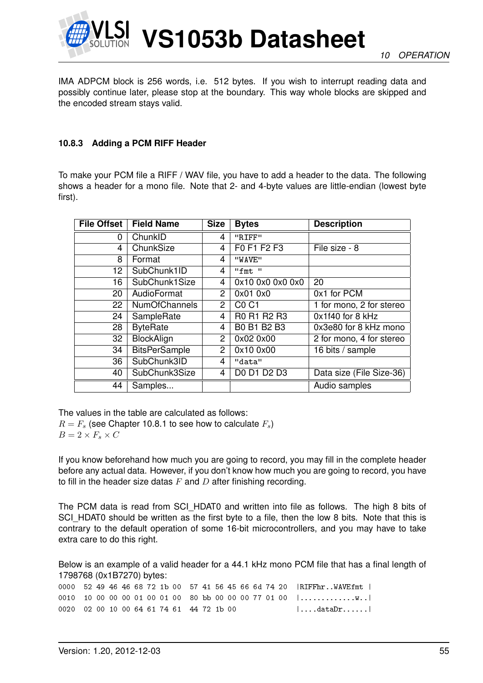

IMA ADPCM block is 256 words, i.e. 512 bytes. If you wish to interrupt reading data and possibly continue later, please stop at the boundary. This way whole blocks are skipped and the encoded stream stays valid.

### <span id="page-54-0"></span>**10.8.3 Adding a PCM RIFF Header**

To make your PCM file a RIFF / WAV file, you have to add a header to the data. The following shows a header for a mono file. Note that 2- and 4-byte values are little-endian (lowest byte first).

| <b>File Offset</b> | <b>Field Name</b>    | <b>Size</b>    | <b>Bytes</b>                  | <b>Description</b>       |
|--------------------|----------------------|----------------|-------------------------------|--------------------------|
| 0                  | ChunkID              | 4              | "RIFF"                        |                          |
| 4                  | ChunkSize            | 4              | F0 F1 F2 F3                   | File size - 8            |
| 8                  | Format               | 4              | "WAVE"                        |                          |
| 12                 | SubChunk1ID          | 4              | "fmt"                         |                          |
| 16                 | SubChunk1Size        | $\overline{4}$ | 0x10 0x0 0x0 0x0              | 20                       |
| 20                 | AudioFormat          | $\overline{2}$ | 0x01 0x0                      | 0x1 for PCM              |
| 22                 | <b>NumOfChannels</b> | $\overline{2}$ | C <sub>0</sub> C <sub>1</sub> | 1 for mono, 2 for stereo |
| 24                 | SampleRate           | $\overline{4}$ | R0 R1 R2 R3                   | 0x1f40 for 8 kHz         |
| 28                 | <b>ByteRate</b>      | $\overline{4}$ | B0 B1 B2 B3                   | 0x3e80 for 8 kHz mono    |
| 32                 | BlockAlign           | 2              | 0x02 0x00                     | 2 for mono, 4 for stereo |
| 34                 | <b>BitsPerSample</b> | 2              | 0x10 0x00                     | 16 bits / sample         |
| 36                 | SubChunk3ID          | $\overline{4}$ | "data"                        |                          |
| 40                 | SubChunk3Size        | 4              | D0 D1 D2 D3                   | Data size (File Size-36) |
| 44                 | Samples              |                |                               | Audio samples            |

The values in the table are calculated as follows:  $R = F<sub>s</sub>$  (see Chapter [10.8.1](#page-52-1) to see how to calculate  $F<sub>s</sub>$ )  $B = 2 \times F_s \times C$ 

If you know beforehand how much you are going to record, you may fill in the complete header before any actual data. However, if you don't know how much you are going to record, you have to fill in the header size datas  $F$  and  $D$  after finishing recording.

The PCM data is read from SCI\_HDAT0 and written into file as follows. The high 8 bits of SCI\_HDAT0 should be written as the first byte to a file, then the low 8 bits. Note that this is contrary to the default operation of some 16-bit microcontrollers, and you may have to take extra care to do this right.

Below is an example of a valid header for a 44.1 kHz mono PCM file that has a final length of 1798768 (0x1B7270) bytes:

0000 52 49 46 46 68 72 1b 00 57 41 56 45 66 6d 74 20 |RIFFhr..WAVEfmt | 0010 10 00 00 00 01 00 01 00 80 bb 00 00 00 77 01 00 |...................  $0020$   $02$   $00$   $10$   $00$   $64$   $61$   $74$   $61$   $44$   $72$   $1b$   $00$   $\dots$   $\dots$   $\dots$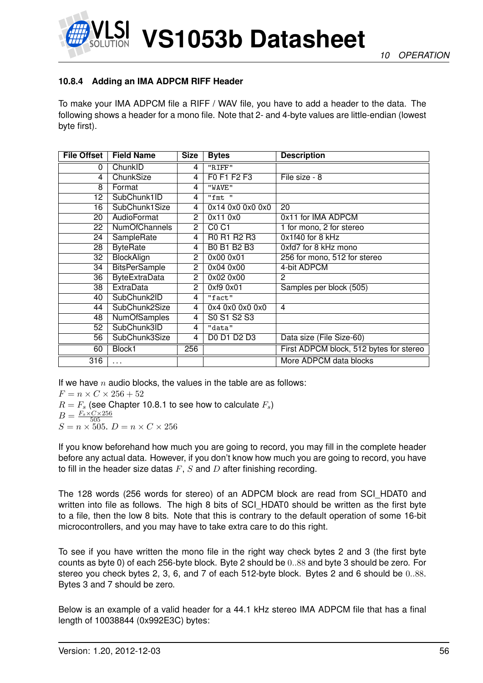

### <span id="page-55-0"></span>**10.8.4 Adding an IMA ADPCM RIFF Header**

To make your IMA ADPCM file a RIFF / WAV file, you have to add a header to the data. The following shows a header for a mono file. Note that 2- and 4-byte values are little-endian (lowest byte first).

| <b>File Offset</b> | <b>Field Name</b>    | <b>Size</b>             | <b>Bytes</b>                  | <b>Description</b>                      |
|--------------------|----------------------|-------------------------|-------------------------------|-----------------------------------------|
| 0                  | ChunkID              | $\overline{4}$          | "RIFF"                        |                                         |
| 4                  | ChunkSize            | 4                       | F0 F1 F2 F3                   | File size - 8                           |
| 8                  | Format               | 4                       | "WAVE"                        |                                         |
| 12                 | SubChunk1ID          | $\overline{\mathbf{4}}$ | "fmt "                        |                                         |
| 16                 | SubChunk1Size        | 4                       | 0x14 0x0 0x0 0x0              | 20                                      |
| 20                 | AudioFormat          | $\overline{2}$          | 0x11 0x0                      | 0x11 for IMA ADPCM                      |
| 22                 | <b>NumOfChannels</b> | $\overline{2}$          | C <sub>0</sub> C <sub>1</sub> | 1 for mono, 2 for stereo                |
| 24                 | SampleRate           | 4                       | R0 R1 R2 R3                   | 0x1f40 for 8 kHz                        |
| 28                 | <b>ByteRate</b>      | 4                       | B0 B1 B2 B3                   | 0xfd7 for 8 kHz mono                    |
| 32                 | <b>BlockAlign</b>    | $\overline{2}$          | 0x00 0x01                     | 256 for mono, 512 for stereo            |
| 34                 | <b>BitsPerSample</b> | $\mathbf{2}$            | 0x04 0x00                     | 4-bit ADPCM                             |
| 36                 | <b>ByteExtraData</b> | $\overline{2}$          | 0x02 0x00                     | 2                                       |
| 38                 | <b>ExtraData</b>     | $\mathbf{2}^{\prime}$   | 0xf9 0x01                     | Samples per block (505)                 |
| 40                 | SubChunk2ID          | 4                       | "fact"                        |                                         |
| 44                 | SubChunk2Size        | 4                       | 0x4 0x0 0x0 0x0               | $\overline{4}$                          |
| 48                 | <b>NumOfSamples</b>  | 4                       | S0 S1 S2 S3                   |                                         |
| 52                 | SubChunk3ID          | 4                       | "data"                        |                                         |
| 56                 | SubChunk3Size        | $\overline{4}$          | D0 D1 D2 D3                   | Data size (File Size-60)                |
| 60                 | Block1               | 256                     |                               | First ADPCM block, 512 bytes for stereo |
| 316                | .                    |                         |                               | More ADPCM data blocks                  |

If we have n audio blocks, the values in the table are as follows:

 $F = n \times C \times 256 + 52$ 

 $R = F_s$  (see Chapter [10.8.1](#page-52-1) to see how to calculate  $F_s$ )  $B = \frac{F_s \times C \times 256}{505}$ 505  $S = n \times 505$ .  $D = n \times C \times 256$ 

If you know beforehand how much you are going to record, you may fill in the complete header before any actual data. However, if you don't know how much you are going to record, you have to fill in the header size datas  $F$ ,  $S$  and  $D$  after finishing recording.

The 128 words (256 words for stereo) of an ADPCM block are read from SCI\_HDAT0 and written into file as follows. The high 8 bits of SCI\_HDAT0 should be written as the first byte to a file, then the low 8 bits. Note that this is contrary to the default operation of some 16-bit microcontrollers, and you may have to take extra care to do this right.

To see if you have written the mono file in the right way check bytes 2 and 3 (the first byte counts as byte 0) of each 256-byte block. Byte 2 should be 0..88 and byte 3 should be zero. For stereo you check bytes 2, 3, 6, and 7 of each 512-byte block. Bytes 2 and 6 should be 0..88. Bytes 3 and 7 should be zero.

Below is an example of a valid header for a 44.1 kHz stereo IMA ADPCM file that has a final length of 10038844 (0x992E3C) bytes: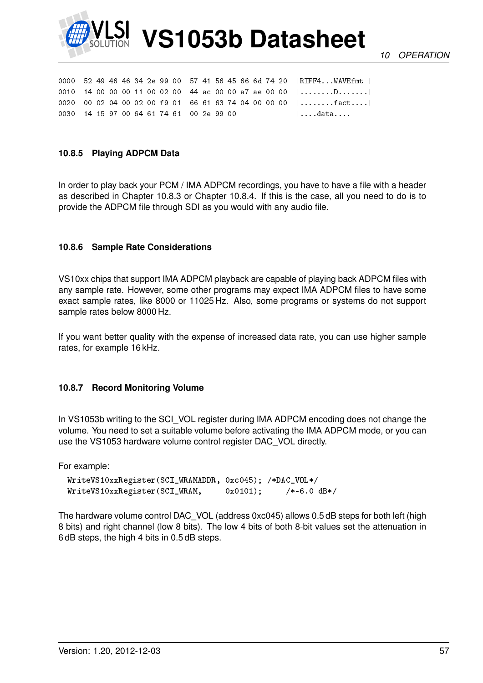

*10 OPERATION*

|                                          |  |  |  |  |  |  |  |  | 0000 52 49 46 46 34 2e 99 00 57 41 56 45 66 6d 74 20   RIFF4WAVEfmt                |
|------------------------------------------|--|--|--|--|--|--|--|--|------------------------------------------------------------------------------------|
|                                          |  |  |  |  |  |  |  |  | 0010 14 00 00 00 11 00 02 00 44 ac 00 00 a7 ae 00 00 $  \dots \dots \dots \dots  $ |
|                                          |  |  |  |  |  |  |  |  | 0020 00 02 04 00 02 00 f9 01 66 61 63 74 04 00 00 00 $\ldots \ldots$ fact          |
| 0030 14 15 97 00 64 61 74 61 00 2e 99 00 |  |  |  |  |  |  |  |  | $  \ldots$ .data $ $                                                               |

#### **10.8.5 Playing ADPCM Data**

In order to play back your PCM / IMA ADPCM recordings, you have to have a file with a header as described in Chapter [10.8.3](#page-54-0) or Chapter [10.8.4.](#page-55-0) If this is the case, all you need to do is to provide the ADPCM file through SDI as you would with any audio file.

#### **10.8.6 Sample Rate Considerations**

VS10xx chips that support IMA ADPCM playback are capable of playing back ADPCM files with any sample rate. However, some other programs may expect IMA ADPCM files to have some exact sample rates, like 8000 or 11025 Hz. Also, some programs or systems do not support sample rates below 8000 Hz.

If you want better quality with the expense of increased data rate, you can use higher sample rates, for example 16 kHz.

#### **10.8.7 Record Monitoring Volume**

In VS1053b writing to the SCI\_VOL register during IMA ADPCM encoding does not change the volume. You need to set a suitable volume before activating the IMA ADPCM mode, or you can use the VS1053 hardware volume control register DAC\_VOL directly.

For example:

```
WriteVS10xxRegister(SCI_WRAMADDR, 0xc045); /*DAC_VOL*/
WriteVS10xxRegister(SCI_WRAM, 0x0101); /*-6.0 dB*/
```
The hardware volume control DAC\_VOL (address 0xc045) allows 0.5 dB steps for both left (high 8 bits) and right channel (low 8 bits). The low 4 bits of both 8-bit values set the attenuation in 6 dB steps, the high 4 bits in 0.5 dB steps.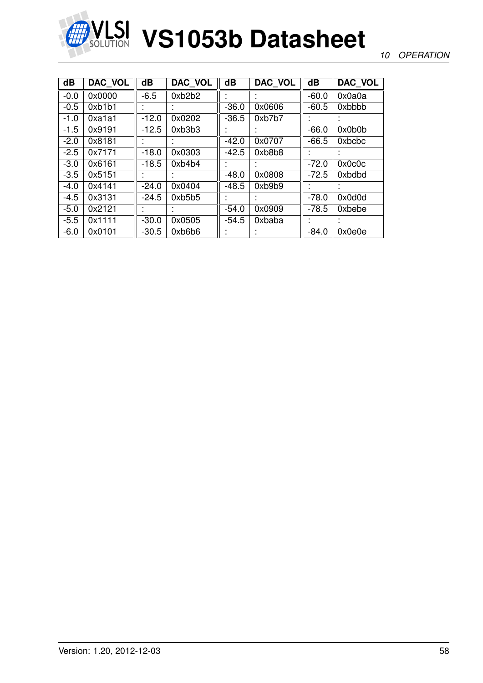

### *10 OPERATION*

| dB     | DAC VOL | $\overline{\mathbf{d}}$ | DAC_VOL | $\overline{\mathbf{d}}$ | DAC_VOL   | $\overline{\mathbf{d}}$ | DAC_VOL |
|--------|---------|-------------------------|---------|-------------------------|-----------|-------------------------|---------|
| $-0.0$ | 0x0000  | $-6.5$                  | 0xb2b2  |                         |           | $-60.0$                 | 0x0a0a  |
| $-0.5$ | 0xb1b1  |                         |         | $-36.0$                 | 0x0606    | $-60.5$                 | 0xbbbb  |
| $-1.0$ | 0xa1a1  | $-12.0$                 | 0x0202  | $-36.5$                 | 0xb7b7    |                         |         |
| $-1.5$ | 0x9191  | $-12.5$                 | 0xb3b3  |                         |           | $-66.0$                 | 0x0b0b  |
| $-2.0$ | 0x8181  |                         |         | $-42.0$                 | 0x0707    | $-66.5$                 | 0xbcbc  |
| $-2.5$ | 0x7171  | $-18.0$                 | 0x0303  | $-42.5$                 | 0xb8b8    |                         |         |
| $-3.0$ | 0x6161  | $-18.5$                 | 0xb4b4  |                         |           | $-72.0$                 | 0x0c0c  |
| $-3.5$ | 0x5151  |                         |         | $-48.0$                 | 0x0808    | $-72.5$                 | 0xbdbd  |
| $-4.0$ | 0x4141  | $-24.0$                 | 0x0404  | $-48.5$                 | 0xb9b9    |                         |         |
| $-4.5$ | 0x3131  | $-24.5$                 | 0xb5b5  |                         |           | $-78.0$                 | 0x0d0d  |
| $-5.0$ | 0x2121  |                         |         | $-54.0$                 | 0x0909    | $-78.5$                 | 0xbebe  |
| $-5.5$ | 0x1111  | $-30.0$                 | 0x0505  | $-54.5$                 | 0xbaba    | ٠                       |         |
| $-6.0$ | 0x0101  | $-30.5$                 | 0xb6b6  | $\mathbf{r}$            | $\bullet$ | $-84.0$                 | 0x0e0e  |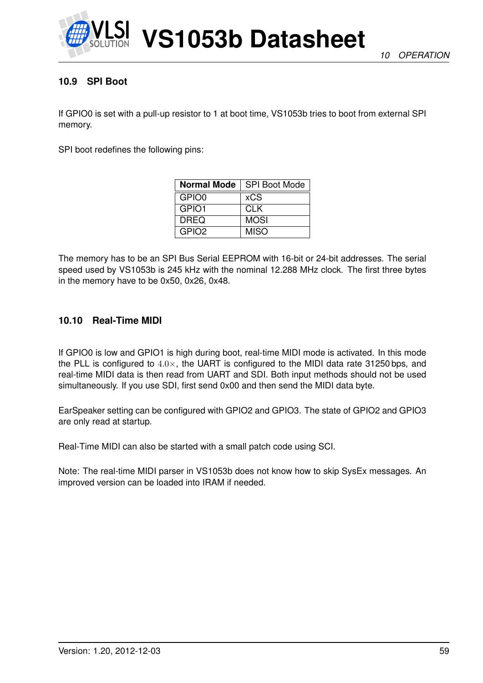

### **10.9 SPI Boot**

If GPIO0 is set with a pull-up resistor to 1 at boot time, VS1053b tries to boot from external SPI memory.

SPI boot redefines the following pins:

| <b>Normal Mode</b> | <b>SPI Boot Mode</b> |
|--------------------|----------------------|
| GPIO0              | <b>xCS</b>           |
| GPIO1              | <b>CLK</b>           |
| <b>DREQ</b>        | <b>MOSI</b>          |
| GPIO <sub>2</sub>  | <b>MISO</b>          |

The memory has to be an SPI Bus Serial EEPROM with 16-bit or 24-bit addresses. The serial speed used by VS1053b is 245 kHz with the nominal 12.288 MHz clock. The first three bytes in the memory have to be 0x50, 0x26, 0x48.

### **10.10 Real-Time MIDI**

If GPIO0 is low and GPIO1 is high during boot, real-time MIDI mode is activated. In this mode the PLL is configured to  $4.0\times$ , the UART is configured to the MIDI data rate 31250 bps, and real-time MIDI data is then read from UART and SDI. Both input methods should not be used simultaneously. If you use SDI, first send 0x00 and then send the MIDI data byte.

EarSpeaker setting can be configured with GPIO2 and GPIO3. The state of GPIO2 and GPIO3 are only read at startup.

Real-Time MIDI can also be started with a small patch code using SCI.

Note: The real-time MIDI parser in VS1053b does not know how to skip SysEx messages. An improved version can be loaded into IRAM if needed.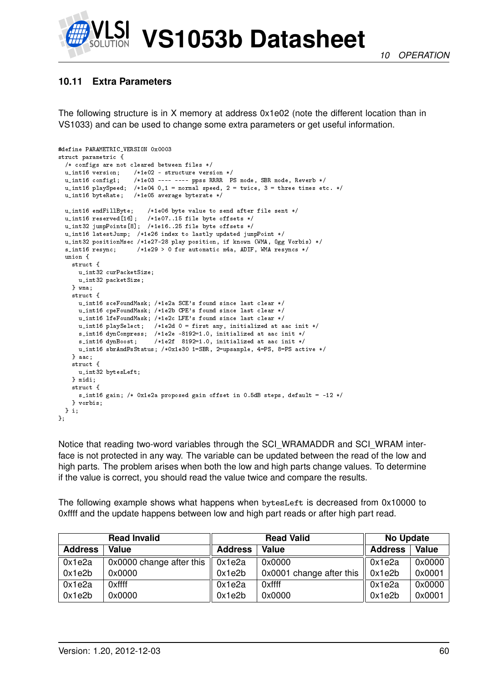

# <span id="page-59-0"></span>**10.11 Extra Parameters**

The following structure is in X memory at address 0x1e02 (note the different location than in VS1033) and can be used to change some extra parameters or get useful information.

```
#define PARAMETRIC_VERSION 0x0003
struct parametric {
 /* configs are not cleared between files */
 u_int16 version; /*1e02 - structure version */
                      /*1e03 ---- ---- ppss RRRR PS mode, SBR mode, Reverb */
  u_int16 playSpeed; /*1e04 0,1 = normal speed, 2 = twice, 3 = three times etc. */
 u_int16 byteRate; /*1e05 average byterate */
  u_int16 endFillByte; /*1e06 byte value to send after file sent */
  u_int16 reserved[16]; /*1e07..15 file byte offsets */
  u_int32 jumpPoints[8]; /*1e16..25 file byte offsets */
  u_int16 latestJump; /*1e26 index to lastly updated jumpPoint */
  u_int32 positionMsec /*1e27-28 play position, if known (WMA, Ogg Vorbis) */
  s_int16 resync; /*1e29 > 0 for automatic m4a, ADIF, WMA resyncs */
  union {
   struct {
      u_int32 curPacketSize;
     u_int32 packetSize;
    } wma;
    struct {
     u_int16 sceFoundMask; /*1e2a SCE's found since last clear */
      u_int16 cpeFoundMask; /*1e2b CPE's found since last clear */
      u_int16 lfeFoundMask; /*1e2c LFE's found since last clear */
     u_int16 playSelect; /*1e2d 0 = first any, initialized at aac init */
      s_int16 dynCompress; /*1e2e -8192=1.0, initialized at aac init */<br>s_int16 dynBoost; /*1e2f 8192=1.0, initialized at aac init */
                            /*1e2f 8192=1.0, initialized at aac init */
     u_int16 sbrAndPsStatus; /*0x1e30 1=SBR, 2=upsample, 4=PS, 8=PS active */
    } aac;
    struct {
     u_int32 bytesLeft;
    } midi;
    struct {
     s_int16 gain; /* 0x1e2a proposed gain offset in 0.5dB steps, default = -12 */
    } vorbis;
 } i;
};
```
Notice that reading two-word variables through the SCI\_WRAMADDR and SCI\_WRAM interface is not protected in any way. The variable can be updated between the read of the low and high parts. The problem arises when both the low and high parts change values. To determine if the value is correct, you should read the value twice and compare the results.

The following example shows what happens when bytesLeft is decreased from 0x10000 to 0xffff and the update happens between low and high part reads or after high part read.

|                | <b>Read Invalid</b>      |                | <b>Read Valid</b>        | <b>No Update</b> |        |  |
|----------------|--------------------------|----------------|--------------------------|------------------|--------|--|
| <b>Address</b> | <b>Value</b>             | <b>Address</b> | Value                    | <b>Address</b>   | Value  |  |
| 0x1e2a         | 0x0000 change after this | 0x1e2a         | 0x0000                   | 0x1e2a           | 0x0000 |  |
| 0x1e2b         | 0x0000                   | 0x1e2b         | 0x0001 change after this | 0x1e2b           | 0x0001 |  |
| 0x1e2a         | 0xffff                   | 0x1e2a         | 0xffff                   | 0x1e2a           | 0x0000 |  |
| 0x1e2b         | 0x0000                   | 0x1e2b         | 0x0000                   | 0x1e2b           | 0x0001 |  |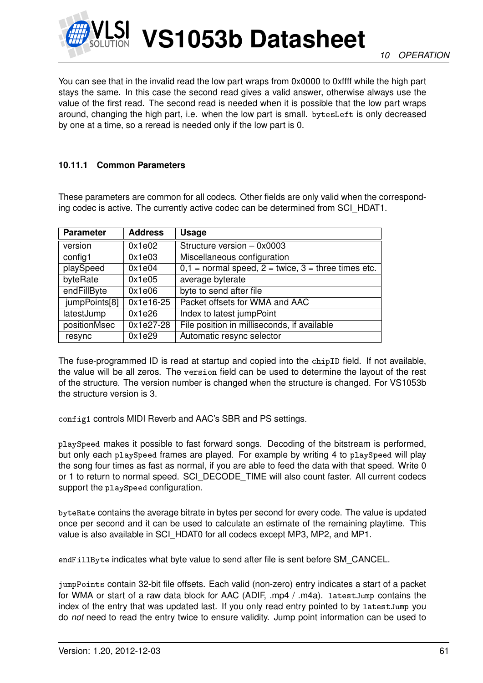

You can see that in the invalid read the low part wraps from 0x0000 to 0xffff while the high part stays the same. In this case the second read gives a valid answer, otherwise always use the value of the first read. The second read is needed when it is possible that the low part wraps around, changing the high part, i.e. when the low part is small. bytesLeft is only decreased by one at a time, so a reread is needed only if the low part is 0.

### **10.11.1 Common Parameters**

These parameters are common for all codecs. Other fields are only valid when the corresponding codec is active. The currently active codec can be determined from SCI\_HDAT1.

| <b>Parameter</b> | <b>Address</b> | <b>Usage</b>                                              |
|------------------|----------------|-----------------------------------------------------------|
| version          | 0x1e02         | Structure version - 0x0003                                |
| config1          | 0x1e03         | Miscellaneous configuration                               |
| playSpeed        | 0x1e04         | $0,1 =$ normal speed, $2 =$ twice, $3 =$ three times etc. |
| byteRate         | 0x1e05         | average byterate                                          |
| endFillByte      | 0x1e06         | byte to send after file                                   |
| jumpPoints[8]    | 0x1e16-25      | Packet offsets for WMA and AAC                            |
| latestJump       | 0x1e26         | Index to latest jumpPoint                                 |
| positionMsec     | $0x1e27-28$    | File position in milliseconds, if available               |
| resync           | 0x1e29         | Automatic resync selector                                 |

The fuse-programmed ID is read at startup and copied into the chipID field. If not available, the value will be all zeros. The version field can be used to determine the layout of the rest of the structure. The version number is changed when the structure is changed. For VS1053b the structure version is 3.

config1 controls MIDI Reverb and AAC's SBR and PS settings.

playSpeed makes it possible to fast forward songs. Decoding of the bitstream is performed, but only each playSpeed frames are played. For example by writing 4 to playSpeed will play the song four times as fast as normal, if you are able to feed the data with that speed. Write 0 or 1 to return to normal speed. SCI\_DECODE\_TIME will also count faster. All current codecs support the playSpeed configuration.

byteRate contains the average bitrate in bytes per second for every code. The value is updated once per second and it can be used to calculate an estimate of the remaining playtime. This value is also available in SCI\_HDAT0 for all codecs except MP3, MP2, and MP1.

endFillByte indicates what byte value to send after file is sent before SM\_CANCEL.

jumpPoints contain 32-bit file offsets. Each valid (non-zero) entry indicates a start of a packet for WMA or start of a raw data block for AAC (ADIF, .mp4 / .m4a). latestJump contains the index of the entry that was updated last. If you only read entry pointed to by latestJump you do *not* need to read the entry twice to ensure validity. Jump point information can be used to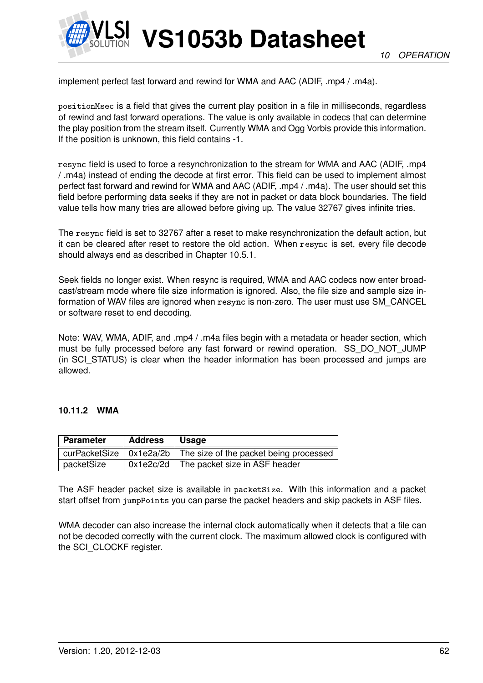

implement perfect fast forward and rewind for WMA and AAC (ADIF, .mp4 / .m4a).

positionMsec is a field that gives the current play position in a file in milliseconds, regardless of rewind and fast forward operations. The value is only available in codecs that can determine the play position from the stream itself. Currently WMA and Ogg Vorbis provide this information. If the position is unknown, this field contains -1.

resync field is used to force a resynchronization to the stream for WMA and AAC (ADIF, .mp4 / .m4a) instead of ending the decode at first error. This field can be used to implement almost perfect fast forward and rewind for WMA and AAC (ADIF, .mp4 / .m4a). The user should set this field before performing data seeks if they are not in packet or data block boundaries. The field value tells how many tries are allowed before giving up. The value 32767 gives infinite tries.

The resync field is set to 32767 after a reset to make resynchronization the default action, but it can be cleared after reset to restore the old action. When resync is set, every file decode should always end as described in Chapter [10.5.1.](#page-49-1)

Seek fields no longer exist. When resync is required, WMA and AAC codecs now enter broadcast/stream mode where file size information is ignored. Also, the file size and sample size information of WAV files are ignored when resync is non-zero. The user must use SM\_CANCEL or software reset to end decoding.

Note: WAV, WMA, ADIF, and .mp4 / .m4a files begin with a metadata or header section, which must be fully processed before any fast forward or rewind operation. SS\_DO\_NOT\_JUMP (in SCI STATUS) is clear when the header information has been processed and jumps are allowed.

#### **10.11.2 WMA**

| <b>Parameter</b> | <b>Address</b> | $\vert$ Usage                                                                  |
|------------------|----------------|--------------------------------------------------------------------------------|
|                  |                | curPacketSize $\vert$ 0x1e2a/2b $\vert$ The size of the packet being processed |
| packetSize       |                | $0x1e2c/2d$ The packet size in ASF header                                      |

The ASF header packet size is available in packetSize. With this information and a packet start offset from jumpPoints you can parse the packet headers and skip packets in ASF files.

WMA decoder can also increase the internal clock automatically when it detects that a file can not be decoded correctly with the current clock. The maximum allowed clock is configured with the SCI\_CLOCKF register.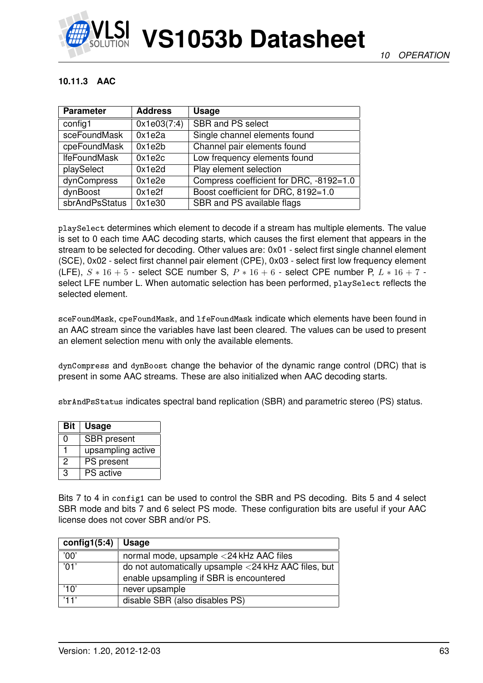

### **10.11.3 AAC**

| <b>Parameter</b>    | <b>Address</b> | <b>Usage</b>                            |
|---------------------|----------------|-----------------------------------------|
| config1             | 0x1e03(7:4)    | <b>SBR and PS select</b>                |
| sceFoundMask        | 0x1e2a         | Single channel elements found           |
| cpeFoundMask        | 0x1e2b         | Channel pair elements found             |
| <b>IfeFoundMask</b> | 0x1e2c         | Low frequency elements found            |
| playSelect          | 0x1e2d         | Play element selection                  |
| dynCompress         | 0x1e2e         | Compress coefficient for DRC, -8192=1.0 |
| dynBoost            | 0x1e2f         | Boost coefficient for DRC, 8192=1.0     |
| sbrAndPsStatus      | 0x1e30         | SBR and PS available flags              |

playSelect determines which element to decode if a stream has multiple elements. The value is set to 0 each time AAC decoding starts, which causes the first element that appears in the stream to be selected for decoding. Other values are: 0x01 - select first single channel element (SCE), 0x02 - select first channel pair element (CPE), 0x03 - select first low frequency element (LFE),  $S * 16 + 5$  - select SCE number S,  $P * 16 + 6$  - select CPE number P,  $L * 16 + 7$  select LFE number L. When automatic selection has been performed, playSelect reflects the selected element.

sceFoundMask, cpeFoundMask, and lfeFoundMask indicate which elements have been found in an AAC stream since the variables have last been cleared. The values can be used to present an element selection menu with only the available elements.

dynCompress and dynBoost change the behavior of the dynamic range control (DRC) that is present in some AAC streams. These are also initialized when AAC decoding starts.

sbrAndPsStatus indicates spectral band replication (SBR) and parametric stereo (PS) status.

| <b>Bit</b> | <b>Usage</b>       |
|------------|--------------------|
| ი          | <b>SBR</b> present |
|            | upsampling active  |
| 2          | PS present         |
| З          | <b>PS</b> active   |

Bits 7 to 4 in config1 can be used to control the SBR and PS decoding. Bits 5 and 4 select SBR mode and bits 7 and 6 select PS mode. These configuration bits are useful if your AAC license does not cover SBR and/or PS.

| config1(5:4)   | Usage                                                |
|----------------|------------------------------------------------------|
| '00'           | normal mode, upsample <24 kHz AAC files              |
| $^{\prime}01'$ | do not automatically upsample <24 kHz AAC files, but |
|                | enable upsampling if SBR is encountered              |
| '10'           | never upsample                                       |
| '11'           | disable SBR (also disables PS)                       |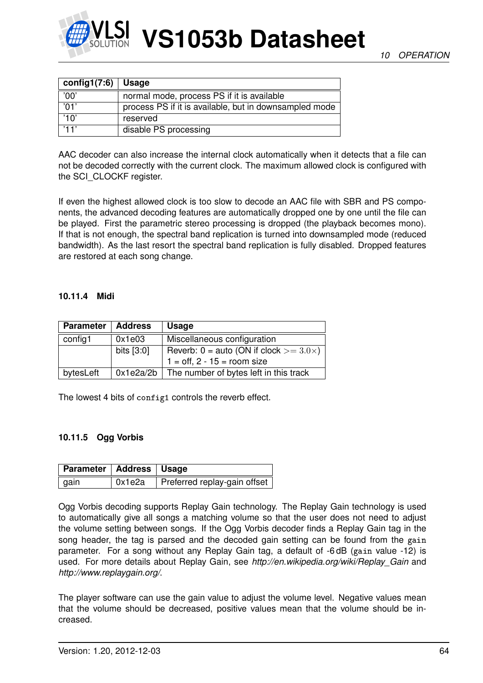

| config1(7:6)    | <b>Usage</b>                                           |
|-----------------|--------------------------------------------------------|
| '00'            | normal mode, process PS if it is available             |
| $\overline{01}$ | process PS if it is available, but in downsampled mode |
| '10'            | reserved                                               |
| '11'            | disable PS processing                                  |

AAC decoder can also increase the internal clock automatically when it detects that a file can not be decoded correctly with the current clock. The maximum allowed clock is configured with the SCI\_CLOCKF register.

If even the highest allowed clock is too slow to decode an AAC file with SBR and PS components, the advanced decoding features are automatically dropped one by one until the file can be played. First the parametric stereo processing is dropped (the playback becomes mono). If that is not enough, the spectral band replication is turned into downsampled mode (reduced bandwidth). As the last resort the spectral band replication is fully disabled. Dropped features are restored at each song change.

#### **10.11.4 Midi**

| <b>Parameter</b> | <b>Address</b> | <b>Usage</b>                                       |  |
|------------------|----------------|----------------------------------------------------|--|
| config1          | 0x1e03         | Miscellaneous configuration                        |  |
|                  | bits [3:0]     | Reverb: $0 =$ auto (ON if clock $> = 3.0 \times$ ) |  |
|                  |                | $1 = \text{off}, 2 - 15 = \text{room size}$        |  |
| bytesLeft        |                | $0x1e2a/2b$ The number of bytes left in this track |  |

The lowest 4 bits of config1 controls the reverb effect.

#### **10.11.5 Ogg Vorbis**

| Parameter   Address   Usage |                                         |
|-----------------------------|-----------------------------------------|
| ∣ gain                      | $0x1e2a$   Preferred replay-gain offset |

Ogg Vorbis decoding supports Replay Gain technology. The Replay Gain technology is used to automatically give all songs a matching volume so that the user does not need to adjust the volume setting between songs. If the Ogg Vorbis decoder finds a Replay Gain tag in the song header, the tag is parsed and the decoded gain setting can be found from the gain parameter. For a song without any Replay Gain tag, a default of -6 dB (gain value -12) is used. For more details about Replay Gain, see *http://en.wikipedia.org/wiki/Replay\_Gain* and *http://www.replaygain.org/*.

The player software can use the gain value to adjust the volume level. Negative values mean that the volume should be decreased, positive values mean that the volume should be increased.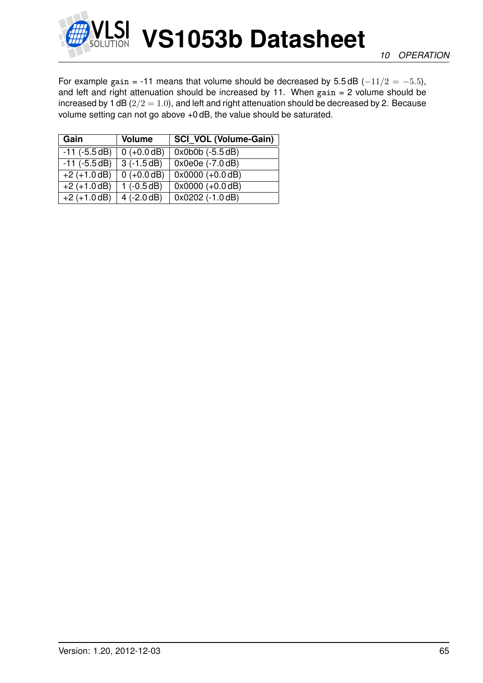

For example gain = -11 means that volume should be decreased by  $5.5 \text{ dB } (-11/2 = -5.5)$ , and left and right attenuation should be increased by 11. When  $gain = 2$  volume should be increased by 1 dB  $(2/2 = 1.0)$ , and left and right attenuation should be decreased by 2. Because volume setting can not go above +0 dB, the value should be saturated.

| Gain               | <b>Volume</b>               | <b>SCI VOL (Volume-Gain)</b>     |
|--------------------|-----------------------------|----------------------------------|
| $-11$ ( $-5.5dB$ ) | $0 (+0.0 dB)$               | $0x0b0b (-5.5 dB)$               |
| $-11$ ( $-5.5$ dB) | $3(-1.5dB)$                 | $0x0e0e (-7.0 dB)$               |
| $+2 (+1.0 dB)$     | $0 (+0.0 dB)$               | $\sqrt{0 \times 0000} (+0.0 dB)$ |
| $+2 (+1.0 dB)$     | $1(-0.5dB)$                 | $0x0000 (+0.0 dB)$               |
| $+2 (+1.0 dB)$     | $\sqrt{4(-2.0 \text{ dB})}$ | $0x0202$ (-1.0 dB)               |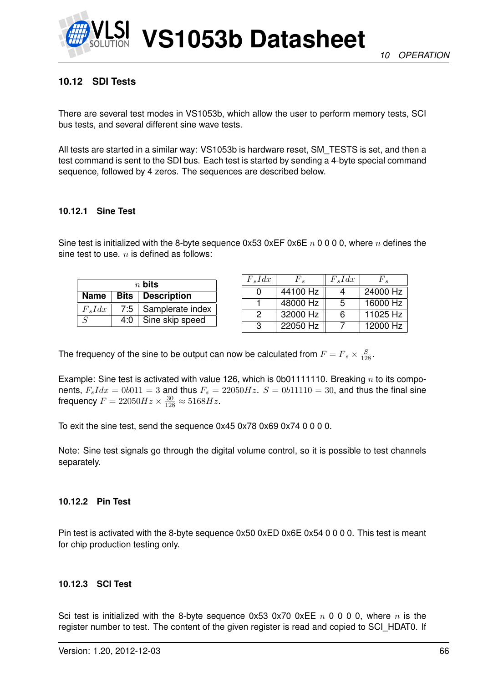

# <span id="page-65-0"></span>**10.12 SDI Tests**

There are several test modes in VS1053b, which allow the user to perform memory tests, SCI bus tests, and several different sine wave tests.

All tests are started in a similar way: VS1053b is hardware reset, SM\_TESTS is set, and then a test command is sent to the SDI bus. Each test is started by sending a 4-byte special command sequence, followed by 4 zeros. The sequences are described below.

### **10.12.1 Sine Test**

Sine test is initialized with the 8-byte sequence  $0x53 0xEF 0x6E n 0 0 0 0$ , where n defines the sine test to use.  $n$  is defined as follows:

| $n$ bits                  |     |                        |  |  |
|---------------------------|-----|------------------------|--|--|
| Name   Bits   Description |     |                        |  |  |
| $F_s I dx$                |     | 7:5   Samplerate index |  |  |
| $\mathcal{S}$             | 4:0 | Sine skip speed        |  |  |

| $F_s I dx$ | $F_{\circ}$ | $F_s I dx$ | $F \, \text{\tiny s}$ |
|------------|-------------|------------|-----------------------|
|            | 44100 Hz    |            | 24000 Hz              |
|            | 48000 Hz    | .5         | 16000 Hz              |
| 2          | 32000 Hz    | 6          | 11025 Hz              |
| З          | 22050 Hz    |            | 12000 Hz              |

The frequency of the sine to be output can now be calculated from  $F = F_s \times \frac{S}{128}$ .

Example: Sine test is activated with value 126, which is 0b01111110. Breaking  $n$  to its components,  $F_s I dx = 0b011 = 3$  and thus  $F_s = 22050 Hz$ .  $S = 0b11110 = 30$ , and thus the final sine frequency  $F = 22050Hz \times \frac{30}{128} \approx 5168Hz$ .

To exit the sine test, send the sequence 0x45 0x78 0x69 0x74 0 0 0 0.

Note: Sine test signals go through the digital volume control, so it is possible to test channels separately.

#### **10.12.2 Pin Test**

Pin test is activated with the 8-byte sequence 0x50 0xED 0x6E 0x54 0 0 0 0. This test is meant for chip production testing only.

#### **10.12.3 SCI Test**

Sci test is initialized with the 8-byte sequence 0x53 0x70 0xEE  $n \times 0$  0 0 0, where  $n \times n$  is the register number to test. The content of the given register is read and copied to SCI\_HDAT0. If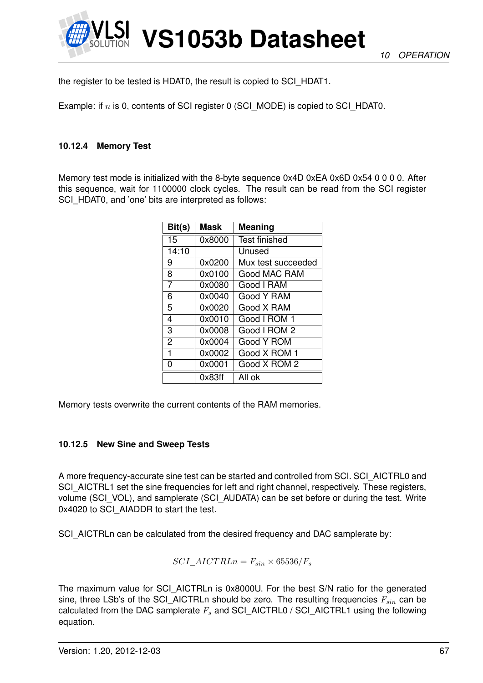

the register to be tested is HDAT0, the result is copied to SCI\_HDAT1.

Example: if  $n$  is 0, contents of SCI register 0 (SCI\_MODE) is copied to SCI\_HDAT0.

### **10.12.4 Memory Test**

Memory test mode is initialized with the 8-byte sequence 0x4D 0xEA 0x6D 0x54 0 0 0 0. After this sequence, wait for 1100000 clock cycles. The result can be read from the SCI register SCI\_HDAT0, and 'one' bits are interpreted as follows:

| Bit(s)         | Mask   | <b>Meaning</b>       |
|----------------|--------|----------------------|
| 15             | 0x8000 | <b>Test finished</b> |
| 14:10          |        | Unused               |
| 9              | 0x0200 | Mux test succeeded   |
| 8              | 0x0100 | Good MAC RAM         |
| 7              | 0x0080 | Good I RAM           |
| 6              | 0x0040 | Good Y RAM           |
| 5              | 0x0020 | Good X RAM           |
| 4              | 0x0010 | Good I ROM 1         |
| 3              | 0x0008 | Good I ROM 2         |
| $\overline{2}$ | 0x0004 | Good Y ROM           |
| 1              | 0x0002 | Good X ROM 1         |
| 0              | 0x0001 | Good X ROM 2         |
|                | 0x83ff | All ok               |

Memory tests overwrite the current contents of the RAM memories.

#### **10.12.5 New Sine and Sweep Tests**

A more frequency-accurate sine test can be started and controlled from SCI. SCI\_AICTRL0 and SCI\_AICTRL1 set the sine frequencies for left and right channel, respectively. These registers, volume (SCI\_VOL), and samplerate (SCI\_AUDATA) can be set before or during the test. Write 0x4020 to SCI\_AIADDR to start the test.

SCI\_AICTRLn can be calculated from the desired frequency and DAC samplerate by:

$$
SCI\_AICTRLn = F_{sin} \times 65536/F_s
$$

The maximum value for SCI\_AICTRLn is 0x8000U. For the best S/N ratio for the generated sine, three LSb's of the SCI AICTRLn should be zero. The resulting frequencies  $F_{sin}$  can be calculated from the DAC samplerate  $F_s$  and SCI\_AICTRL0 / SCI\_AICTRL1 using the following equation.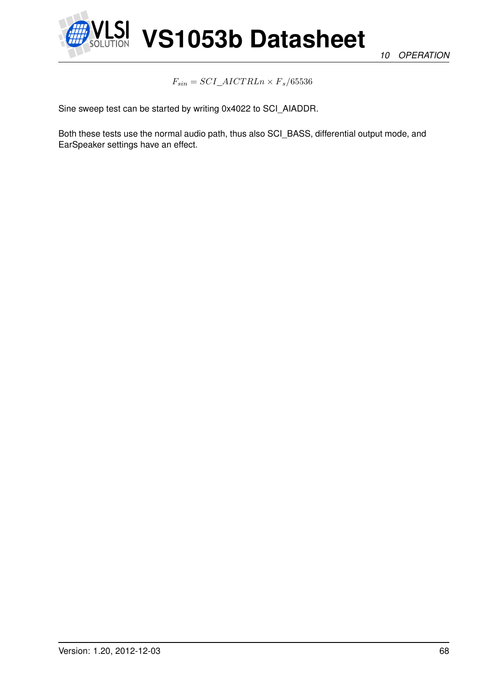

*10 OPERATION*

 $F_{sin} = SCI\_AICTRLn \times F_s/65536$ 

Sine sweep test can be started by writing 0x4022 to SCI\_AIADDR.

Both these tests use the normal audio path, thus also SCI\_BASS, differential output mode, and EarSpeaker settings have an effect.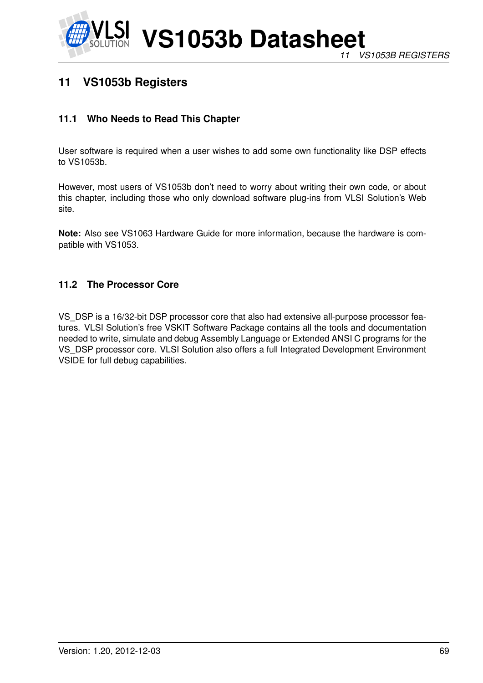

# **11 VS1053b Registers**

# **11.1 Who Needs to Read This Chapter**

User software is required when a user wishes to add some own functionality like DSP effects to VS1053b.

However, most users of VS1053b don't need to worry about writing their own code, or about this chapter, including those who only download software plug-ins from VLSI Solution's Web site.

**Note:** Also see VS1063 Hardware Guide for more information, because the hardware is compatible with VS1053.

### **11.2 The Processor Core**

VS\_DSP is a 16/32-bit DSP processor core that also had extensive all-purpose processor features. VLSI Solution's free VSKIT Software Package contains all the tools and documentation needed to write, simulate and debug Assembly Language or Extended ANSI C programs for the VS\_DSP processor core. VLSI Solution also offers a full Integrated Development Environment VSIDE for full debug capabilities.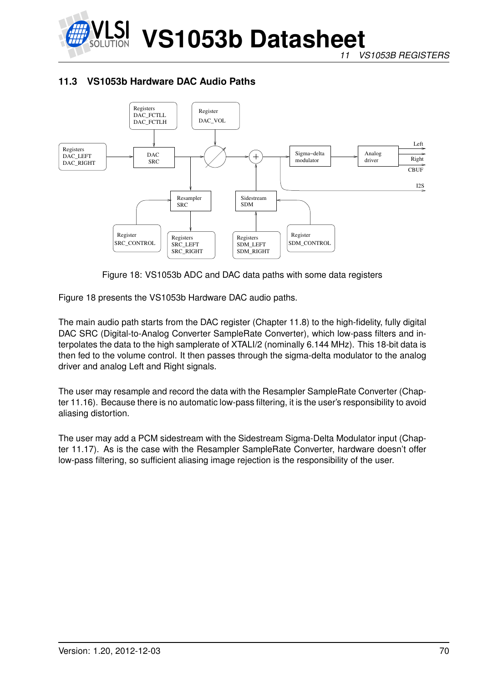

*11 VS1053B REGISTERS*

# **11.3 VS1053b Hardware DAC Audio Paths**



<span id="page-69-0"></span>Figure 18: VS1053b ADC and DAC data paths with some data registers

Figure [18](#page-69-0) presents the VS1053b Hardware DAC audio paths.

The main audio path starts from the DAC register (Chapter [11.8\)](#page-72-0) to the high-fidelity, fully digital DAC SRC (Digital-to-Analog Converter SampleRate Converter), which low-pass filters and interpolates the data to the high samplerate of XTALI/2 (nominally 6.144 MHz). This 18-bit data is then fed to the volume control. It then passes through the sigma-delta modulator to the analog driver and analog Left and Right signals.

The user may resample and record the data with the Resampler SampleRate Converter (Chapter [11.16\)](#page-83-0). Because there is no automatic low-pass filtering, it is the user's responsibility to avoid aliasing distortion.

The user may add a PCM sidestream with the Sidestream Sigma-Delta Modulator input (Chapter [11.17\)](#page-84-0). As is the case with the Resampler SampleRate Converter, hardware doesn't offer low-pass filtering, so sufficient aliasing image rejection is the responsibility of the user.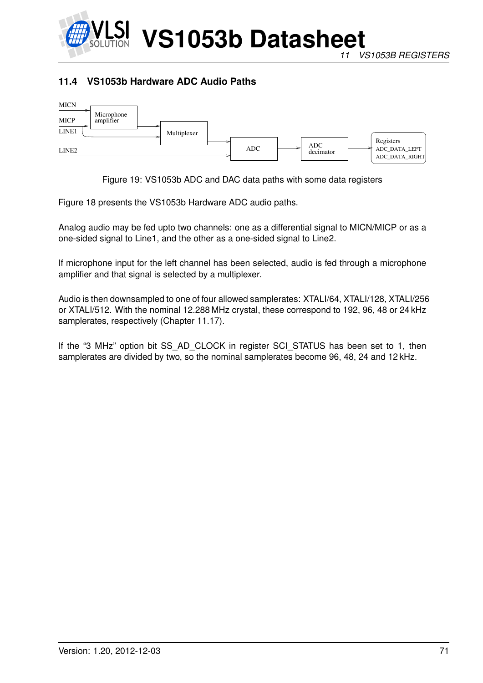

# **11.4 VS1053b Hardware ADC Audio Paths**



Figure 19: VS1053b ADC and DAC data paths with some data registers

Figure [18](#page-69-0) presents the VS1053b Hardware ADC audio paths.

Analog audio may be fed upto two channels: one as a differential signal to MICN/MICP or as a one-sided signal to Line1, and the other as a one-sided signal to Line2.

If microphone input for the left channel has been selected, audio is fed through a microphone amplifier and that signal is selected by a multiplexer.

Audio is then downsampled to one of four allowed samplerates: XTALI/64, XTALI/128, XTALI/256 or XTALI/512. With the nominal 12.288 MHz crystal, these correspond to 192, 96, 48 or 24 kHz samplerates, respectively (Chapter [11.17\)](#page-84-0).

If the "3 MHz" option bit SS\_AD\_CLOCK in register SCI\_STATUS has been set to 1, then samplerates are divided by two, so the nominal samplerates become 96, 48, 24 and 12 kHz.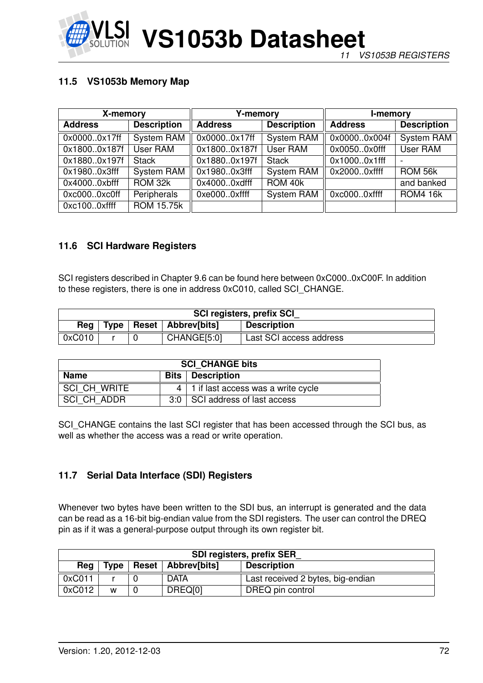

# **11.5 VS1053b Memory Map**

| X-memory       |                    | <b>Y-memory</b>                      |                   | I-memory       |                    |
|----------------|--------------------|--------------------------------------|-------------------|----------------|--------------------|
| <b>Address</b> | <b>Description</b> | <b>Description</b><br><b>Address</b> |                   | <b>Address</b> | <b>Description</b> |
| 0x00000x17ff   | System RAM         | 0x00000x17ff                         | <b>System RAM</b> | 0x00000x004f   | <b>System RAM</b>  |
| 0x18000x187f   | User RAM           | 0x18000x187f                         | User RAM          | 0x00500x0fff   | User RAM           |
| 0x18800x197f   | <b>Stack</b>       | 0x18800x197f                         | <b>Stack</b>      | 0x10000x1fff   |                    |
| 0x19800x3fff   | <b>System RAM</b>  | 0x19800x3fff                         | <b>System RAM</b> | 0x20000xffff   | ROM 56k            |
| 0x40000xbfff   | ROM 32k            | 0x40000xdfff                         | ROM 40k           |                | and banked         |
| 0xc0000xc0ff   | Peripherals        | 0xe0000xffff                         | <b>System RAM</b> | 0xc0000xffff   | <b>ROM4 16k</b>    |
| 0xc1000xffff   | <b>ROM 15.75k</b>  |                                      |                   |                |                    |

### **11.6 SCI Hardware Registers**

SCI registers described in Chapter [9.6](#page-36-0) can be found here between 0xC000..0xC00F. In addition to these registers, there is one in address 0xC010, called SCI\_CHANGE.

| <b>SCI registers, prefix SCI</b> |                                                           |  |             |                         |  |  |
|----------------------------------|-----------------------------------------------------------|--|-------------|-------------------------|--|--|
| Rea                              | <b>Reset Abbrev[bits]</b><br>Type  <br><b>Description</b> |  |             |                         |  |  |
| 0xC010                           |                                                           |  | CHANGE[5:0] | Last SCI access address |  |  |

| <b>SCI CHANGE bits</b>                        |  |                                             |  |  |
|-----------------------------------------------|--|---------------------------------------------|--|--|
| <b>Bits   Description</b><br>Name             |  |                                             |  |  |
| SCI CH WRITE                                  |  | $4 \mid 1$ if last access was a write cycle |  |  |
| SCI CH ADDR<br>3:0 SCI address of last access |  |                                             |  |  |

SCI\_CHANGE contains the last SCI register that has been accessed through the SCI bus, as well as whether the access was a read or write operation.

### **11.7 Serial Data Interface (SDI) Registers**

Whenever two bytes have been written to the SDI bus, an interrupt is generated and the data can be read as a 16-bit big-endian value from the SDI registers. The user can control the DREQ pin as if it was a general-purpose output through its own register bit.

| <b>SDI registers, prefix SER</b> |             |  |                      |                                   |
|----------------------------------|-------------|--|----------------------|-----------------------------------|
| Rea                              | <b>Type</b> |  | Reset   Abbrev[bits] | <b>Description</b>                |
| 0xC011                           |             |  | <b>DATA</b>          | Last received 2 bytes, big-endian |
| 0xC012                           | W           |  | DREQ[0]              | DREQ pin control                  |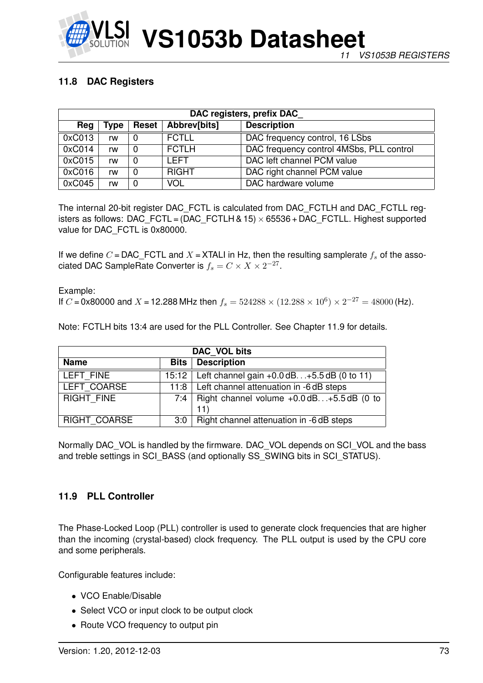

# <span id="page-72-1"></span>**11.8 DAC Registers**

| DAC registers, prefix DAC                                         |    |   |              |                                          |  |  |  |  |
|-------------------------------------------------------------------|----|---|--------------|------------------------------------------|--|--|--|--|
| <b>Description</b><br>Abbrev[bits]<br>Reg<br><b>Reset</b><br>Type |    |   |              |                                          |  |  |  |  |
| 0xC013                                                            | rw |   | <b>FCTLL</b> | DAC frequency control, 16 LSbs           |  |  |  |  |
| 0xC014                                                            | rw |   | <b>FCTLH</b> | DAC frequency control 4MSbs, PLL control |  |  |  |  |
| 0xC015                                                            | rw | 0 | I FFT        | DAC left channel PCM value               |  |  |  |  |
| 0xC016                                                            | rw |   | <b>RIGHT</b> | DAC right channel PCM value              |  |  |  |  |
| 0xC045                                                            | rw |   | <b>VOL</b>   | DAC hardware volume                      |  |  |  |  |

The internal 20-bit register DAC\_FCTL is calculated from DAC\_FCTLH and DAC\_FCTLL registers as follows: DAC\_FCTL =  $(DAC_FCTLH & 15) \times 65536 + DAC_FCTLL$ . Highest supported value for DAC FCTL is 0x80000.

If we define C = DAC\_FCTL and X = XTALI in Hz, then the resulting samplerate  $f_s$  of the associated DAC SampleRate Converter is  $f_s = C \times X \times 2^{-27}$ .

Example: If C = 0x80000 and X = 12.288 MHz then  $f_s = 524288 \times (12.288 \times 10^6) \times 2^{-27} = 48000$  (Hz).

Note: FCTLH bits 13:4 are used for the PLL Controller. See Chapter [11.9](#page-72-0) for details.

| DAC VOL bits                                                  |     |                                                             |  |  |  |  |
|---------------------------------------------------------------|-----|-------------------------------------------------------------|--|--|--|--|
| <b>Bits   Description</b><br><b>Name</b>                      |     |                                                             |  |  |  |  |
| LEFT FINE                                                     |     | 15:12   Left channel gain +0.0 dB. +5.5 dB (0 to 11)        |  |  |  |  |
| LEFT COARSE<br>11:8   Left channel attenuation in -6 dB steps |     |                                                             |  |  |  |  |
| <b>RIGHT FINE</b>                                             |     | 7:4   Right channel volume $+0.0$ dB $+5.5$ dB (0 to<br>11) |  |  |  |  |
| <b>RIGHT COARSE</b>                                           | 3:0 | Right channel attenuation in -6 dB steps                    |  |  |  |  |

Normally DAC\_VOL is handled by the firmware. DAC\_VOL depends on SCI\_VOL and the bass and treble settings in SCI\_BASS (and optionally SS\_SWING bits in SCI\_STATUS).

# <span id="page-72-0"></span>**11.9 PLL Controller**

The Phase-Locked Loop (PLL) controller is used to generate clock frequencies that are higher than the incoming (crystal-based) clock frequency. The PLL output is used by the CPU core and some peripherals.

Configurable features include:

- VCO Enable/Disable
- Select VCO or input clock to be output clock
- Route VCO frequency to output pin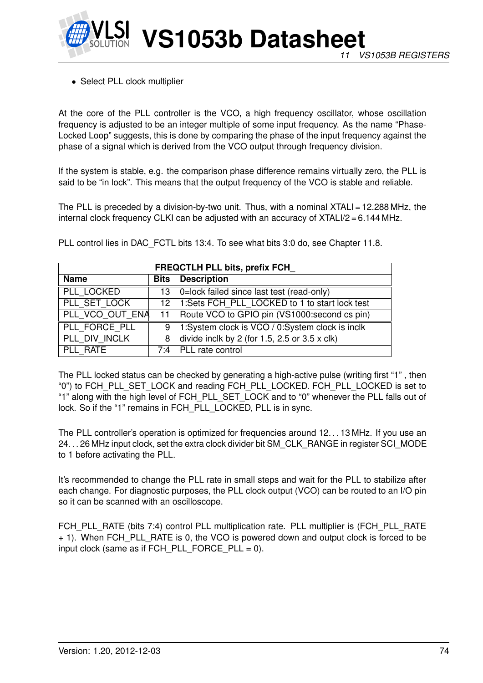

• Select PLL clock multiplier

At the core of the PLL controller is the VCO, a high frequency oscillator, whose oscillation frequency is adjusted to be an integer multiple of some input frequency. As the name "Phase-Locked Loop" suggests, this is done by comparing the phase of the input frequency against the phase of a signal which is derived from the VCO output through frequency division.

If the system is stable, e.g. the comparison phase difference remains virtually zero, the PLL is said to be "in lock". This means that the output frequency of the VCO is stable and reliable.

The PLL is preceded by a division-by-two unit. Thus, with a nominal XTALI = 12.288 MHz, the internal clock frequency CLKI can be adjusted with an accuracy of XTALI/2 = 6.144 MHz.

| <b>FREQCTLH PLL bits, prefix FCH</b> |   |                                                           |  |  |  |  |
|--------------------------------------|---|-----------------------------------------------------------|--|--|--|--|
| <b>Name</b>                          |   | <b>Bits</b> Description                                   |  |  |  |  |
| PLL LOCKED                           |   | $13$ 0=lock failed since last test (read-only)            |  |  |  |  |
| PLL SET LOCK                         |   | 12   1:Sets FCH_PLL_LOCKED to 1 to start lock test        |  |  |  |  |
| PLL VCO OUT ENA                      |   | 11   Route VCO to GPIO pin (VS1000: second cs pin)        |  |  |  |  |
| PLL FORCE PLL                        | 9 | 1:System clock is VCO / 0:System clock is inclk           |  |  |  |  |
| PLL_DIV INCLK                        | 8 | divide inclk by 2 (for $1.5$ , $2.5$ or $3.5 \times$ clk) |  |  |  |  |
| PLL RATE                             |   | 7:4   PLL rate control                                    |  |  |  |  |

PLL control lies in DAC\_FCTL bits 13:4. To see what bits 3:0 do, see Chapter [11.8.](#page-72-1)

The PLL locked status can be checked by generating a high-active pulse (writing first "1" , then "0") to FCH\_PLL\_SET\_LOCK and reading FCH\_PLL\_LOCKED. FCH\_PLL\_LOCKED is set to "1" along with the high level of FCH\_PLL\_SET\_LOCK and to "0" whenever the PLL falls out of lock. So if the "1" remains in FCH\_PLL\_LOCKED, PLL is in sync.

The PLL controller's operation is optimized for frequencies around 12. . . 13 MHz. If you use an 24. . . 26 MHz input clock, set the extra clock divider bit SM\_CLK\_RANGE in register SCI\_MODE to 1 before activating the PLL.

It's recommended to change the PLL rate in small steps and wait for the PLL to stabilize after each change. For diagnostic purposes, the PLL clock output (VCO) can be routed to an I/O pin so it can be scanned with an oscilloscope.

FCH\_PLL\_RATE (bits 7:4) control PLL multiplication rate. PLL multiplier is (FCH\_PLL\_RATE + 1). When FCH\_PLL\_RATE is 0, the VCO is powered down and output clock is forced to be input clock (same as if FCH\_PLL\_FORCE\_PLL = 0).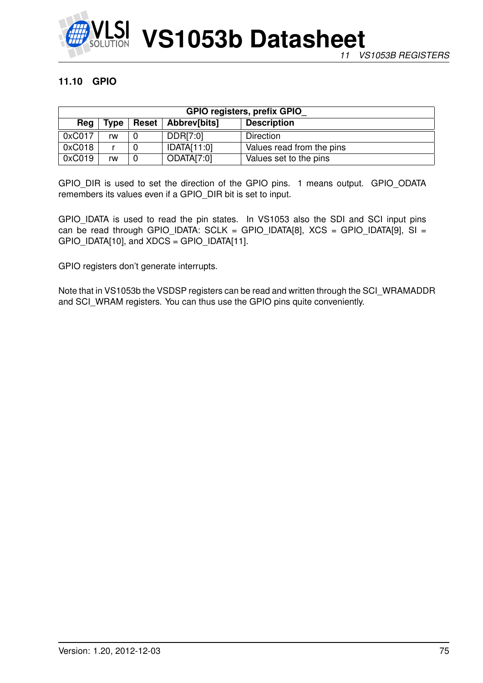

# **11.10 GPIO**

| <b>GPIO registers, prefix GPIO</b>                        |    |  |             |                           |  |  |  |  |
|-----------------------------------------------------------|----|--|-------------|---------------------------|--|--|--|--|
| <b>Description</b><br>Reset   Abbrev[bits]<br>Type<br>Reg |    |  |             |                           |  |  |  |  |
| 0xC017                                                    | rw |  | DDR[7:0]    | Direction                 |  |  |  |  |
| 0xC018                                                    |    |  | IDATA[11:0] | Values read from the pins |  |  |  |  |
| 0xC019                                                    | rw |  | ODATA[7:0]  | Values set to the pins    |  |  |  |  |

GPIO\_DIR is used to set the direction of the GPIO pins. 1 means output. GPIO\_ODATA remembers its values even if a GPIO\_DIR bit is set to input.

GPIO\_IDATA is used to read the pin states. In VS1053 also the SDI and SCI input pins can be read through GPIO\_IDATA: SCLK = GPIO\_IDATA[8], XCS = GPIO\_IDATA[9], SI =  $GPIO$   $DATA[10]$ , and  $XDCS = GPIO$   $DATA[11]$ .

GPIO registers don't generate interrupts.

Note that in VS1053b the VSDSP registers can be read and written through the SCI\_WRAMADDR and SCI\_WRAM registers. You can thus use the GPIO pins quite conveniently.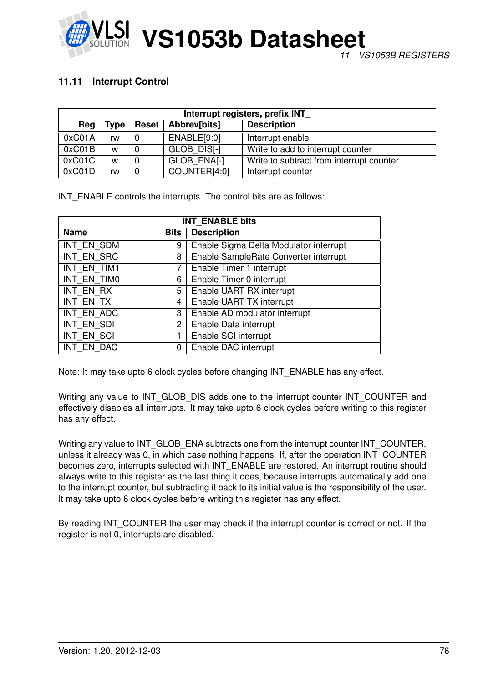

# **11.11 Interrupt Control**

| Interrupt registers, prefix INT |             |              |              |                                          |  |  |  |  |
|---------------------------------|-------------|--------------|--------------|------------------------------------------|--|--|--|--|
| Reg                             | <b>Type</b> | <b>Reset</b> | Abbrev[bits] | <b>Description</b>                       |  |  |  |  |
| 0xC01A                          | rw          |              | ENABLE[9:0]  | Interrupt enable                         |  |  |  |  |
| 0xC01B                          | W           |              | GLOB DISI-1  | Write to add to interrupt counter        |  |  |  |  |
| 0xC01C                          | W           |              | GLOB ENAI-1  | Write to subtract from interrupt counter |  |  |  |  |
| 0xCO1D                          | rw          |              | COUNTER[4:0] | Interrupt counter                        |  |  |  |  |

INT ENABLE controls the interrupts. The control bits are as follows:

| <b>INT ENABLE bits</b> |                |                                        |  |  |  |
|------------------------|----------------|----------------------------------------|--|--|--|
| <b>Name</b>            | Bits           | <b>Description</b>                     |  |  |  |
| INT EN SDM             | 9              | Enable Sigma Delta Modulator interrupt |  |  |  |
| INT EN SRC             | 8              | Enable SampleRate Converter interrupt  |  |  |  |
| INT EN TIM1            | 7              | Enable Timer 1 interrupt               |  |  |  |
| INT EN TIMO            | 6              | Enable Timer 0 interrupt               |  |  |  |
| <b>INT EN RX</b>       | 5              | Enable UART RX interrupt               |  |  |  |
| <b>INT EN TX</b>       | $\overline{4}$ | Enable UART TX interrupt               |  |  |  |
| INT EN ADC             | 3              | Enable AD modulator interrupt          |  |  |  |
| <b>INT EN SDI</b>      | 2              | Enable Data interrupt                  |  |  |  |
| <b>INT EN SCI</b>      | 1              | Enable SCI interrupt                   |  |  |  |
| INT EN DAC             | 0              | Enable DAC interrupt                   |  |  |  |

Note: It may take upto 6 clock cycles before changing INT\_ENABLE has any effect.

Writing any value to INT\_GLOB\_DIS adds one to the interrupt counter INT\_COUNTER and effectively disables all interrupts. It may take upto 6 clock cycles before writing to this register has any effect.

Writing any value to INT\_GLOB\_ENA subtracts one from the interrupt counter INT\_COUNTER, unless it already was 0, in which case nothing happens. If, after the operation INT\_COUNTER becomes zero, interrupts selected with INT\_ENABLE are restored. An interrupt routine should always write to this register as the last thing it does, because interrupts automatically add one to the interrupt counter, but subtracting it back to its initial value is the responsibility of the user. It may take upto 6 clock cycles before writing this register has any effect.

By reading INT COUNTER the user may check if the interrupt counter is correct or not. If the register is not 0, interrupts are disabled.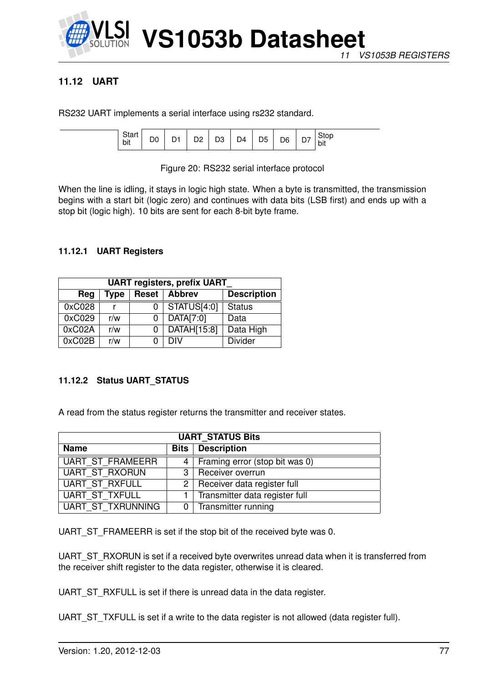

# **11.12 UART**

RS232 UART implements a serial interface using rs232 standard.

| υιαι<br>bit | - |  | n.<br>-- | צינ<br>◡ | D4 | D <sub>5</sub> | D <sub>6</sub> | _ | Stop<br>⊺bit |
|-------------|---|--|----------|----------|----|----------------|----------------|---|--------------|
|-------------|---|--|----------|----------|----|----------------|----------------|---|--------------|

Figure 20: RS232 serial interface protocol

When the line is idling, it stays in logic high state. When a byte is transmitted, the transmission begins with a start bit (logic zero) and continues with data bits (LSB first) and ends up with a stop bit (logic high). 10 bits are sent for each 8-bit byte frame.

## **11.12.1 UART Registers**

| <b>UART registers, prefix UART</b>                          |     |   |             |                |  |  |  |  |
|-------------------------------------------------------------|-----|---|-------------|----------------|--|--|--|--|
| <b>Abbrev</b><br><b>Description</b><br>Reset<br>Type<br>Reg |     |   |             |                |  |  |  |  |
| 0xC028                                                      |     |   | STATUS[4:0] | <b>Status</b>  |  |  |  |  |
| 0xC029                                                      | r/w | 0 | DATA[7:0]   | Data           |  |  |  |  |
| 0xC02A                                                      | r/w | 0 | DATAH[15:8] | Data High      |  |  |  |  |
| 0xC02B                                                      | r/w |   | DIV         | <b>Divider</b> |  |  |  |  |

## **11.12.2 Status UART\_STATUS**

A read from the status register returns the transmitter and receiver states.

| <b>UART STATUS Bits</b>  |  |                                    |  |  |  |  |
|--------------------------|--|------------------------------------|--|--|--|--|
| <b>Name</b>              |  | <b>Bits</b> Description            |  |  |  |  |
| UART ST FRAMEERR         |  | 4   Framing error (stop bit was 0) |  |  |  |  |
| UART ST RXORUN           |  | 3   Receiver overrun               |  |  |  |  |
| UART ST RXFULL           |  | $2$ Receiver data register full    |  |  |  |  |
| UART ST_TXFULL           |  | 1   Transmitter data register full |  |  |  |  |
| <b>UART ST TXRUNNING</b> |  | 0 Transmitter running              |  |  |  |  |

UART\_ST\_FRAMEERR is set if the stop bit of the received byte was 0.

UART\_ST\_RXORUN is set if a received byte overwrites unread data when it is transferred from the receiver shift register to the data register, otherwise it is cleared.

UART\_ST\_RXFULL is set if there is unread data in the data register.

UART\_ST\_TXFULL is set if a write to the data register is not allowed (data register full).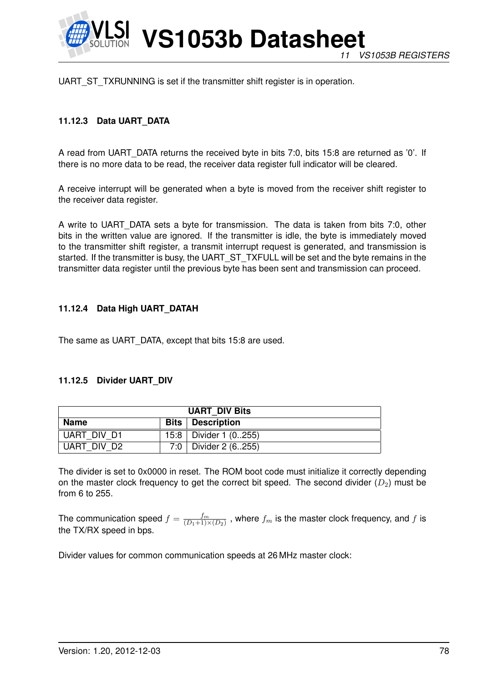

UART\_ST\_TXRUNNING is set if the transmitter shift register is in operation.

# **11.12.3 Data UART\_DATA**

A read from UART\_DATA returns the received byte in bits 7:0, bits 15:8 are returned as '0'. If there is no more data to be read, the receiver data register full indicator will be cleared.

A receive interrupt will be generated when a byte is moved from the receiver shift register to the receiver data register.

A write to UART\_DATA sets a byte for transmission. The data is taken from bits 7:0, other bits in the written value are ignored. If the transmitter is idle, the byte is immediately moved to the transmitter shift register, a transmit interrupt request is generated, and transmission is started. If the transmitter is busy, the UART\_ST\_TXFULL will be set and the byte remains in the transmitter data register until the previous byte has been sent and transmission can proceed.

### **11.12.4 Data High UART\_DATAH**

The same as UART\_DATA, except that bits 15:8 are used.

#### **11.12.5 Divider UART\_DIV**

| <b>UART DIV Bits</b>                     |  |                           |  |  |  |
|------------------------------------------|--|---------------------------|--|--|--|
| <b>Name</b><br><b>Bits</b>   Description |  |                           |  |  |  |
| UART DIV D1                              |  | 15:8   Divider 1 $(0255)$ |  |  |  |
| UART DIV D2                              |  | 7:0   Divider 2 (6255)    |  |  |  |

The divider is set to 0x0000 in reset. The ROM boot code must initialize it correctly depending on the master clock frequency to get the correct bit speed. The second divider  $(D_2)$  must be from 6 to 255.

The communication speed  $f = \frac{fm}{(D_1+1)^3}$  $\frac{J^m}{(D_1+1)\times(D_2)}$  , where  $f_m$  is the master clock frequency, and  $f$  is the TX/RX speed in bps.

Divider values for common communication speeds at 26 MHz master clock: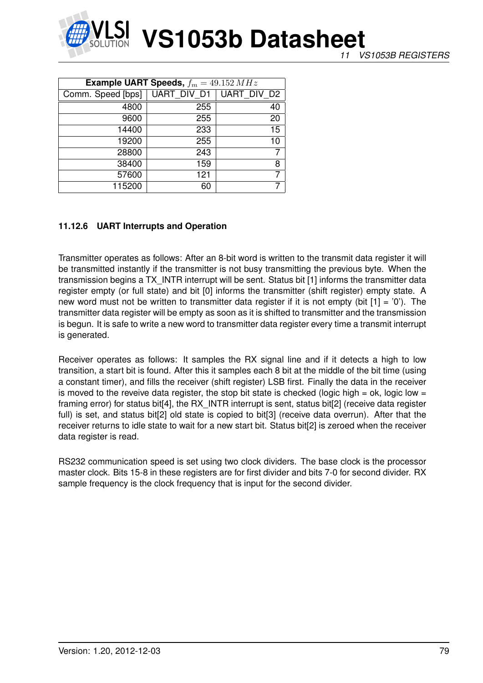

| <b>Example UART Speeds,</b> $f_m = 49.152 MHz$ |                    |                |  |  |  |  |
|------------------------------------------------|--------------------|----------------|--|--|--|--|
| Comm. Speed [bps]                              | <b>UART DIV D1</b> | UART DIV D2    |  |  |  |  |
| 4800                                           | 255                | 40             |  |  |  |  |
| 9600                                           | 255                | 20             |  |  |  |  |
| 14400                                          | 233                | 15             |  |  |  |  |
| 19200                                          | 255                | 10             |  |  |  |  |
| 28800                                          | 243                | $\overline{7}$ |  |  |  |  |
| 38400                                          | 159                | 8              |  |  |  |  |
| 57600                                          | 121                | $\overline{7}$ |  |  |  |  |
| 115200                                         | 60                 |                |  |  |  |  |

### **11.12.6 UART Interrupts and Operation**

Transmitter operates as follows: After an 8-bit word is written to the transmit data register it will be transmitted instantly if the transmitter is not busy transmitting the previous byte. When the transmission begins a TX\_INTR interrupt will be sent. Status bit [1] informs the transmitter data register empty (or full state) and bit [0] informs the transmitter (shift register) empty state. A new word must not be written to transmitter data register if it is not empty (bit  $[1] = '0'$ ). The transmitter data register will be empty as soon as it is shifted to transmitter and the transmission is begun. It is safe to write a new word to transmitter data register every time a transmit interrupt is generated.

Receiver operates as follows: It samples the RX signal line and if it detects a high to low transition, a start bit is found. After this it samples each 8 bit at the middle of the bit time (using a constant timer), and fills the receiver (shift register) LSB first. Finally the data in the receiver is moved to the reveive data register, the stop bit state is checked (logic high = ok, logic low = framing error) for status bit<sup>[4]</sup>, the RX INTR interrupt is sent, status bit<sup>[2]</sup> (receive data register full) is set, and status bit[2] old state is copied to bit[3] (receive data overrun). After that the receiver returns to idle state to wait for a new start bit. Status bit[2] is zeroed when the receiver data register is read.

RS232 communication speed is set using two clock dividers. The base clock is the processor master clock. Bits 15-8 in these registers are for first divider and bits 7-0 for second divider. RX sample frequency is the clock frequency that is input for the second divider.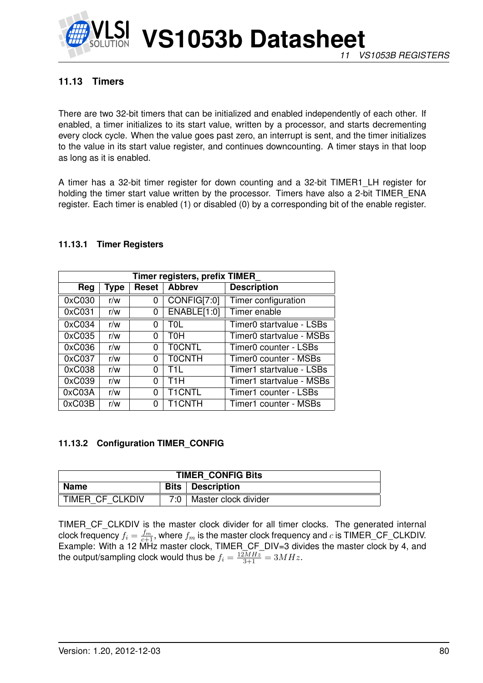

# **11.13 Timers**

There are two 32-bit timers that can be initialized and enabled independently of each other. If enabled, a timer initializes to its start value, written by a processor, and starts decrementing every clock cycle. When the value goes past zero, an interrupt is sent, and the timer initializes to the value in its start value register, and continues downcounting. A timer stays in that loop as long as it is enabled.

A timer has a 32-bit timer register for down counting and a 32-bit TIMER1\_LH register for holding the timer start value written by the processor. Timers have also a 2-bit TIMER\_ENA register. Each timer is enabled (1) or disabled (0) by a corresponding bit of the enable register.

#### **11.13.1 Timer Registers**

| Timer registers, prefix TIMER |      |       |                  |                          |  |  |  |  |
|-------------------------------|------|-------|------------------|--------------------------|--|--|--|--|
| Reg                           | Type | Reset | <b>Abbrev</b>    | <b>Description</b>       |  |  |  |  |
| 0xC030                        | r/w  | 0     | CONFIG[7:0]      | Timer configuration      |  |  |  |  |
| 0xC031                        | r/w  | 0     | ENABLE[1:0]      | Timer enable             |  |  |  |  |
| 0xC034                        | r/w  | 0     | T0L              | Timer0 startvalue - LSBs |  |  |  |  |
| 0xC035                        | r/w  | 0     | тон              | Timer0 startvalue - MSBs |  |  |  |  |
| 0xC036                        | r/w  | 0     | <b>TOCNTL</b>    | Timer0 counter - LSBs    |  |  |  |  |
| 0xC037                        | r/w  | 0     | <b>TOCNTH</b>    | Timer0 counter - MSBs    |  |  |  |  |
| 0xC038                        | r/w  | 0     | T11.             | Timer1 startvalue - LSBs |  |  |  |  |
| 0xC039                        | r/w  | 0     | T <sub>1</sub> H | Timer1 startvalue - MSBs |  |  |  |  |
| 0xC03A                        | r/w  | 0     | <b>T1CNTL</b>    | Timer1 counter - LSBs    |  |  |  |  |
| 0xC03B                        | r/w  | 0     | <b>T1CNTH</b>    | Timer1 counter - MSBs    |  |  |  |  |

#### <span id="page-79-0"></span>**11.13.2 Configuration TIMER\_CONFIG**

| <b>TIMER CONFIG Bits</b> |                           |                      |  |
|--------------------------|---------------------------|----------------------|--|
| Name                     | <b>Bits</b>   Description |                      |  |
| TIMER CF CLKDIV          | ר ∩י 7                    | Master clock divider |  |

TIMER\_CF\_CLKDIV is the master clock divider for all timer clocks. The generated internal clock frequency  $f_i = \frac{f_m}{c+1}$ , where  $f_m$  is the master clock frequency and  $c$  is TIMER\_CF\_CLKDIV. Example: With a 12 MHz master clock, TIMER\_CF\_DIV=3 divides the master clock by 4, and the output/sampling clock would thus be  $f_i = \frac{12MHz}{3+1} = 3MHz$ .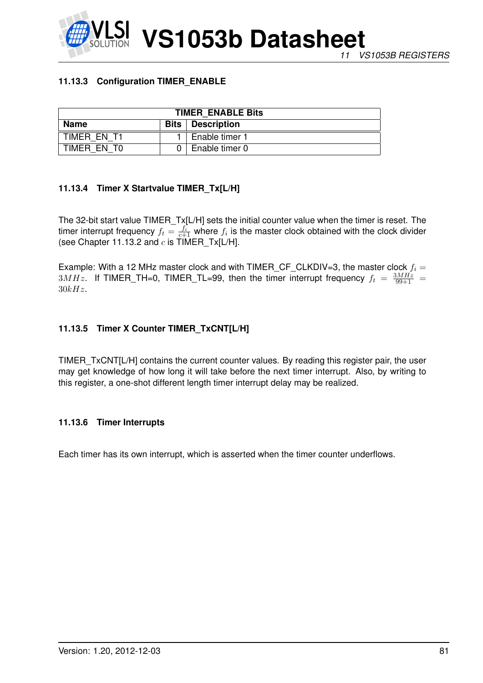# **11.13.3 Configuration TIMER\_ENABLE**

| <b>TIMER ENABLE Bits</b>                         |  |                |  |
|--------------------------------------------------|--|----------------|--|
| <b>Name</b><br><b>Bits</b><br><b>Description</b> |  |                |  |
| TIMER EN T1                                      |  | Enable timer 1 |  |
| TIMER EN TO                                      |  | Enable timer 0 |  |

# **11.13.4 Timer X Startvalue TIMER\_Tx[L/H]**

The 32-bit start value TIMER\_Tx[L/H] sets the initial counter value when the timer is reset. The timer interrupt frequency  $f_t = \frac{f_i}{c+1}$  where  $f_i$  is the master clock obtained with the clock divider (see Chapter [11.13.2](#page-79-0) and  $c$  is  $\text{TIMER}_\text{I}$ X[L/H].

Example: With a 12 MHz master clock and with TIMER\_CF\_CLKDIV=3, the master clock  $f_i =$  $3MHz$ . If TIMER\_TH=0, TIMER\_TL=99, then the timer interrupt frequency  $f_t = \frac{3MHz}{99+1}$  =  $30kHz.$ 

# **11.13.5 Timer X Counter TIMER\_TxCNT[L/H]**

TIMER\_TxCNT[L/H] contains the current counter values. By reading this register pair, the user may get knowledge of how long it will take before the next timer interrupt. Also, by writing to this register, a one-shot different length timer interrupt delay may be realized.

## **11.13.6 Timer Interrupts**

Each timer has its own interrupt, which is asserted when the timer counter underflows.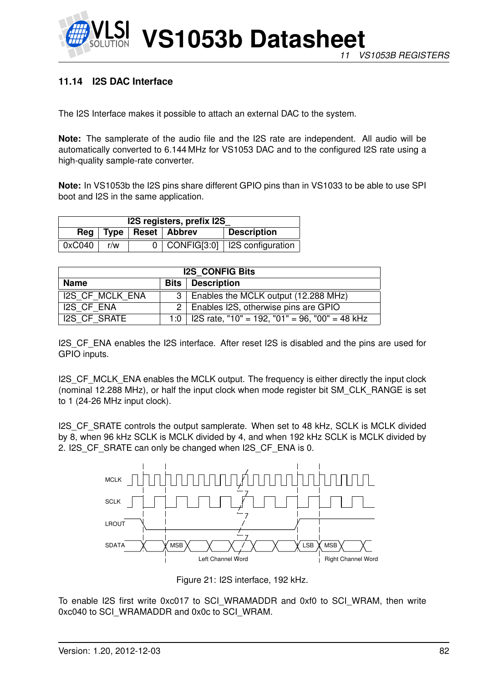

# **11.14 I2S DAC Interface**

The I2S Interface makes it possible to attach an external DAC to the system.

**Note:** The samplerate of the audio file and the I2S rate are independent. All audio will be automatically converted to 6.144 MHz for VS1053 DAC and to the configured I2S rate using a high-quality sample-rate converter.

**Note:** In VS1053b the I2S pins share different GPIO pins than in VS1033 to be able to use SPI boot and I2S in the same application.

| I2S registers, prefix I2S |                                            |  |  |                                       |  |
|---------------------------|--------------------------------------------|--|--|---------------------------------------|--|
|                           | Reg   Type   Reset   Abbrev<br>Description |  |  |                                       |  |
| 0xC040                    | r/w                                        |  |  | $0$   CONFIG[3:0]   I2S configuration |  |

| <b>I2S CONFIG Bits</b>                   |  |                                                      |  |  |
|------------------------------------------|--|------------------------------------------------------|--|--|
| <b>Bits</b>   Description<br><b>Name</b> |  |                                                      |  |  |
| <b>I2S CF MCLK ENA</b>                   |  | 3   Enables the MCLK output (12.288 MHz)             |  |  |
| I2S CF ENA                               |  | 2   Enables I2S, otherwise pins are GPIO             |  |  |
| <b>I2S CF SRATE</b>                      |  | 1:0   I2S rate, "10" = 192, "01" = 96, "00" = 48 kHz |  |  |

I2S CF ENA enables the I2S interface. After reset I2S is disabled and the pins are used for GPIO inputs.

I2S CF MCLK ENA enables the MCLK output. The frequency is either directly the input clock (nominal 12.288 MHz), or half the input clock when mode register bit SM\_CLK\_RANGE is set to 1 (24-26 MHz input clock).

I2S\_CF\_SRATE controls the output samplerate. When set to 48 kHz, SCLK is MCLK divided by 8, when 96 kHz SCLK is MCLK divided by 4, and when 192 kHz SCLK is MCLK divided by 2. I2S CF SRATE can only be changed when I2S CF ENA is 0.



Figure 21: I2S interface, 192 kHz.

To enable I2S first write 0xc017 to SCI\_WRAMADDR and 0xf0 to SCI\_WRAM, then write 0xc040 to SCI\_WRAMADDR and 0x0c to SCI\_WRAM.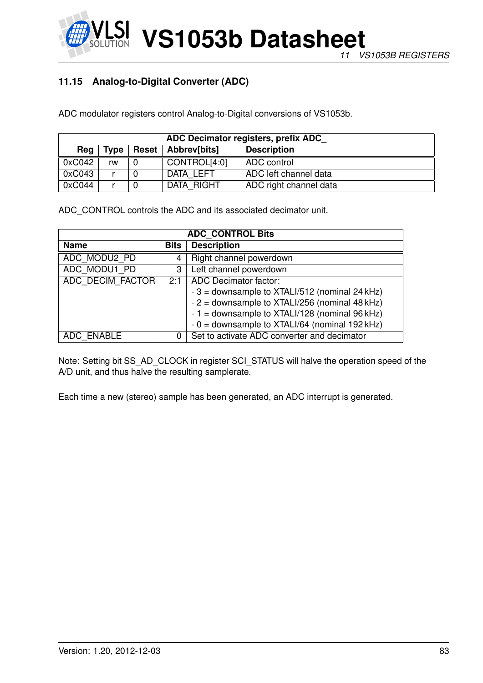# <span id="page-82-0"></span>**11.15 Analog-to-Digital Converter (ADC)**

ADC modulator registers control Analog-to-Digital conversions of VS1053b.

| ADC Decimator registers, prefix ADC |             |  |                      |                        |  |  |
|-------------------------------------|-------------|--|----------------------|------------------------|--|--|
| Rea                                 | <b>Type</b> |  | Reset   Abbrev[bits] | <b>Description</b>     |  |  |
| 0xC042                              | rw          |  | CONTROL[4:0]         | ADC control            |  |  |
| 0xC043                              |             |  | DATA LEFT            | ADC left channel data  |  |  |
| 0xC044                              |             |  | DATA RIGHT           | ADC right channel data |  |  |

ADC\_CONTROL controls the ADC and its associated decimator unit.

| <b>ADC CONTROL Bits</b>    |     |                                                 |  |
|----------------------------|-----|-------------------------------------------------|--|
| <b>Name</b><br><b>Bits</b> |     | <b>Description</b>                              |  |
| ADC MODU2 PD               | 4   | Right channel powerdown                         |  |
| ADC MODU1 PD               | 3   | Left channel powerdown                          |  |
| ADC DECIM FACTOR           | 2:1 | <b>ADC</b> Decimator factor:                    |  |
|                            |     | $-3$ = downsample to XTALI/512 (nominal 24 kHz) |  |
|                            |     | - 2 = downsample to XTALI/256 (nominal 48 kHz)  |  |
|                            |     | $-1$ = downsample to XTALI/128 (nominal 96 kHz) |  |
|                            |     | $-0$ = downsample to XTALI/64 (nominal 192 kHz) |  |
| ADC ENABLE                 | 0   | Set to activate ADC converter and decimator     |  |

Note: Setting bit SS\_AD\_CLOCK in register SCI\_STATUS will halve the operation speed of the A/D unit, and thus halve the resulting samplerate.

Each time a new (stereo) sample has been generated, an ADC interrupt is generated.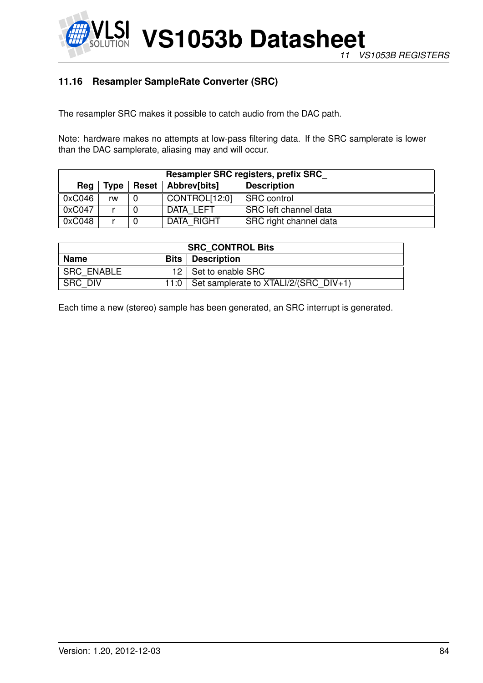

# <span id="page-83-0"></span>**11.16 Resampler SampleRate Converter (SRC)**

The resampler SRC makes it possible to catch audio from the DAC path.

Note: hardware makes no attempts at low-pass filtering data. If the SRC samplerate is lower than the DAC samplerate, aliasing may and will occur.

| Resampler SRC registers, prefix SRC |      |              |               |                        |  |  |  |
|-------------------------------------|------|--------------|---------------|------------------------|--|--|--|
| Reg                                 | Type | <b>Reset</b> | Abbrev[bits]  | <b>Description</b>     |  |  |  |
| 0xC046                              | rw   |              | CONTROL[12:0] | <b>SRC</b> control     |  |  |  |
| 0xC047                              |      |              | DATA LEFT     | SRC left channel data  |  |  |  |
| 0xC048                              |      |              | DATA RIGHT    | SRC right channel data |  |  |  |

| <b>SRC CONTROL Bits</b>                  |      |                                         |  |
|------------------------------------------|------|-----------------------------------------|--|
| <b>Name</b><br><b>Bits</b>   Description |      |                                         |  |
| <b>SRC ENABLE</b>                        |      | 12   Set to enable SRC                  |  |
| <b>SRC DIV</b>                           | 11:0 | Set samplerate to $XTALI/2/(SRC DIV+1)$ |  |

Each time a new (stereo) sample has been generated, an SRC interrupt is generated.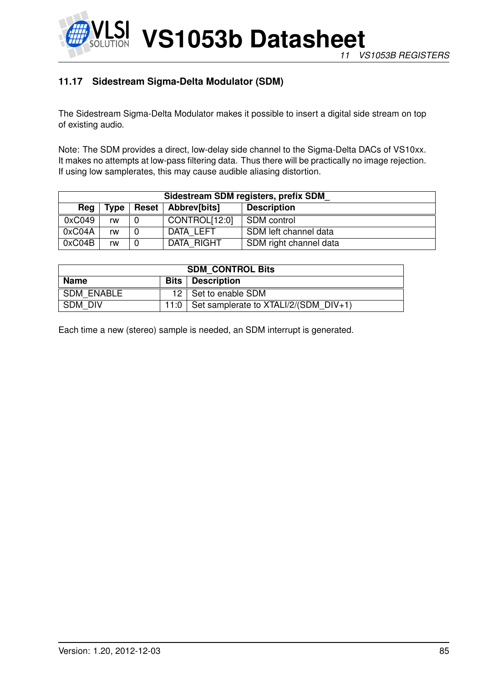

# <span id="page-84-0"></span>**11.17 Sidestream Sigma-Delta Modulator (SDM)**

The Sidestream Sigma-Delta Modulator makes it possible to insert a digital side stream on top of existing audio.

Note: The SDM provides a direct, low-delay side channel to the Sigma-Delta DACs of VS10xx. It makes no attempts at low-pass filtering data. Thus there will be practically no image rejection. If using low samplerates, this may cause audible aliasing distortion.

| Sidestream SDM registers, prefix SDM |      |              |               |                        |  |  |  |
|--------------------------------------|------|--------------|---------------|------------------------|--|--|--|
| Reg                                  | Type | <b>Reset</b> | Abbrev[bits]  | <b>Description</b>     |  |  |  |
| 0xC049                               | rw   |              | CONTROL[12:0] | SDM control            |  |  |  |
| 0xC04A                               | rw   |              | DATA LEFT     | SDM left channel data  |  |  |  |
| 0xC04B                               | rw   |              | DATA RIGHT    | SDM right channel data |  |  |  |

| <b>SDM CONTROL Bits</b>                  |      |                                       |  |
|------------------------------------------|------|---------------------------------------|--|
| <b>Name</b><br><b>Bits</b>   Description |      |                                       |  |
| <b>SDM ENABLE</b>                        |      | 12   Set to enable SDM                |  |
| SDM DIV                                  | 11:0 | Set samplerate to XTALI/2/(SDM DIV+1) |  |

Each time a new (stereo) sample is needed, an SDM interrupt is generated.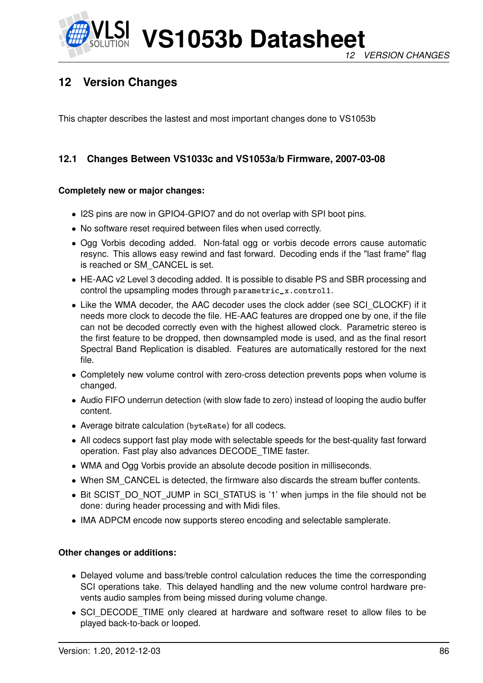

# **12 Version Changes**

This chapter describes the lastest and most important changes done to VS1053b

# **12.1 Changes Between VS1033c and VS1053a/b Firmware, 2007-03-08**

### **Completely new or major changes:**

- I2S pins are now in GPIO4-GPIO7 and do not overlap with SPI boot pins.
- No software reset required between files when used correctly.
- Ogg Vorbis decoding added. Non-fatal ogg or vorbis decode errors cause automatic resync. This allows easy rewind and fast forward. Decoding ends if the "last frame" flag is reached or SM\_CANCEL is set.
- HE-AAC v2 Level 3 decoding added. It is possible to disable PS and SBR processing and control the upsampling modes through parametric\_x.control1.
- Like the WMA decoder, the AAC decoder uses the clock adder (see SCI\_CLOCKF) if it needs more clock to decode the file. HE-AAC features are dropped one by one, if the file can not be decoded correctly even with the highest allowed clock. Parametric stereo is the first feature to be dropped, then downsampled mode is used, and as the final resort Spectral Band Replication is disabled. Features are automatically restored for the next file.
- Completely new volume control with zero-cross detection prevents pops when volume is changed.
- Audio FIFO underrun detection (with slow fade to zero) instead of looping the audio buffer content.
- Average bitrate calculation (byteRate) for all codecs.
- All codecs support fast play mode with selectable speeds for the best-quality fast forward operation. Fast play also advances DECODE\_TIME faster.
- WMA and Ogg Vorbis provide an absolute decode position in milliseconds.
- When SM\_CANCEL is detected, the firmware also discards the stream buffer contents.
- Bit SCIST\_DO\_NOT\_JUMP in SCI\_STATUS is '1' when jumps in the file should not be done: during header processing and with Midi files.
- IMA ADPCM encode now supports stereo encoding and selectable samplerate.

#### **Other changes or additions:**

- Delayed volume and bass/treble control calculation reduces the time the corresponding SCI operations take. This delayed handling and the new volume control hardware prevents audio samples from being missed during volume change.
- SCI\_DECODE\_TIME only cleared at hardware and software reset to allow files to be played back-to-back or looped.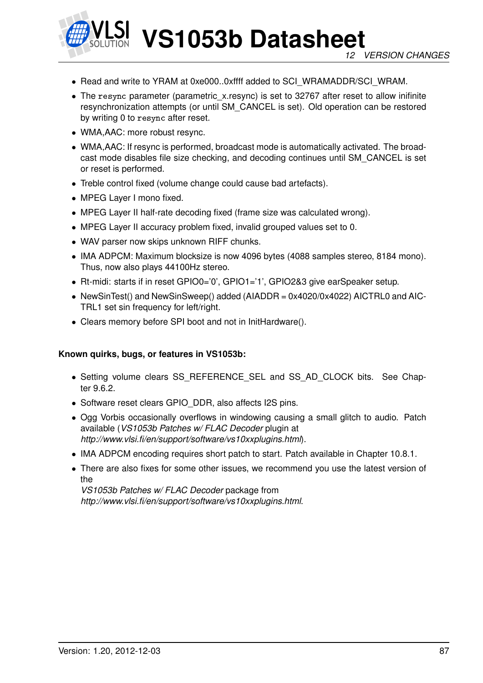

- Read and write to YRAM at 0xe000..0xffff added to SCI\_WRAMADDR/SCI\_WRAM.
- The resync parameter (parametric\_x.resync) is set to 32767 after reset to allow inifinite resynchronization attempts (or until SM\_CANCEL is set). Old operation can be restored by writing 0 to resync after reset.
- WMA,AAC: more robust resync.
- WMA,AAC: If resync is performed, broadcast mode is automatically activated. The broadcast mode disables file size checking, and decoding continues until SM\_CANCEL is set or reset is performed.
- Treble control fixed (volume change could cause bad artefacts).
- MPEG Layer I mono fixed.
- MPEG Layer II half-rate decoding fixed (frame size was calculated wrong).
- MPEG Layer II accuracy problem fixed, invalid grouped values set to 0.
- WAV parser now skips unknown RIFF chunks.
- IMA ADPCM: Maximum blocksize is now 4096 bytes (4088 samples stereo, 8184 mono). Thus, now also plays 44100Hz stereo.
- Rt-midi: starts if in reset GPIO0='0', GPIO1='1', GPIO2&3 give earSpeaker setup.
- NewSinTest() and NewSinSweep() added (AIADDR = 0x4020/0x4022) AICTRL0 and AIC-TRL1 set sin frequency for left/right.
- Clears memory before SPI boot and not in InitHardware().

#### **Known quirks, bugs, or features in VS1053b:**

- Setting volume clears SS\_REFERENCE\_SEL and SS\_AD\_CLOCK bits. See Chapter [9.6.2.](#page-39-0)
- Software reset clears GPIO DDR, also affects I2S pins.
- Ogg Vorbis occasionally overflows in windowing causing a small glitch to audio. Patch available (*VS1053b Patches w/ FLAC Decoder* plugin at *http://www.vlsi.fi/en/support/software/vs10xxplugins.html*).
- IMA ADPCM encoding requires short patch to start. Patch available in Chapter [10.8.1.](#page-52-0)
- There are also fixes for some other issues, we recommend you use the latest version of the

*VS1053b Patches w/ FLAC Decoder* package from *http://www.vlsi.fi/en/support/software/vs10xxplugins.html*.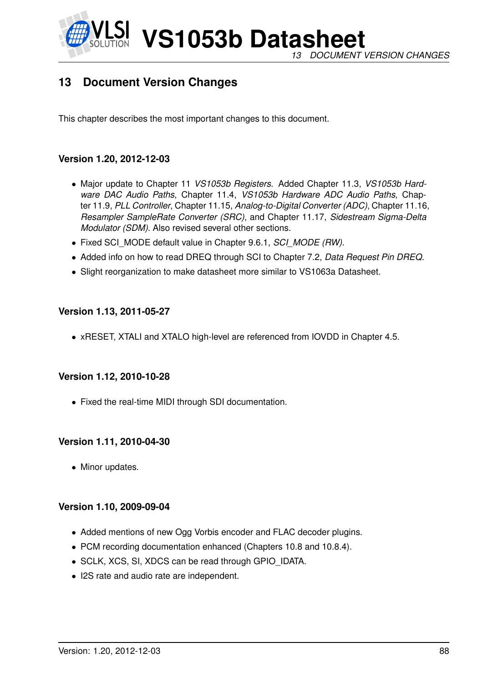

**VS1053b Datasheet** *13 DOCUMENT VERSION CHANGES*

# **13 Document Version Changes**

This chapter describes the most important changes to this document.

# **Version 1.20, 2012-12-03**

- Major update to Chapter [11](#page-68-0) *VS1053b Registers*. Added Chapter [11.3,](#page-69-0) *VS1053b Hardware DAC Audio Paths*, Chapter [11.4,](#page-70-0) *VS1053b Hardware ADC Audio Paths*, Chapter [11.9,](#page-72-0) *PLL Controller*, Chapter [11.15,](#page-82-0) *Analog-to-Digital Converter (ADC)*, Chapter [11.16,](#page-83-0) *Resampler SampleRate Converter (SRC)*, and Chapter [11.17,](#page-84-0) *Sidestream Sigma-Delta Modulator (SDM)*. Also revised several other sections.
- Fixed SCI\_MODE default value in Chapter [9.6.1,](#page-37-0) *SCI\_MODE (RW)*.
- Added info on how to read DREQ through SCI to Chapter [7.2,](#page-15-0) *Data Request Pin DREQ*.
- Slight reorganization to make datasheet more similar to VS1063a Datasheet.

## **Version 1.13, 2011-05-27**

• xRESET, XTALI and XTALO high-level are referenced from IOVDD in Chapter [4.5.](#page-8-0)

## **Version 1.12, 2010-10-28**

• Fixed the real-time MIDI through SDI documentation.

## **Version 1.11, 2010-04-30**

• Minor updates.

## **Version 1.10, 2009-09-04**

- Added mentions of new Ogg Vorbis encoder and FLAC decoder plugins.
- PCM recording documentation enhanced (Chapters [10.8](#page-52-1) and [10.8.4\)](#page-55-0).
- SCLK, XCS, SI, XDCS can be read through GPIO\_IDATA.
- I2S rate and audio rate are independent.